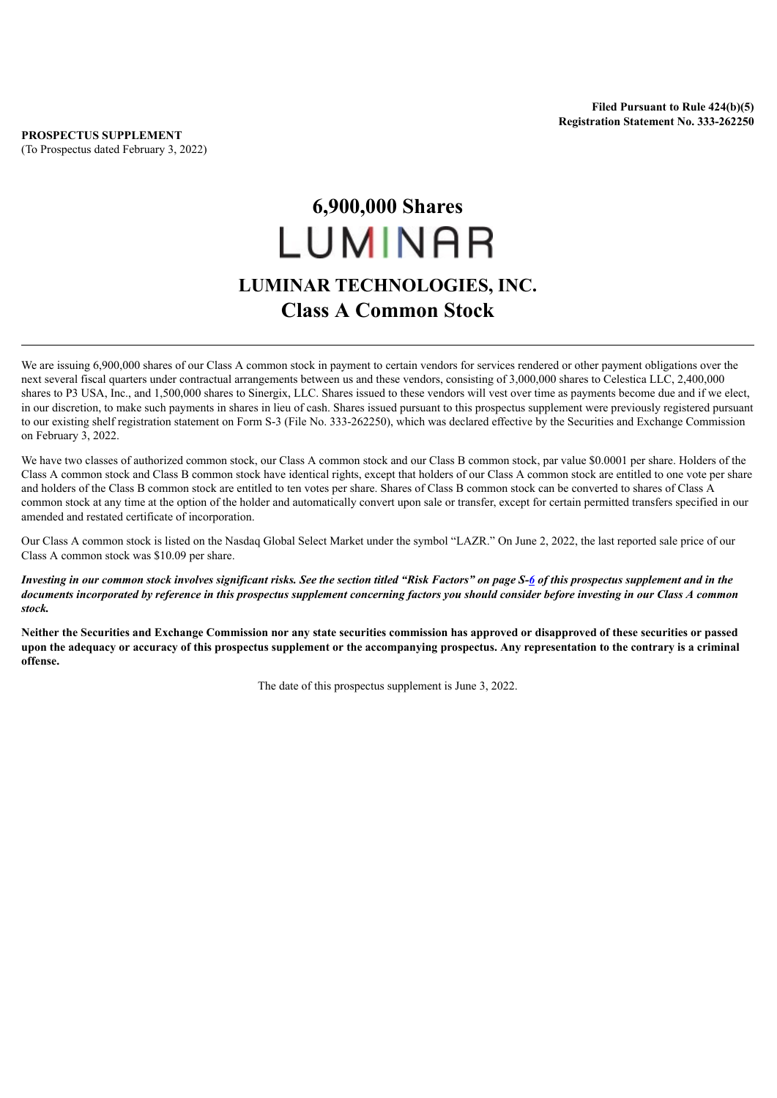## **6,900,000 Shares** LUMINAR **LUMINAR TECHNOLOGIES, INC. Class A Common Stock**

We are issuing 6,900,000 shares of our Class A common stock in payment to certain vendors for services rendered or other payment obligations over the next several fiscal quarters under contractual arrangements between us and these vendors, consisting of 3,000,000 shares to Celestica LLC, 2,400,000 shares to P3 USA, Inc., and 1,500,000 shares to Sinergix, LLC. Shares issued to these vendors will vest over time as payments become due and if we elect, in our discretion, to make such payments in shares in lieu of cash. Shares issued pursuant to this prospectus supplement were previously registered pursuant to our existing shelf registration statement on Form S-3 (File No. 333-262250), which was declared effective by the Securities and Exchange Commission on February 3, 2022.

We have two classes of authorized common stock, our Class A common stock and our Class B common stock, par value \$0.0001 per share. Holders of the Class A common stock and Class B common stock have identical rights, except that holders of our Class A common stock are entitled to one vote per share and holders of the Class B common stock are entitled to ten votes per share. Shares of Class B common stock can be converted to shares of Class A common stock at any time at the option of the holder and automatically convert upon sale or transfer, except for certain permitted transfers specified in our amended and restated certificate of incorporation.

Our Class A common stock is listed on the Nasdaq Global Select Market under the symbol "LAZR." On June 2, 2022, the last reported sale price of our Class A common stock was \$10.09 per share.

Investing in our common stock involves significant risks. See the section titled "Risk Factors" on page S[-6](#page-7-0) of this prospectus supplement and in the documents incorporated by reference in this prospectus supplement concerning factors you should consider before investing in our Class A common *stock.*

Neither the Securities and Exchange Commission nor any state securities commission has approved or disapproved of these securities or passed upon the adequacy or accuracy of this prospectus supplement or the accompanying prospectus. Any representation to the contrary is a criminal **offense.**

The date of this prospectus supplement is June 3, 2022.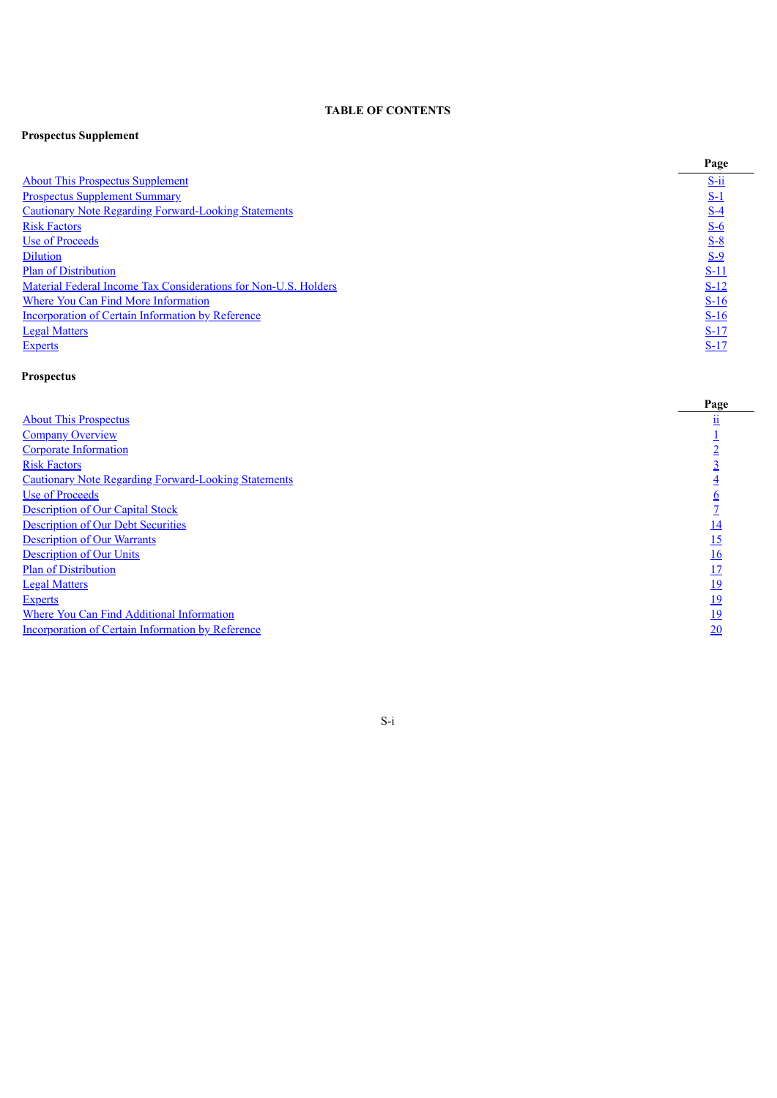## **TABLE OF CONTENTS**

## **Prospectus Supplement**

|                                                                 | Page        |
|-----------------------------------------------------------------|-------------|
| <b>About This Prospectus Supplement</b>                         | $S$ -ii     |
| <b>Prospectus Supplement Summary</b>                            | $S-1$       |
| <b>Cautionary Note Regarding Forward-Looking Statements</b>     | $S-4$       |
| <b>Risk Factors</b>                                             | $S-6$       |
| Use of Proceeds                                                 | $S-8$       |
| <b>Dilution</b>                                                 | $S-9$       |
| <b>Plan of Distribution</b>                                     | <u>S-11</u> |
| Material Federal Income Tax Considerations for Non-U.S. Holders | $S-12$      |
| <b>Where You Can Find More Information</b>                      | $S-16$      |
| <b>Incorporation of Certain Information by Reference</b>        | $S-16$      |
| <b>Legal Matters</b>                                            | $S-17$      |
| <b>Experts</b>                                                  | $S-17$      |

## **Prospectus**

<span id="page-1-0"></span>

|                                                             | Page       |
|-------------------------------------------------------------|------------|
| <b>About This Prospectus</b>                                |            |
| <b>Company Overview</b>                                     |            |
| <b>Corporate Information</b>                                |            |
| <b>Risk Factors</b>                                         |            |
| <b>Cautionary Note Regarding Forward-Looking Statements</b> |            |
| Use of Proceeds                                             |            |
| <b>Description of Our Capital Stock</b>                     |            |
| <b>Description of Our Debt Securities</b>                   | <u> 14</u> |
| <b>Description of Our Warrants</b>                          | 15         |
| <b>Description of Our Units</b>                             | 16         |
| <b>Plan of Distribution</b>                                 |            |
| <b>Legal Matters</b>                                        | 19         |
| <b>Experts</b>                                              | <u>19</u>  |
| Where You Can Find Additional Information                   | <u>19</u>  |
| <b>Incorporation of Certain Information by Reference</b>    | 20         |
|                                                             |            |

 $\overline{\phantom{0}}$ 

S-i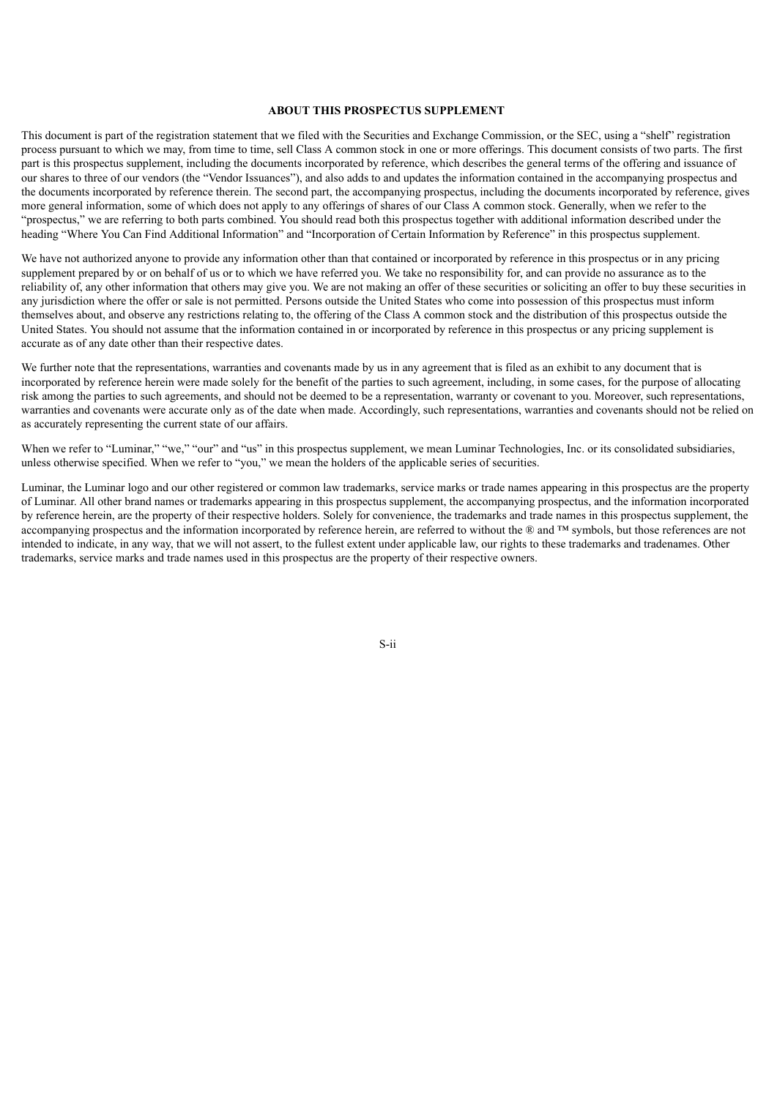## **ABOUT THIS PROSPECTUS SUPPLEMENT**

This document is part of the registration statement that we filed with the Securities and Exchange Commission, or the SEC, using a "shelf" registration process pursuant to which we may, from time to time, sell Class A common stock in one or more offerings. This document consists of two parts. The first part is this prospectus supplement, including the documents incorporated by reference, which describes the general terms of the offering and issuance of our shares to three of our vendors (the "Vendor Issuances"), and also adds to and updates the information contained in the accompanying prospectus and the documents incorporated by reference therein. The second part, the accompanying prospectus, including the documents incorporated by reference, gives more general information, some of which does not apply to any offerings of shares of our Class A common stock. Generally, when we refer to the "prospectus," we are referring to both parts combined. You should read both this prospectus together with additional information described under the heading "Where You Can Find Additional Information" and "Incorporation of Certain Information by Reference" in this prospectus supplement.

We have not authorized anyone to provide any information other than that contained or incorporated by reference in this prospectus or in any pricing supplement prepared by or on behalf of us or to which we have referred you. We take no responsibility for, and can provide no assurance as to the reliability of, any other information that others may give you. We are not making an offer of these securities or soliciting an offer to buy these securities in any jurisdiction where the offer or sale is not permitted. Persons outside the United States who come into possession of this prospectus must inform themselves about, and observe any restrictions relating to, the offering of the Class A common stock and the distribution of this prospectus outside the United States. You should not assume that the information contained in or incorporated by reference in this prospectus or any pricing supplement is accurate as of any date other than their respective dates.

We further note that the representations, warranties and covenants made by us in any agreement that is filed as an exhibit to any document that is incorporated by reference herein were made solely for the benefit of the parties to such agreement, including, in some cases, for the purpose of allocating risk among the parties to such agreements, and should not be deemed to be a representation, warranty or covenant to you. Moreover, such representations, warranties and covenants were accurate only as of the date when made. Accordingly, such representations, warranties and covenants should not be relied on as accurately representing the current state of our affairs.

When we refer to "Luminar," "we," "our" and "us" in this prospectus supplement, we mean Luminar Technologies, Inc. or its consolidated subsidiaries, unless otherwise specified. When we refer to "you," we mean the holders of the applicable series of securities.

<span id="page-2-0"></span>Luminar, the Luminar logo and our other registered or common law trademarks, service marks or trade names appearing in this prospectus are the property of Luminar. All other brand names or trademarks appearing in this prospectus supplement, the accompanying prospectus, and the information incorporated by reference herein, are the property of their respective holders. Solely for convenience, the trademarks and trade names in this prospectus supplement, the accompanying prospectus and the information incorporated by reference herein, are referred to without the ® and ™ symbols, but those references are not intended to indicate, in any way, that we will not assert, to the fullest extent under applicable law, our rights to these trademarks and tradenames. Other trademarks, service marks and trade names used in this prospectus are the property of their respective owners.

S-ii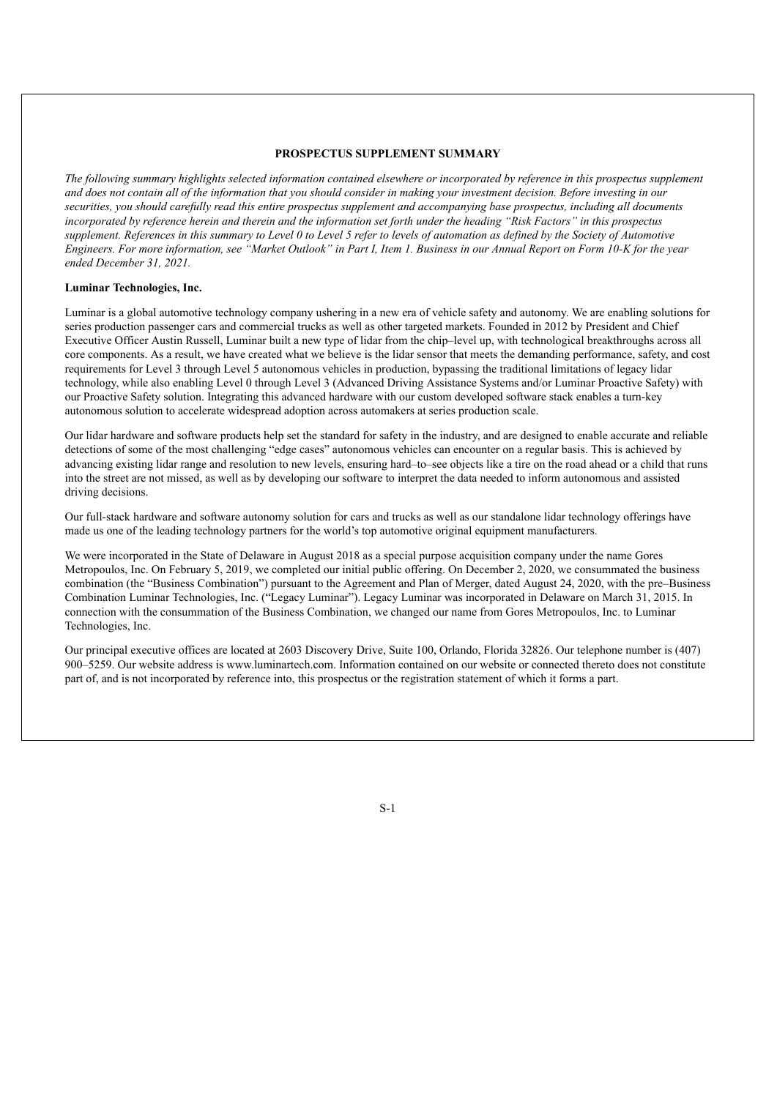## **PROSPECTUS SUPPLEMENT SUMMARY**

The following summary highlights selected information contained elsewhere or incorporated by reference in this prospectus supplement and does not contain all of the information that you should consider in making your investment decision. Before investing in our securities, you should carefully read this entire prospectus supplement and accompanying base prospectus, including all documents incorporated by reference herein and therein and the information set forth under the heading "Risk Factors" in this prospectus supplement. References in this summary to Level 0 to Level 5 refer to levels of automation as defined by the Society of Automotive Engineers. For more information, see "Market Outlook" in Part I, Item 1. Business in our Annual Report on Form 10-K for the year *ended December 31, 2021.*

## **Luminar Technologies, Inc.**

Luminar is a global automotive technology company ushering in a new era of vehicle safety and autonomy. We are enabling solutions for series production passenger cars and commercial trucks as well as other targeted markets. Founded in 2012 by President and Chief Executive Officer Austin Russell, Luminar built a new type of lidar from the chip–level up, with technological breakthroughs across all core components. As a result, we have created what we believe is the lidar sensor that meets the demanding performance, safety, and cost requirements for Level 3 through Level 5 autonomous vehicles in production, bypassing the traditional limitations of legacy lidar technology, while also enabling Level 0 through Level 3 (Advanced Driving Assistance Systems and/or Luminar Proactive Safety) with our Proactive Safety solution. Integrating this advanced hardware with our custom developed software stack enables a turn-key autonomous solution to accelerate widespread adoption across automakers at series production scale.

Our lidar hardware and software products help set the standard for safety in the industry, and are designed to enable accurate and reliable detections of some of the most challenging "edge cases" autonomous vehicles can encounter on a regular basis. This is achieved by advancing existing lidar range and resolution to new levels, ensuring hard–to–see objects like a tire on the road ahead or a child that runs into the street are not missed, as well as by developing our software to interpret the data needed to inform autonomous and assisted driving decisions.

Our full-stack hardware and software autonomy solution for cars and trucks as well as our standalone lidar technology offerings have made us one of the leading technology partners for the world's top automotive original equipment manufacturers.

We were incorporated in the State of Delaware in August 2018 as a special purpose acquisition company under the name Gores Metropoulos, Inc. On February 5, 2019, we completed our initial public offering. On December 2, 2020, we consummated the business combination (the "Business Combination") pursuant to the Agreement and Plan of Merger, dated August 24, 2020, with the pre–Business Combination Luminar Technologies, Inc. ("Legacy Luminar"). Legacy Luminar was incorporated in Delaware on March 31, 2015. In connection with the consummation of the Business Combination, we changed our name from Gores Metropoulos, Inc. to Luminar Technologies, Inc.

Our principal executive offices are located at 2603 Discovery Drive, Suite 100, Orlando, Florida 32826. Our telephone number is (407) 900–5259. Our website address is www.luminartech.com. Information contained on our website or connected thereto does not constitute part of, and is not incorporated by reference into, this prospectus or the registration statement of which it forms a part.

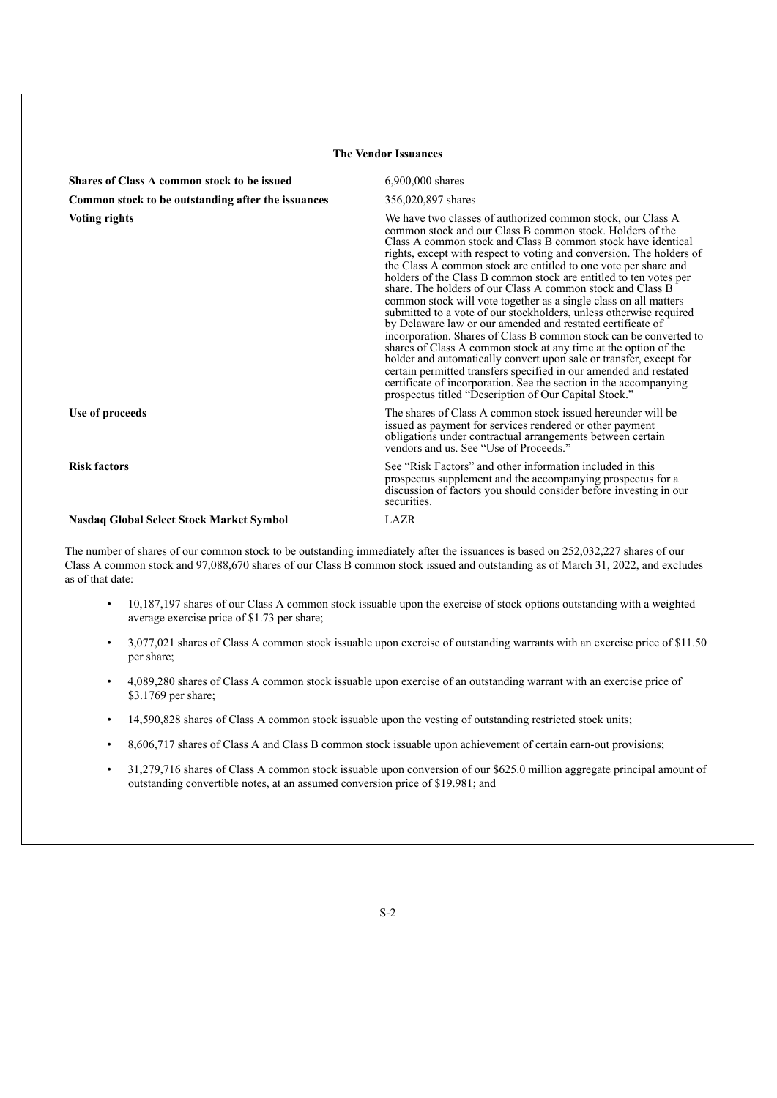| <b>The Vendor Issuances</b>                        |                                                                                                                                                                                                                                                                                                                                                                                                                                                                                                                                                                                                                                                                                                                                                                                                                                                                                                                                                                                                                                                                                                 |  |  |  |
|----------------------------------------------------|-------------------------------------------------------------------------------------------------------------------------------------------------------------------------------------------------------------------------------------------------------------------------------------------------------------------------------------------------------------------------------------------------------------------------------------------------------------------------------------------------------------------------------------------------------------------------------------------------------------------------------------------------------------------------------------------------------------------------------------------------------------------------------------------------------------------------------------------------------------------------------------------------------------------------------------------------------------------------------------------------------------------------------------------------------------------------------------------------|--|--|--|
| Shares of Class A common stock to be issued        | 6.900,000 shares                                                                                                                                                                                                                                                                                                                                                                                                                                                                                                                                                                                                                                                                                                                                                                                                                                                                                                                                                                                                                                                                                |  |  |  |
| Common stock to be outstanding after the issuances | 356,020,897 shares                                                                                                                                                                                                                                                                                                                                                                                                                                                                                                                                                                                                                                                                                                                                                                                                                                                                                                                                                                                                                                                                              |  |  |  |
| <b>Voting rights</b>                               | We have two classes of authorized common stock, our Class A<br>common stock and our Class B common stock. Holders of the<br>Class A common stock and Class B common stock have identical<br>rights, except with respect to voting and conversion. The holders of<br>the Class A common stock are entitled to one vote per share and<br>holders of the Class B common stock are entitled to ten votes per<br>share. The holders of our Class A common stock and Class B<br>common stock will vote together as a single class on all matters<br>submitted to a vote of our stockholders, unless otherwise required<br>by Delaware law or our amended and restated certificate of<br>incorporation. Shares of Class B common stock can be converted to<br>shares of Class A common stock at any time at the option of the<br>holder and automatically convert upon sale or transfer, except for<br>certain permitted transfers specified in our amended and restated<br>certificate of incorporation. See the section in the accompanying<br>prospectus titled "Description of Our Capital Stock." |  |  |  |
| Use of proceeds                                    | The shares of Class A common stock issued hereunder will be<br>issued as payment for services rendered or other payment<br>obligations under contractual arrangements between certain<br>vendors and us. See "Use of Proceeds."                                                                                                                                                                                                                                                                                                                                                                                                                                                                                                                                                                                                                                                                                                                                                                                                                                                                 |  |  |  |
| <b>Risk factors</b>                                | See "Risk Factors" and other information included in this<br>prospectus supplement and the accompanying prospectus for a<br>discussion of factors you should consider before investing in our<br>securities.                                                                                                                                                                                                                                                                                                                                                                                                                                                                                                                                                                                                                                                                                                                                                                                                                                                                                    |  |  |  |
| <b>Nasdaq Global Select Stock Market Symbol</b>    | LAZR                                                                                                                                                                                                                                                                                                                                                                                                                                                                                                                                                                                                                                                                                                                                                                                                                                                                                                                                                                                                                                                                                            |  |  |  |

The number of shares of our common stock to be outstanding immediately after the issuances is based on 252,032,227 shares of our Class A common stock and 97,088,670 shares of our Class B common stock issued and outstanding as of March 31, 2022, and excludes as of that date:

- 10,187,197 shares of our Class A common stock issuable upon the exercise of stock options outstanding with a weighted average exercise price of \$1.73 per share;
- 3,077,021 shares of Class A common stock issuable upon exercise of outstanding warrants with an exercise price of \$11.50 per share;
- 4,089,280 shares of Class A common stock issuable upon exercise of an outstanding warrant with an exercise price of \$3.1769 per share;
- 14,590,828 shares of Class A common stock issuable upon the vesting of outstanding restricted stock units;
- 8,606,717 shares of Class A and Class B common stock issuable upon achievement of certain earn-out provisions;
- 31,279,716 shares of Class A common stock issuable upon conversion of our \$625.0 million aggregate principal amount of outstanding convertible notes, at an assumed conversion price of \$19.981; and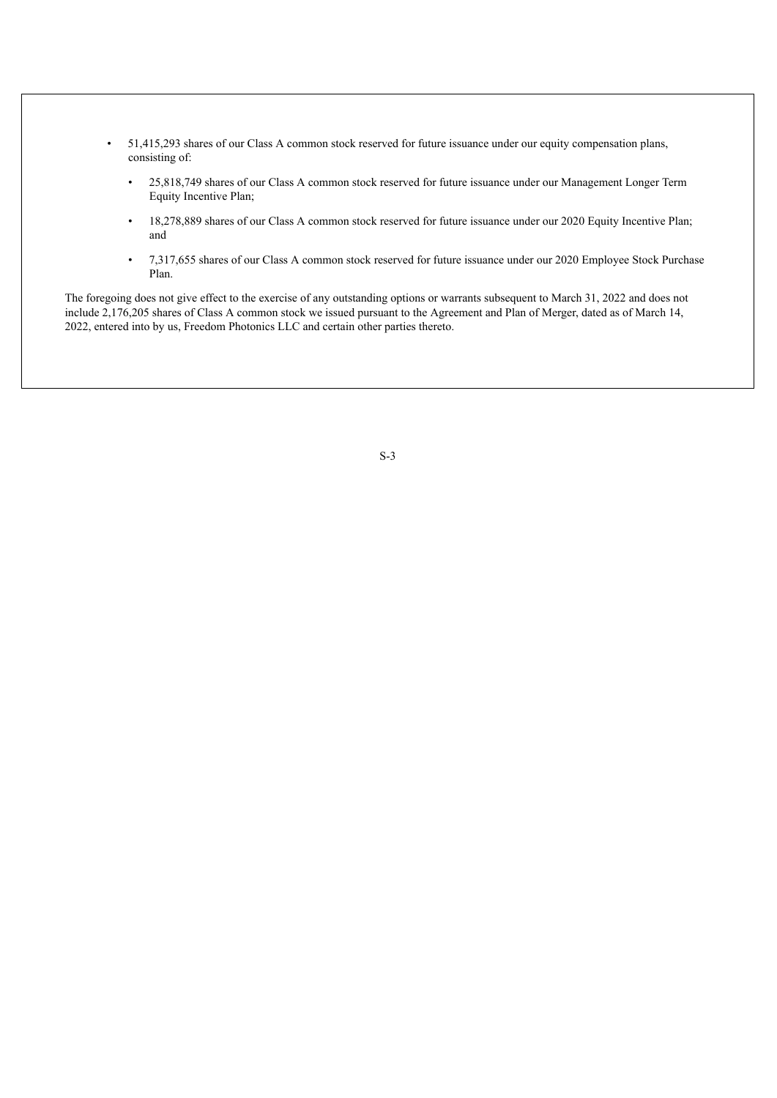- 51,415,293 shares of our Class A common stock reserved for future issuance under our equity compensation plans, consisting of:
	- 25,818,749 shares of our Class A common stock reserved for future issuance under our Management Longer Term Equity Incentive Plan;
	- 18,278,889 shares of our Class A common stock reserved for future issuance under our 2020 Equity Incentive Plan; and
	- 7,317,655 shares of our Class A common stock reserved for future issuance under our 2020 Employee Stock Purchase Plan.

<span id="page-5-0"></span>The foregoing does not give effect to the exercise of any outstanding options or warrants subsequent to March 31, 2022 and does not include 2,176,205 shares of Class A common stock we issued pursuant to the Agreement and Plan of Merger, dated as of March 14, 2022, entered into by us, Freedom Photonics LLC and certain other parties thereto.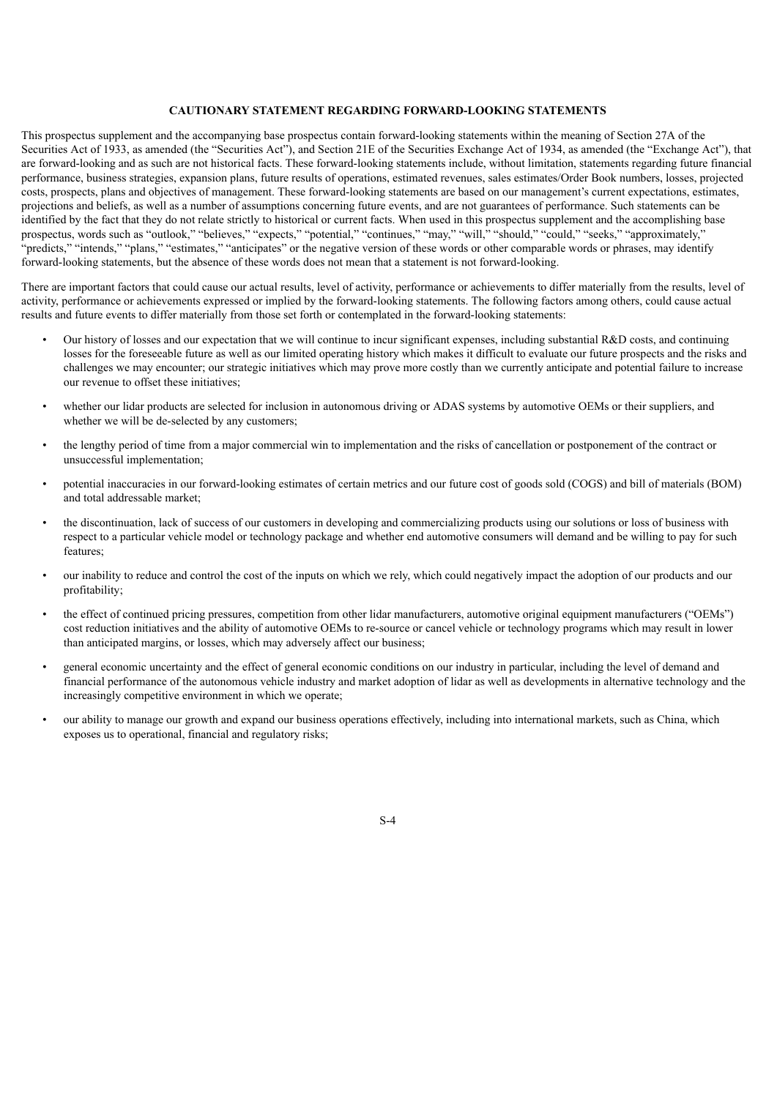## **CAUTIONARY STATEMENT REGARDING FORWARD-LOOKING STATEMENTS**

This prospectus supplement and the accompanying base prospectus contain forward-looking statements within the meaning of Section 27A of the Securities Act of 1933, as amended (the "Securities Act"), and Section 21E of the Securities Exchange Act of 1934, as amended (the "Exchange Act"), that are forward-looking and as such are not historical facts. These forward-looking statements include, without limitation, statements regarding future financial performance, business strategies, expansion plans, future results of operations, estimated revenues, sales estimates/Order Book numbers, losses, projected costs, prospects, plans and objectives of management. These forward-looking statements are based on our management's current expectations, estimates, projections and beliefs, as well as a number of assumptions concerning future events, and are not guarantees of performance. Such statements can be identified by the fact that they do not relate strictly to historical or current facts. When used in this prospectus supplement and the accomplishing base prospectus, words such as "outlook," "believes," "expects," "potential," "continues," "may," "will," "should," "could," "seeks," "approximately," "predicts," "intends," "plans," "estimates," "anticipates" or the negative version of these words or other comparable words or phrases, may identify forward-looking statements, but the absence of these words does not mean that a statement is not forward-looking.

There are important factors that could cause our actual results, level of activity, performance or achievements to differ materially from the results, level of activity, performance or achievements expressed or implied by the forward-looking statements. The following factors among others, could cause actual results and future events to differ materially from those set forth or contemplated in the forward-looking statements:

- Our history of losses and our expectation that we will continue to incur significant expenses, including substantial R&D costs, and continuing losses for the foreseeable future as well as our limited operating history which makes it difficult to evaluate our future prospects and the risks and challenges we may encounter; our strategic initiatives which may prove more costly than we currently anticipate and potential failure to increase our revenue to offset these initiatives;
- whether our lidar products are selected for inclusion in autonomous driving or ADAS systems by automotive OEMs or their suppliers, and whether we will be de-selected by any customers;
- the lengthy period of time from a major commercial win to implementation and the risks of cancellation or postponement of the contract or unsuccessful implementation;
- potential inaccuracies in our forward-looking estimates of certain metrics and our future cost of goods sold (COGS) and bill of materials (BOM) and total addressable market;
- the discontinuation, lack of success of our customers in developing and commercializing products using our solutions or loss of business with respect to a particular vehicle model or technology package and whether end automotive consumers will demand and be willing to pay for such features;
- our inability to reduce and control the cost of the inputs on which we rely, which could negatively impact the adoption of our products and our profitability;
- the effect of continued pricing pressures, competition from other lidar manufacturers, automotive original equipment manufacturers ("OEMs") cost reduction initiatives and the ability of automotive OEMs to re-source or cancel vehicle or technology programs which may result in lower than anticipated margins, or losses, which may adversely affect our business;
- general economic uncertainty and the effect of general economic conditions on our industry in particular, including the level of demand and financial performance of the autonomous vehicle industry and market adoption of lidar as well as developments in alternative technology and the increasingly competitive environment in which we operate;
- our ability to manage our growth and expand our business operations effectively, including into international markets, such as China, which exposes us to operational, financial and regulatory risks;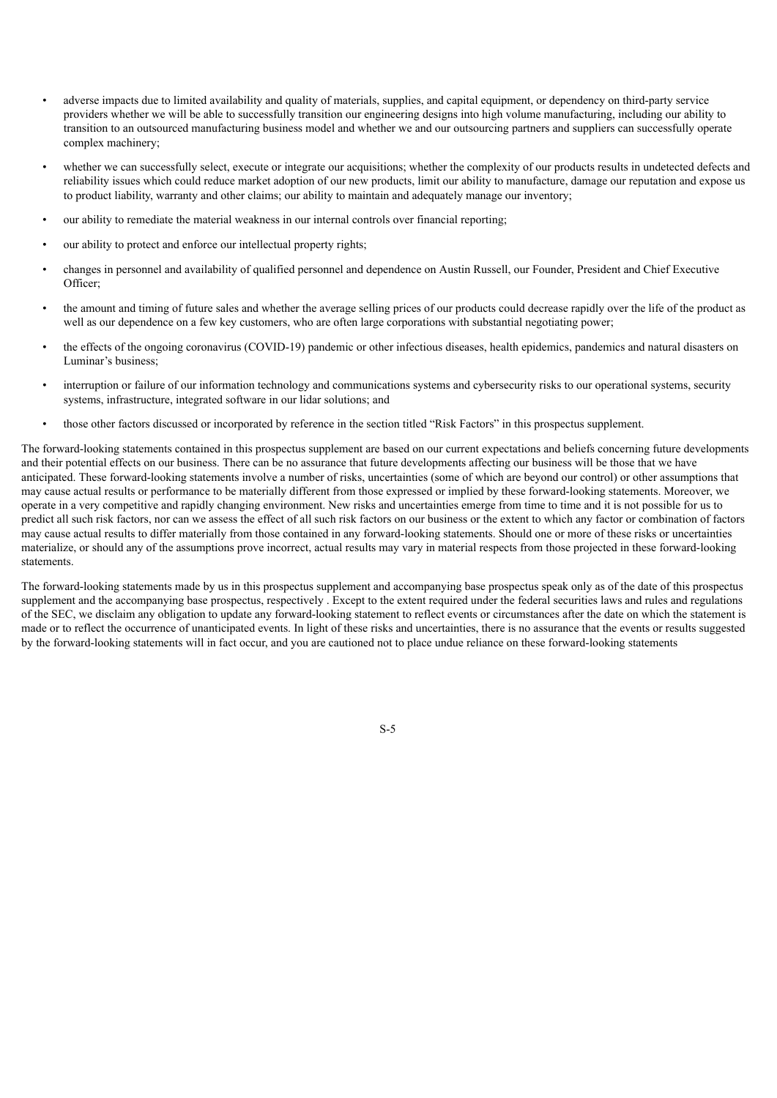- adverse impacts due to limited availability and quality of materials, supplies, and capital equipment, or dependency on third-party service providers whether we will be able to successfully transition our engineering designs into high volume manufacturing, including our ability to transition to an outsourced manufacturing business model and whether we and our outsourcing partners and suppliers can successfully operate complex machinery;
- whether we can successfully select, execute or integrate our acquisitions; whether the complexity of our products results in undetected defects and reliability issues which could reduce market adoption of our new products, limit our ability to manufacture, damage our reputation and expose us to product liability, warranty and other claims; our ability to maintain and adequately manage our inventory;
- our ability to remediate the material weakness in our internal controls over financial reporting;
- our ability to protect and enforce our intellectual property rights;
- changes in personnel and availability of qualified personnel and dependence on Austin Russell, our Founder, President and Chief Executive Officer;
- the amount and timing of future sales and whether the average selling prices of our products could decrease rapidly over the life of the product as well as our dependence on a few key customers, who are often large corporations with substantial negotiating power;
- the effects of the ongoing coronavirus (COVID-19) pandemic or other infectious diseases, health epidemics, pandemics and natural disasters on Luminar's business;
- interruption or failure of our information technology and communications systems and cybersecurity risks to our operational systems, security systems, infrastructure, integrated software in our lidar solutions; and
- those other factors discussed or incorporated by reference in the section titled "Risk Factors" in this prospectus supplement.

The forward-looking statements contained in this prospectus supplement are based on our current expectations and beliefs concerning future developments and their potential effects on our business. There can be no assurance that future developments affecting our business will be those that we have anticipated. These forward-looking statements involve a number of risks, uncertainties (some of which are beyond our control) or other assumptions that may cause actual results or performance to be materially different from those expressed or implied by these forward-looking statements. Moreover, we operate in a very competitive and rapidly changing environment. New risks and uncertainties emerge from time to time and it is not possible for us to predict all such risk factors, nor can we assess the effect of all such risk factors on our business or the extent to which any factor or combination of factors may cause actual results to differ materially from those contained in any forward-looking statements. Should one or more of these risks or uncertainties materialize, or should any of the assumptions prove incorrect, actual results may vary in material respects from those projected in these forward-looking statements.

<span id="page-7-0"></span>The forward-looking statements made by us in this prospectus supplement and accompanying base prospectus speak only as of the date of this prospectus supplement and the accompanying base prospectus, respectively . Except to the extent required under the federal securities laws and rules and regulations of the SEC, we disclaim any obligation to update any forward-looking statement to reflect events or circumstances after the date on which the statement is made or to reflect the occurrence of unanticipated events. In light of these risks and uncertainties, there is no assurance that the events or results suggested by the forward-looking statements will in fact occur, and you are cautioned not to place undue reliance on these forward-looking statements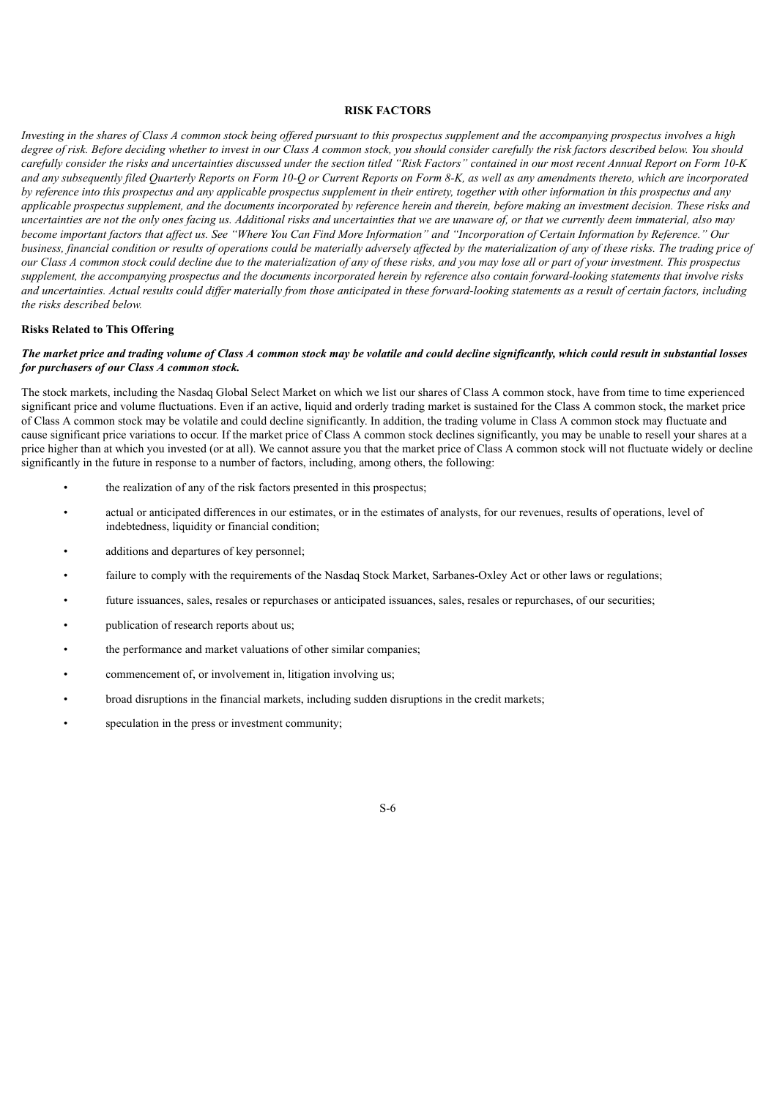#### **RISK FACTORS**

Investing in the shares of Class A common stock being offered pursuant to this prospectus supplement and the accompanying prospectus involves a high degree of risk. Before deciding whether to invest in our Class A common stock, you should consider carefully the risk factors described below. You should carefully consider the risks and uncertainties discussed under the section titled "Risk Factors" contained in our most recent Annual Report on Form 10-K and any subsequently filed Quarterly Reports on Form 10-Q or Current Reports on Form 8-K, as well as any amendments thereto, which are incorporated by reference into this prospectus and any applicable prospectus supplement in their entirety, together with other information in this prospectus and any applicable prospectus supplement, and the documents incorporated by reference herein and therein, before making an investment decision. These risks and uncertainties are not the only ones facing us. Additional risks and uncertainties that we are unaware of, or that we currently deem immaterial, also may become important factors that affect us. See "Where You Can Find More Information" and "Incorporation of Certain Information by Reference." Our business, financial condition or results of operations could be materially adversely affected by the materialization of any of these risks. The trading price of our Class A common stock could decline due to the materialization of any of these risks, and you may lose all or part of your investment. This prospectus supplement, the accompanying prospectus and the documents incorporated herein by reference also contain forward-looking statements that involve risks and uncertainties. Actual results could differ materially from those anticipated in these forward-looking statements as a result of certain factors, including *the risks described below.*

## **Risks Related to This Offering**

## The market price and trading volume of Class A common stock may be volatile and could decline significantly, which could result in substantial losses *for purchasers of our Class A common stock.*

The stock markets, including the Nasdaq Global Select Market on which we list our shares of Class A common stock, have from time to time experienced significant price and volume fluctuations. Even if an active, liquid and orderly trading market is sustained for the Class A common stock, the market price of Class A common stock may be volatile and could decline significantly. In addition, the trading volume in Class A common stock may fluctuate and cause significant price variations to occur. If the market price of Class A common stock declines significantly, you may be unable to resell your shares at a price higher than at which you invested (or at all). We cannot assure you that the market price of Class A common stock will not fluctuate widely or decline significantly in the future in response to a number of factors, including, among others, the following:

- the realization of any of the risk factors presented in this prospectus;
- actual or anticipated differences in our estimates, or in the estimates of analysts, for our revenues, results of operations, level of indebtedness, liquidity or financial condition;
- additions and departures of key personnel;
- failure to comply with the requirements of the Nasdaq Stock Market, Sarbanes-Oxley Act or other laws or regulations;
- future issuances, sales, resales or repurchases or anticipated issuances, sales, resales or repurchases, of our securities;
- publication of research reports about us;
- the performance and market valuations of other similar companies;
- commencement of, or involvement in, litigation involving us;
- broad disruptions in the financial markets, including sudden disruptions in the credit markets;
- speculation in the press or investment community;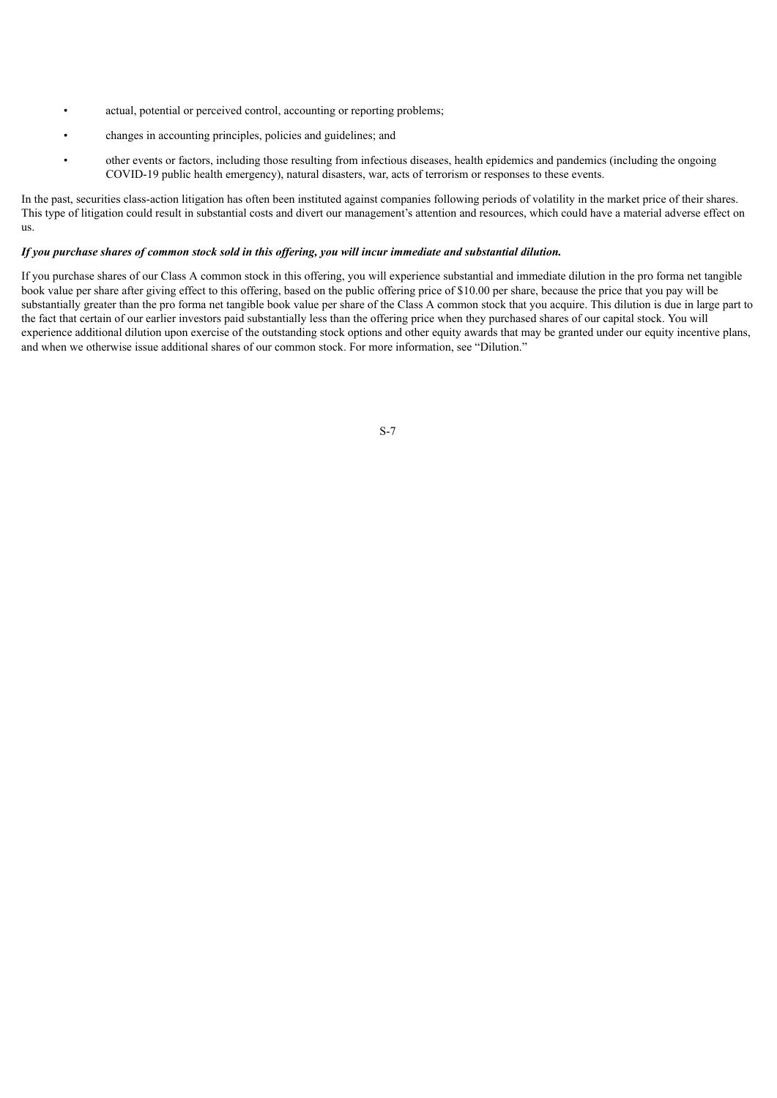- actual, potential or perceived control, accounting or reporting problems;
- changes in accounting principles, policies and guidelines; and
- other events or factors, including those resulting from infectious diseases, health epidemics and pandemics (including the ongoing COVID-19 public health emergency), natural disasters, war, acts of terrorism or responses to these events.

In the past, securities class-action litigation has often been instituted against companies following periods of volatility in the market price of their shares. This type of litigation could result in substantial costs and divert our management's attention and resources, which could have a material adverse effect on us.

## If you purchase shares of common stock sold in this offering, you will incur immediate and substantial dilution.

<span id="page-9-0"></span>If you purchase shares of our Class A common stock in this offering, you will experience substantial and immediate dilution in the pro forma net tangible book value per share after giving effect to this offering, based on the public offering price of \$10.00 per share, because the price that you pay will be substantially greater than the pro forma net tangible book value per share of the Class A common stock that you acquire. This dilution is due in large part to the fact that certain of our earlier investors paid substantially less than the offering price when they purchased shares of our capital stock. You will experience additional dilution upon exercise of the outstanding stock options and other equity awards that may be granted under our equity incentive plans, and when we otherwise issue additional shares of our common stock. For more information, see "Dilution."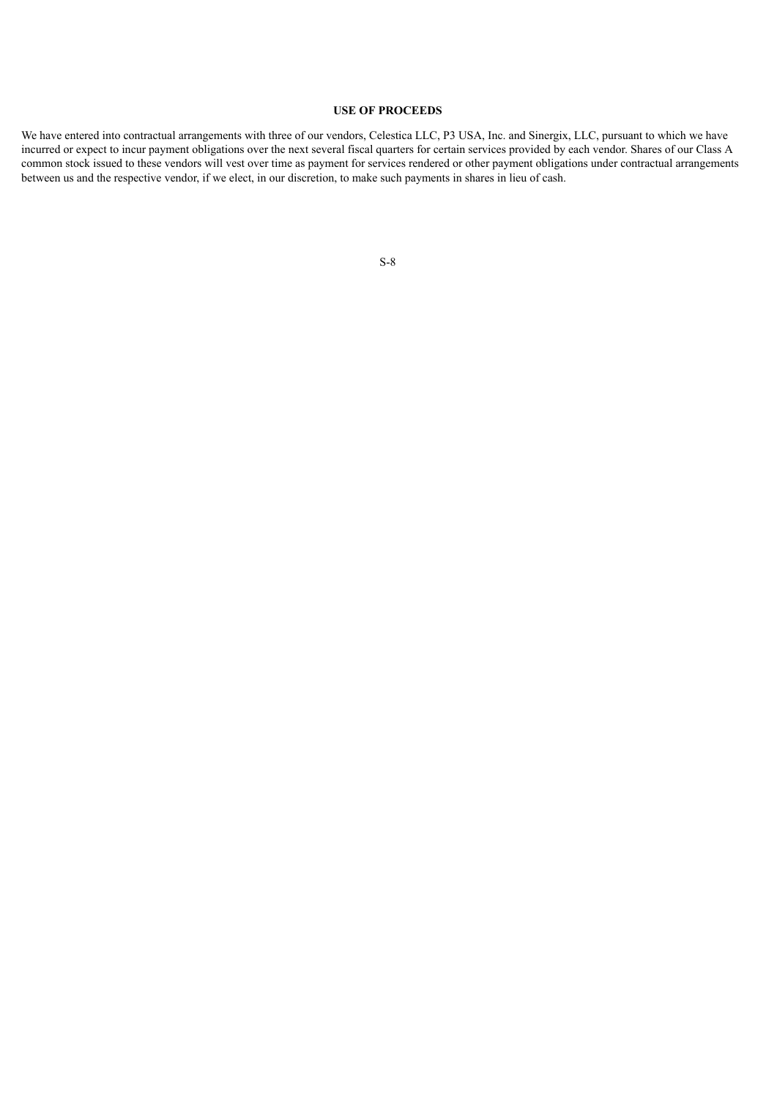## **USE OF PROCEEDS**

<span id="page-10-0"></span>We have entered into contractual arrangements with three of our vendors, Celestica LLC, P3 USA, Inc. and Sinergix, LLC, pursuant to which we have incurred or expect to incur payment obligations over the next several fiscal quarters for certain services provided by each vendor. Shares of our Class A common stock issued to these vendors will vest over time as payment for services rendered or other payment obligations under contractual arrangements between us and the respective vendor, if we elect, in our discretion, to make such payments in shares in lieu of cash.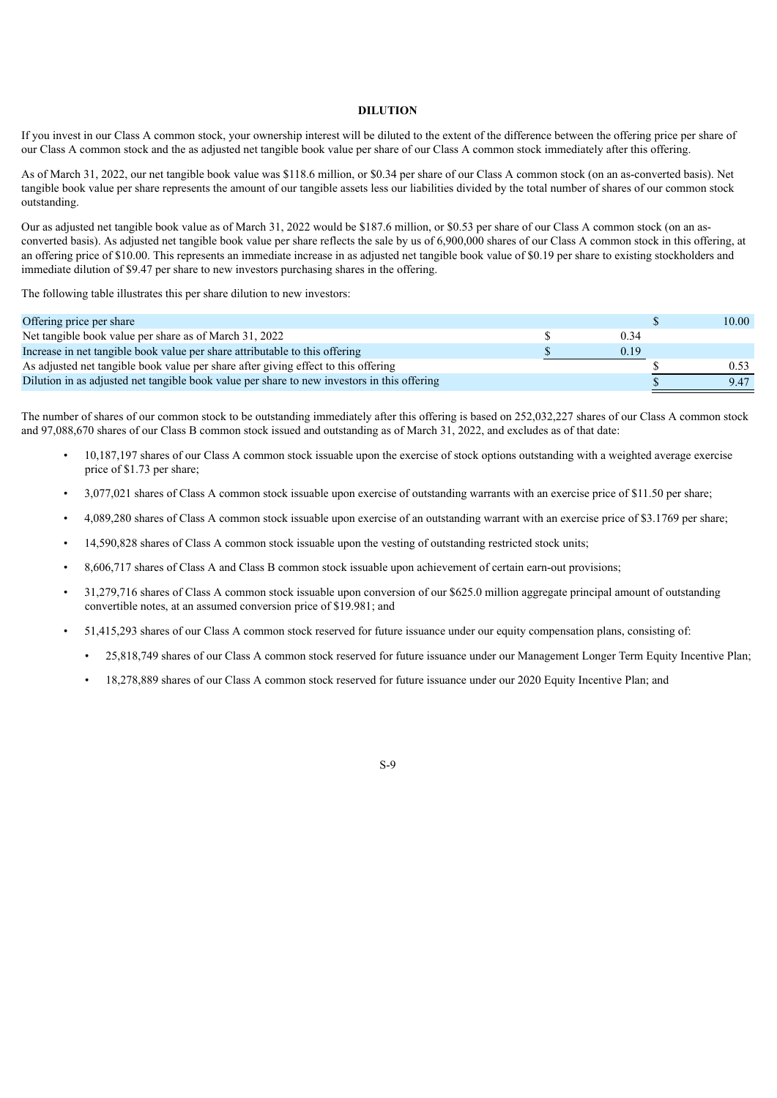## **DILUTION**

If you invest in our Class A common stock, your ownership interest will be diluted to the extent of the difference between the offering price per share of our Class A common stock and the as adjusted net tangible book value per share of our Class A common stock immediately after this offering.

As of March 31, 2022, our net tangible book value was \$118.6 million, or \$0.34 per share of our Class A common stock (on an as-converted basis). Net tangible book value per share represents the amount of our tangible assets less our liabilities divided by the total number of shares of our common stock outstanding.

Our as adjusted net tangible book value as of March 31, 2022 would be \$187.6 million, or \$0.53 per share of our Class A common stock (on an asconverted basis). As adjusted net tangible book value per share reflects the sale by us of 6,900,000 shares of our Class A common stock in this offering, at an offering price of \$10.00. This represents an immediate increase in as adjusted net tangible book value of \$0.19 per share to existing stockholders and immediate dilution of \$9.47 per share to new investors purchasing shares in the offering.

The following table illustrates this per share dilution to new investors:

| Offering price per share                                                                    |      | 10.00 |
|---------------------------------------------------------------------------------------------|------|-------|
| Net tangible book value per share as of March 31, 2022                                      | 0.34 |       |
| Increase in net tangible book value per share attributable to this offering                 | 0.19 |       |
| As adjusted net tangible book value per share after giving effect to this offering          |      | 0.53  |
| Dilution in as adjusted net tangible book value per share to new investors in this offering |      | 9.47  |

The number of shares of our common stock to be outstanding immediately after this offering is based on 252,032,227 shares of our Class A common stock and 97,088,670 shares of our Class B common stock issued and outstanding as of March 31, 2022, and excludes as of that date:

- 10,187,197 shares of our Class A common stock issuable upon the exercise of stock options outstanding with a weighted average exercise price of \$1.73 per share;
- 3,077,021 shares of Class A common stock issuable upon exercise of outstanding warrants with an exercise price of \$11.50 per share;
- 4,089,280 shares of Class A common stock issuable upon exercise of an outstanding warrant with an exercise price of \$3.1769 per share;
- 14,590,828 shares of Class A common stock issuable upon the vesting of outstanding restricted stock units;
- 8,606,717 shares of Class A and Class B common stock issuable upon achievement of certain earn-out provisions;
- 31,279,716 shares of Class A common stock issuable upon conversion of our \$625.0 million aggregate principal amount of outstanding convertible notes, at an assumed conversion price of \$19.981; and
- 51,415,293 shares of our Class A common stock reserved for future issuance under our equity compensation plans, consisting of:
	- 25,818,749 shares of our Class A common stock reserved for future issuance under our Management Longer Term Equity Incentive Plan;
	- 18,278,889 shares of our Class A common stock reserved for future issuance under our 2020 Equity Incentive Plan; and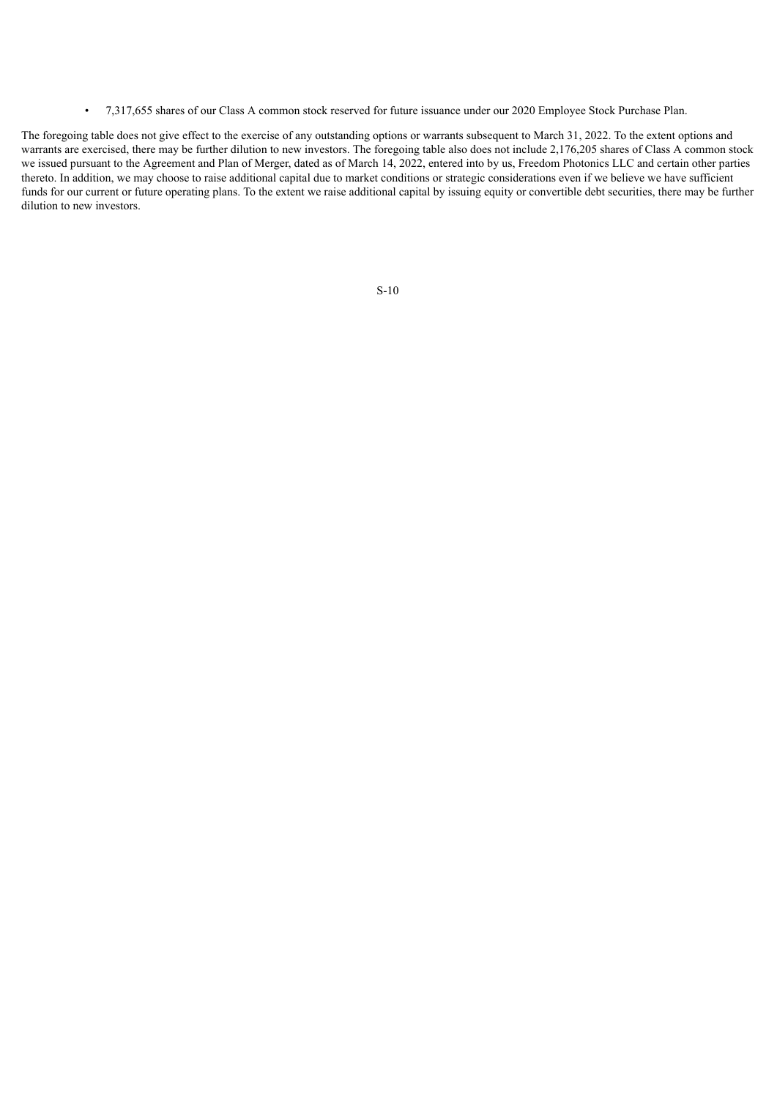• 7,317,655 shares of our Class A common stock reserved for future issuance under our 2020 Employee Stock Purchase Plan.

<span id="page-12-0"></span>The foregoing table does not give effect to the exercise of any outstanding options or warrants subsequent to March 31, 2022. To the extent options and warrants are exercised, there may be further dilution to new investors. The foregoing table also does not include 2,176,205 shares of Class A common stock we issued pursuant to the Agreement and Plan of Merger, dated as of March 14, 2022, entered into by us, Freedom Photonics LLC and certain other parties thereto. In addition, we may choose to raise additional capital due to market conditions or strategic considerations even if we believe we have sufficient funds for our current or future operating plans. To the extent we raise additional capital by issuing equity or convertible debt securities, there may be further dilution to new investors.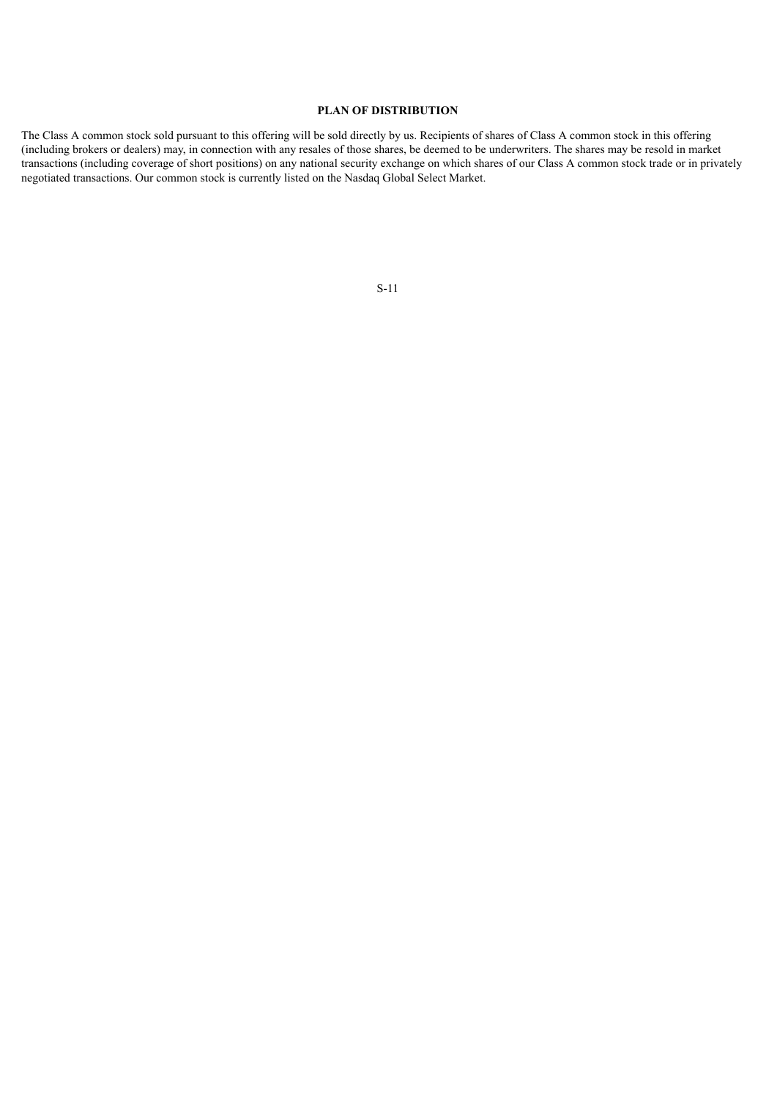## **PLAN OF DISTRIBUTION**

<span id="page-13-0"></span>The Class A common stock sold pursuant to this offering will be sold directly by us. Recipients of shares of Class A common stock in this offering (including brokers or dealers) may, in connection with any resales of those shares, be deemed to be underwriters. The shares may be resold in market transactions (including coverage of short positions) on any national security exchange on which shares of our Class A common stock trade or in privately negotiated transactions. Our common stock is currently listed on the Nasdaq Global Select Market.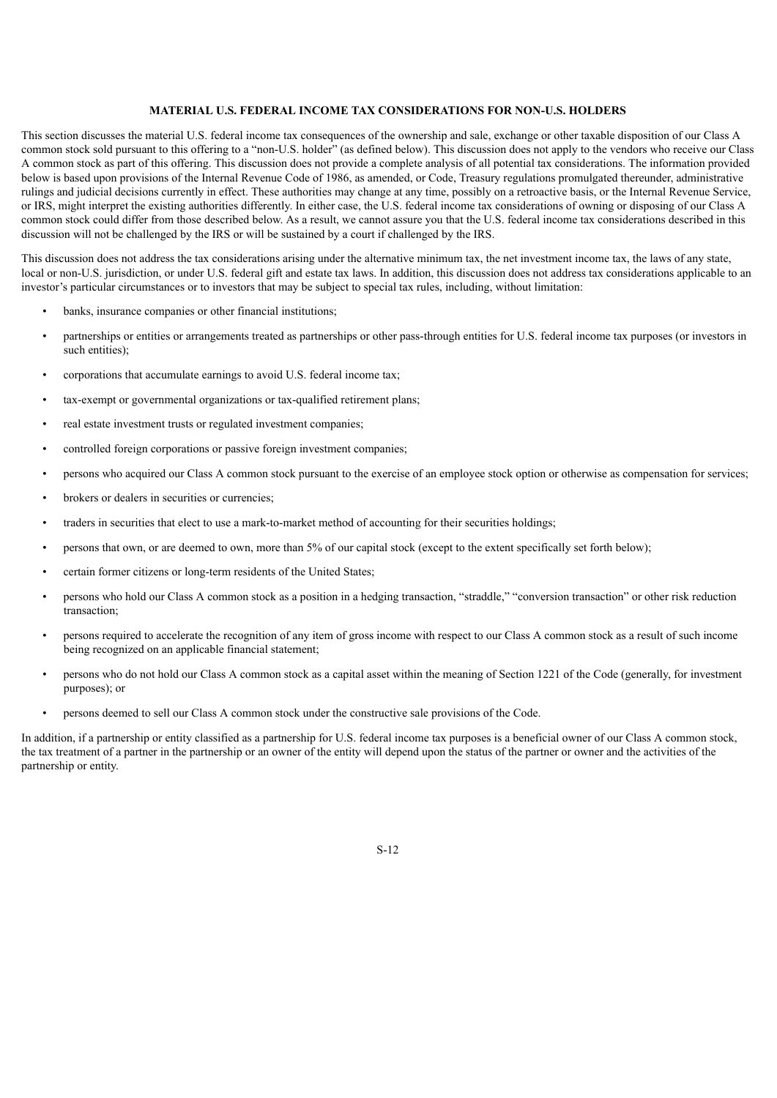## **MATERIAL U.S. FEDERAL INCOME TAX CONSIDERATIONS FOR NON-U.S. HOLDERS**

This section discusses the material U.S. federal income tax consequences of the ownership and sale, exchange or other taxable disposition of our Class A common stock sold pursuant to this offering to a "non-U.S. holder" (as defined below). This discussion does not apply to the vendors who receive our Class A common stock as part of this offering. This discussion does not provide a complete analysis of all potential tax considerations. The information provided below is based upon provisions of the Internal Revenue Code of 1986, as amended, or Code, Treasury regulations promulgated thereunder, administrative rulings and judicial decisions currently in effect. These authorities may change at any time, possibly on a retroactive basis, or the Internal Revenue Service, or IRS, might interpret the existing authorities differently. In either case, the U.S. federal income tax considerations of owning or disposing of our Class A common stock could differ from those described below. As a result, we cannot assure you that the U.S. federal income tax considerations described in this discussion will not be challenged by the IRS or will be sustained by a court if challenged by the IRS.

This discussion does not address the tax considerations arising under the alternative minimum tax, the net investment income tax, the laws of any state, local or non-U.S. jurisdiction, or under U.S. federal gift and estate tax laws. In addition, this discussion does not address tax considerations applicable to an investor's particular circumstances or to investors that may be subject to special tax rules, including, without limitation:

- banks, insurance companies or other financial institutions;
- partnerships or entities or arrangements treated as partnerships or other pass-through entities for U.S. federal income tax purposes (or investors in such entities)<sup>.</sup>
- corporations that accumulate earnings to avoid U.S. federal income tax;
- tax-exempt or governmental organizations or tax-qualified retirement plans;
- real estate investment trusts or regulated investment companies;
- controlled foreign corporations or passive foreign investment companies;
- persons who acquired our Class A common stock pursuant to the exercise of an employee stock option or otherwise as compensation for services;
- brokers or dealers in securities or currencies;
- traders in securities that elect to use a mark-to-market method of accounting for their securities holdings;
- persons that own, or are deemed to own, more than 5% of our capital stock (except to the extent specifically set forth below);
- certain former citizens or long-term residents of the United States;
- persons who hold our Class A common stock as a position in a hedging transaction, "straddle," "conversion transaction" or other risk reduction transaction;
- persons required to accelerate the recognition of any item of gross income with respect to our Class A common stock as a result of such income being recognized on an applicable financial statement;
- persons who do not hold our Class A common stock as a capital asset within the meaning of Section 1221 of the Code (generally, for investment purposes); or
- persons deemed to sell our Class A common stock under the constructive sale provisions of the Code.

In addition, if a partnership or entity classified as a partnership for U.S. federal income tax purposes is a beneficial owner of our Class A common stock, the tax treatment of a partner in the partnership or an owner of the entity will depend upon the status of the partner or owner and the activities of the partnership or entity.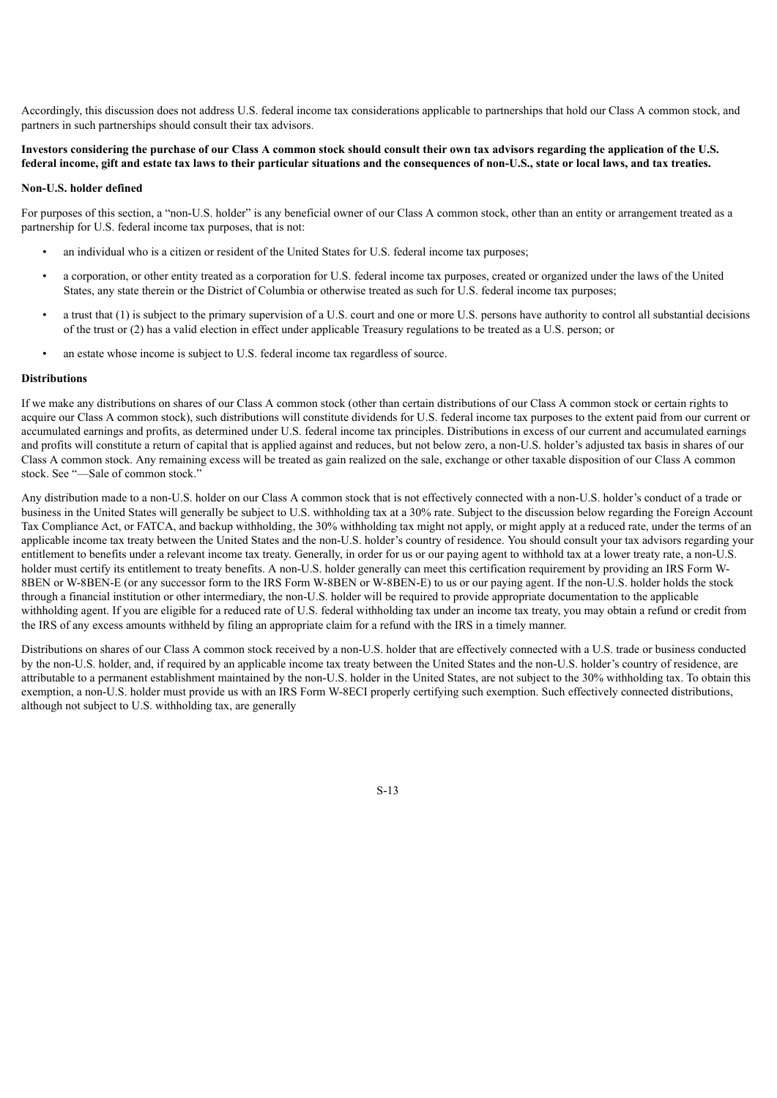Accordingly, this discussion does not address U.S. federal income tax considerations applicable to partnerships that hold our Class A common stock, and partners in such partnerships should consult their tax advisors.

## Investors considering the purchase of our Class A common stock should consult their own tax advisors regarding the application of the U.S. federal income, gift and estate tax laws to their particular situations and the consequences of non-U.S., state or local laws, and tax treaties.

### **Non-U.S. holder defined**

For purposes of this section, a "non-U.S. holder" is any beneficial owner of our Class A common stock, other than an entity or arrangement treated as a partnership for U.S. federal income tax purposes, that is not:

- an individual who is a citizen or resident of the United States for U.S. federal income tax purposes;
- a corporation, or other entity treated as a corporation for U.S. federal income tax purposes, created or organized under the laws of the United States, any state therein or the District of Columbia or otherwise treated as such for U.S. federal income tax purposes;
- a trust that (1) is subject to the primary supervision of a U.S. court and one or more U.S. persons have authority to control all substantial decisions of the trust or (2) has a valid election in effect under applicable Treasury regulations to be treated as a U.S. person; or
- an estate whose income is subject to U.S. federal income tax regardless of source.

## **Distributions**

If we make any distributions on shares of our Class A common stock (other than certain distributions of our Class A common stock or certain rights to acquire our Class A common stock), such distributions will constitute dividends for U.S. federal income tax purposes to the extent paid from our current or accumulated earnings and profits, as determined under U.S. federal income tax principles. Distributions in excess of our current and accumulated earnings and profits will constitute a return of capital that is applied against and reduces, but not below zero, a non-U.S. holder's adjusted tax basis in shares of our Class A common stock. Any remaining excess will be treated as gain realized on the sale, exchange or other taxable disposition of our Class A common stock. See "—Sale of common stock."

Any distribution made to a non-U.S. holder on our Class A common stock that is not effectively connected with a non-U.S. holder's conduct of a trade or business in the United States will generally be subject to U.S. withholding tax at a 30% rate. Subject to the discussion below regarding the Foreign Account Tax Compliance Act, or FATCA, and backup withholding, the 30% withholding tax might not apply, or might apply at a reduced rate, under the terms of an applicable income tax treaty between the United States and the non-U.S. holder's country of residence. You should consult your tax advisors regarding your entitlement to benefits under a relevant income tax treaty. Generally, in order for us or our paying agent to withhold tax at a lower treaty rate, a non-U.S. holder must certify its entitlement to treaty benefits. A non-U.S. holder generally can meet this certification requirement by providing an IRS Form W-8BEN or W-8BEN-E (or any successor form to the IRS Form W-8BEN or W-8BEN-E) to us or our paying agent. If the non-U.S. holder holds the stock through a financial institution or other intermediary, the non-U.S. holder will be required to provide appropriate documentation to the applicable withholding agent. If you are eligible for a reduced rate of U.S. federal withholding tax under an income tax treaty, you may obtain a refund or credit from the IRS of any excess amounts withheld by filing an appropriate claim for a refund with the IRS in a timely manner.

Distributions on shares of our Class A common stock received by a non-U.S. holder that are effectively connected with a U.S. trade or business conducted by the non-U.S. holder, and, if required by an applicable income tax treaty between the United States and the non-U.S. holder's country of residence, are attributable to a permanent establishment maintained by the non-U.S. holder in the United States, are not subject to the 30% withholding tax. To obtain this exemption, a non-U.S. holder must provide us with an IRS Form W-8ECI properly certifying such exemption. Such effectively connected distributions, although not subject to U.S. withholding tax, are generally

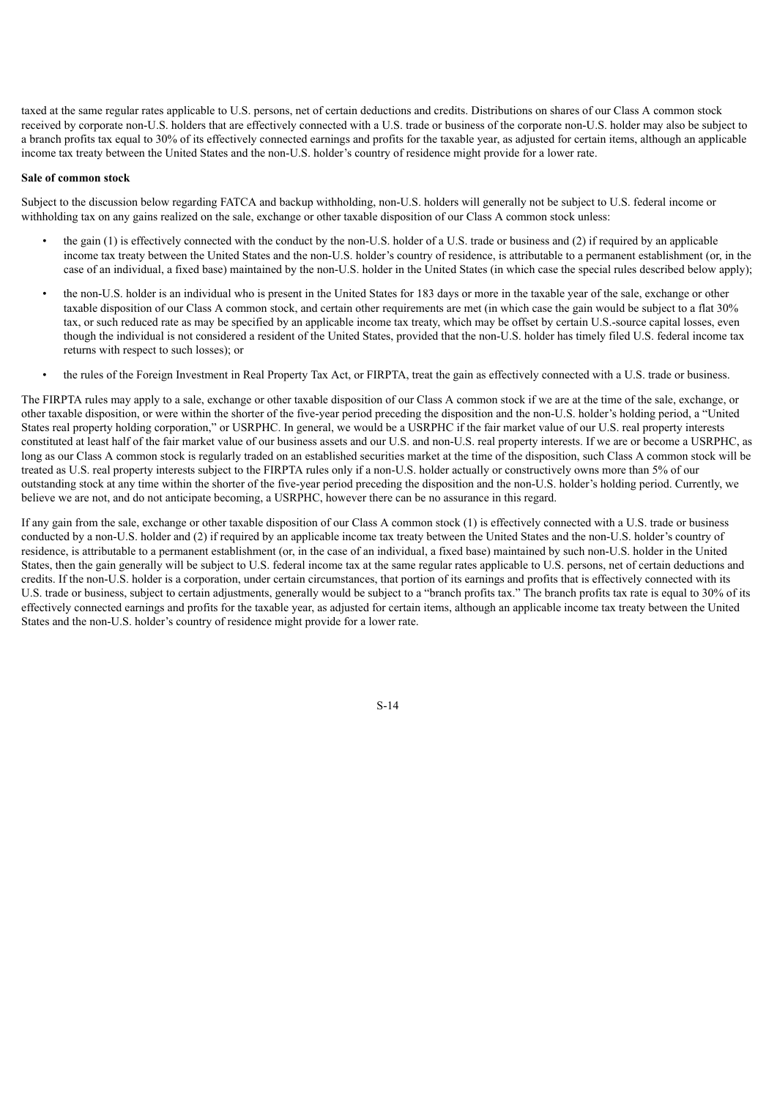taxed at the same regular rates applicable to U.S. persons, net of certain deductions and credits. Distributions on shares of our Class A common stock received by corporate non-U.S. holders that are effectively connected with a U.S. trade or business of the corporate non-U.S. holder may also be subject to a branch profits tax equal to 30% of its effectively connected earnings and profits for the taxable year, as adjusted for certain items, although an applicable income tax treaty between the United States and the non-U.S. holder's country of residence might provide for a lower rate.

### **Sale of common stock**

Subject to the discussion below regarding FATCA and backup withholding, non-U.S. holders will generally not be subject to U.S. federal income or withholding tax on any gains realized on the sale, exchange or other taxable disposition of our Class A common stock unless:

- the gain (1) is effectively connected with the conduct by the non-U.S. holder of a U.S. trade or business and (2) if required by an applicable income tax treaty between the United States and the non-U.S. holder's country of residence, is attributable to a permanent establishment (or, in the case of an individual, a fixed base) maintained by the non-U.S. holder in the United States (in which case the special rules described below apply);
- the non-U.S. holder is an individual who is present in the United States for 183 days or more in the taxable year of the sale, exchange or other taxable disposition of our Class A common stock, and certain other requirements are met (in which case the gain would be subject to a flat 30% tax, or such reduced rate as may be specified by an applicable income tax treaty, which may be offset by certain U.S.-source capital losses, even though the individual is not considered a resident of the United States, provided that the non-U.S. holder has timely filed U.S. federal income tax returns with respect to such losses); or
- the rules of the Foreign Investment in Real Property Tax Act, or FIRPTA, treat the gain as effectively connected with a U.S. trade or business.

The FIRPTA rules may apply to a sale, exchange or other taxable disposition of our Class A common stock if we are at the time of the sale, exchange, or other taxable disposition, or were within the shorter of the five-year period preceding the disposition and the non-U.S. holder's holding period, a "United States real property holding corporation," or USRPHC. In general, we would be a USRPHC if the fair market value of our U.S. real property interests constituted at least half of the fair market value of our business assets and our U.S. and non-U.S. real property interests. If we are or become a USRPHC, as long as our Class A common stock is regularly traded on an established securities market at the time of the disposition, such Class A common stock will be treated as U.S. real property interests subject to the FIRPTA rules only if a non-U.S. holder actually or constructively owns more than 5% of our outstanding stock at any time within the shorter of the five-year period preceding the disposition and the non-U.S. holder's holding period. Currently, we believe we are not, and do not anticipate becoming, a USRPHC, however there can be no assurance in this regard.

If any gain from the sale, exchange or other taxable disposition of our Class A common stock (1) is effectively connected with a U.S. trade or business conducted by a non-U.S. holder and (2) if required by an applicable income tax treaty between the United States and the non-U.S. holder's country of residence, is attributable to a permanent establishment (or, in the case of an individual, a fixed base) maintained by such non-U.S. holder in the United States, then the gain generally will be subject to U.S. federal income tax at the same regular rates applicable to U.S. persons, net of certain deductions and credits. If the non-U.S. holder is a corporation, under certain circumstances, that portion of its earnings and profits that is effectively connected with its U.S. trade or business, subject to certain adjustments, generally would be subject to a "branch profits tax." The branch profits tax rate is equal to 30% of its effectively connected earnings and profits for the taxable year, as adjusted for certain items, although an applicable income tax treaty between the United States and the non-U.S. holder's country of residence might provide for a lower rate.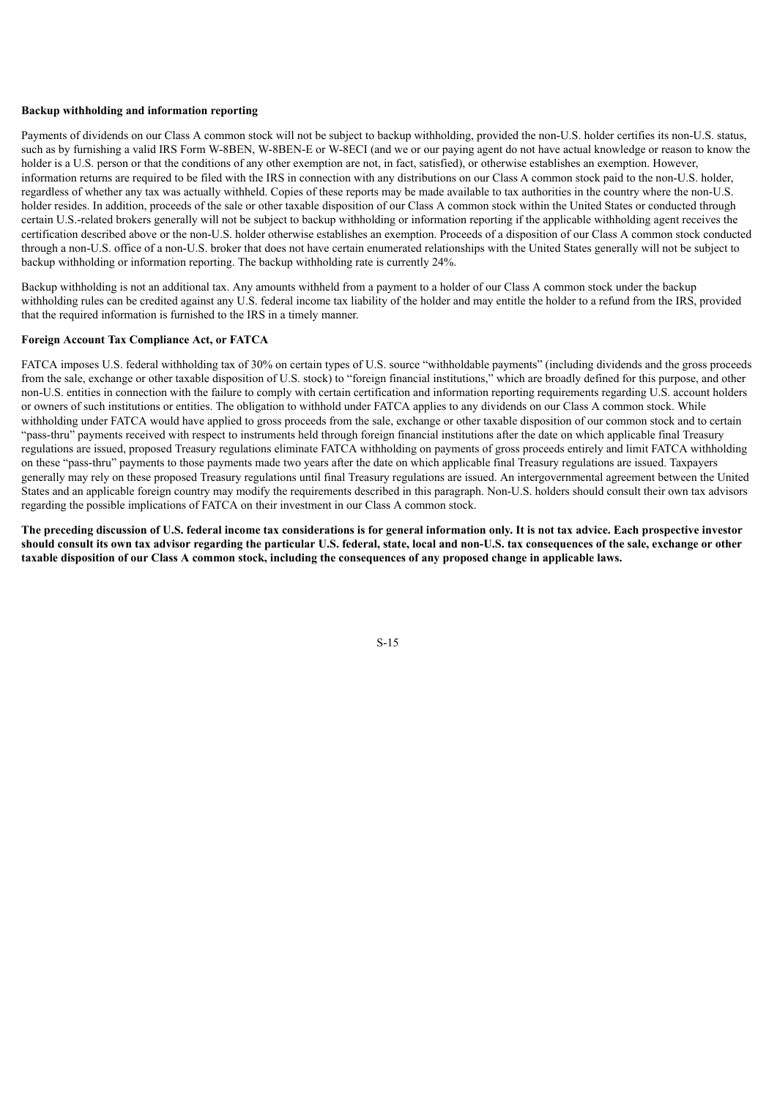## **Backup withholding and information reporting**

Payments of dividends on our Class A common stock will not be subject to backup withholding, provided the non-U.S. holder certifies its non-U.S. status, such as by furnishing a valid IRS Form W-8BEN, W-8BEN-E or W-8ECI (and we or our paying agent do not have actual knowledge or reason to know the holder is a U.S. person or that the conditions of any other exemption are not, in fact, satisfied), or otherwise establishes an exemption. However, information returns are required to be filed with the IRS in connection with any distributions on our Class A common stock paid to the non-U.S. holder, regardless of whether any tax was actually withheld. Copies of these reports may be made available to tax authorities in the country where the non-U.S. holder resides. In addition, proceeds of the sale or other taxable disposition of our Class A common stock within the United States or conducted through certain U.S.-related brokers generally will not be subject to backup withholding or information reporting if the applicable withholding agent receives the certification described above or the non-U.S. holder otherwise establishes an exemption. Proceeds of a disposition of our Class A common stock conducted through a non-U.S. office of a non-U.S. broker that does not have certain enumerated relationships with the United States generally will not be subject to backup withholding or information reporting. The backup withholding rate is currently 24%.

Backup withholding is not an additional tax. Any amounts withheld from a payment to a holder of our Class A common stock under the backup withholding rules can be credited against any U.S. federal income tax liability of the holder and may entitle the holder to a refund from the IRS, provided that the required information is furnished to the IRS in a timely manner.

## **Foreign Account Tax Compliance Act, or FATCA**

FATCA imposes U.S. federal withholding tax of 30% on certain types of U.S. source "withholdable payments" (including dividends and the gross proceeds from the sale, exchange or other taxable disposition of U.S. stock) to "foreign financial institutions," which are broadly defined for this purpose, and other non-U.S. entities in connection with the failure to comply with certain certification and information reporting requirements regarding U.S. account holders or owners of such institutions or entities. The obligation to withhold under FATCA applies to any dividends on our Class A common stock. While withholding under FATCA would have applied to gross proceeds from the sale, exchange or other taxable disposition of our common stock and to certain "pass-thru" payments received with respect to instruments held through foreign financial institutions after the date on which applicable final Treasury regulations are issued, proposed Treasury regulations eliminate FATCA withholding on payments of gross proceeds entirely and limit FATCA withholding on these "pass-thru" payments to those payments made two years after the date on which applicable final Treasury regulations are issued. Taxpayers generally may rely on these proposed Treasury regulations until final Treasury regulations are issued. An intergovernmental agreement between the United States and an applicable foreign country may modify the requirements described in this paragraph. Non-U.S. holders should consult their own tax advisors regarding the possible implications of FATCA on their investment in our Class A common stock.

<span id="page-17-0"></span>The preceding discussion of U.S. federal income tax considerations is for general information only. It is not tax advice. Each prospective investor should consult its own tax advisor regarding the particular U.S. federal, state, local and non-U.S. tax consequences of the sale, exchange or other taxable disposition of our Class A common stock, including the consequences of any proposed change in applicable laws.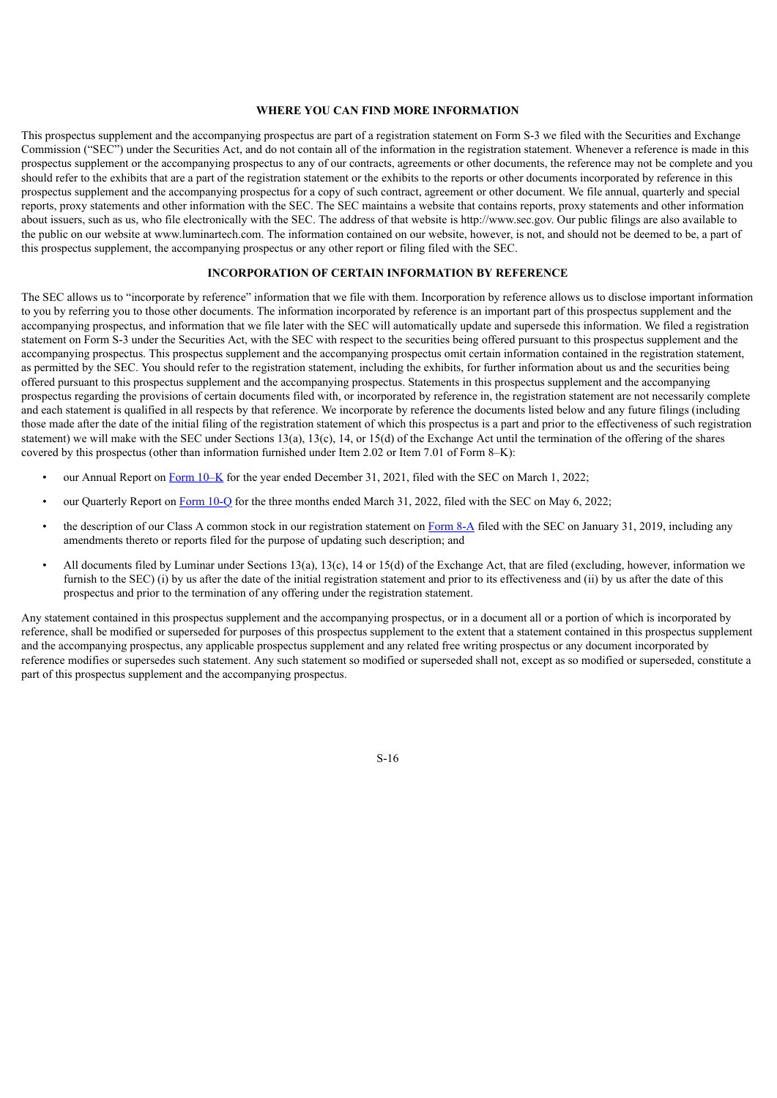## **WHERE YOU CAN FIND MORE INFORMATION**

This prospectus supplement and the accompanying prospectus are part of a registration statement on Form S-3 we filed with the Securities and Exchange Commission ("SEC") under the Securities Act, and do not contain all of the information in the registration statement. Whenever a reference is made in this prospectus supplement or the accompanying prospectus to any of our contracts, agreements or other documents, the reference may not be complete and you should refer to the exhibits that are a part of the registration statement or the exhibits to the reports or other documents incorporated by reference in this prospectus supplement and the accompanying prospectus for a copy of such contract, agreement or other document. We file annual, quarterly and special reports, proxy statements and other information with the SEC. The SEC maintains a website that contains reports, proxy statements and other information about issuers, such as us, who file electronically with the SEC. The address of that website is http://www.sec.gov. Our public filings are also available to the public on our website at www.luminartech.com. The information contained on our website, however, is not, and should not be deemed to be, a part of this prospectus supplement, the accompanying prospectus or any other report or filing filed with the SEC.

## **INCORPORATION OF CERTAIN INFORMATION BY REFERENCE**

<span id="page-18-0"></span>The SEC allows us to "incorporate by reference" information that we file with them. Incorporation by reference allows us to disclose important information to you by referring you to those other documents. The information incorporated by reference is an important part of this prospectus supplement and the accompanying prospectus, and information that we file later with the SEC will automatically update and supersede this information. We filed a registration statement on Form S-3 under the Securities Act, with the SEC with respect to the securities being offered pursuant to this prospectus supplement and the accompanying prospectus. This prospectus supplement and the accompanying prospectus omit certain information contained in the registration statement, as permitted by the SEC. You should refer to the registration statement, including the exhibits, for further information about us and the securities being offered pursuant to this prospectus supplement and the accompanying prospectus. Statements in this prospectus supplement and the accompanying prospectus regarding the provisions of certain documents filed with, or incorporated by reference in, the registration statement are not necessarily complete and each statement is qualified in all respects by that reference. We incorporate by reference the documents listed below and any future filings (including those made after the date of the initial filing of the registration statement of which this prospectus is a part and prior to the effectiveness of such registration statement) we will make with the SEC under Sections 13(a), 13(c), 14, or 15(d) of the Exchange Act until the termination of the offering of the shares covered by this prospectus (other than information furnished under Item 2.02 or Item 7.01 of Form 8–K):

- our Annual Report on Form [10–K](https://www.sec.gov/ix?doc=/Archives/edgar/data/0001758057/000162828022004366/lazr-20211231.htm) for the year ended December 31, 2021, filed with the SEC on March 1, 2022;
- our Quarterly Report on [Form](https://www.sec.gov/ix?doc=/Archives/edgar/data/0001758057/000162828022013113/lazr-20220331.htm) 10-Q for the three months ended March 31, 2022, filed with the SEC on May 6, 2022;
- the description of our Class A common stock in our registration statement on [Form](https://www.sec.gov/Archives/edgar/data/0001758057/000119312519023624/d670884d8a12b.htm) 8-A filed with the SEC on January 31, 2019, including any amendments thereto or reports filed for the purpose of updating such description; and
- All documents filed by Luminar under Sections 13(a), 13(c), 14 or 15(d) of the Exchange Act, that are filed (excluding, however, information we furnish to the SEC) (i) by us after the date of the initial registration statement and prior to its effectiveness and (ii) by us after the date of this prospectus and prior to the termination of any offering under the registration statement.

Any statement contained in this prospectus supplement and the accompanying prospectus, or in a document all or a portion of which is incorporated by reference, shall be modified or superseded for purposes of this prospectus supplement to the extent that a statement contained in this prospectus supplement and the accompanying prospectus, any applicable prospectus supplement and any related free writing prospectus or any document incorporated by reference modifies or supersedes such statement. Any such statement so modified or superseded shall not, except as so modified or superseded, constitute a part of this prospectus supplement and the accompanying prospectus.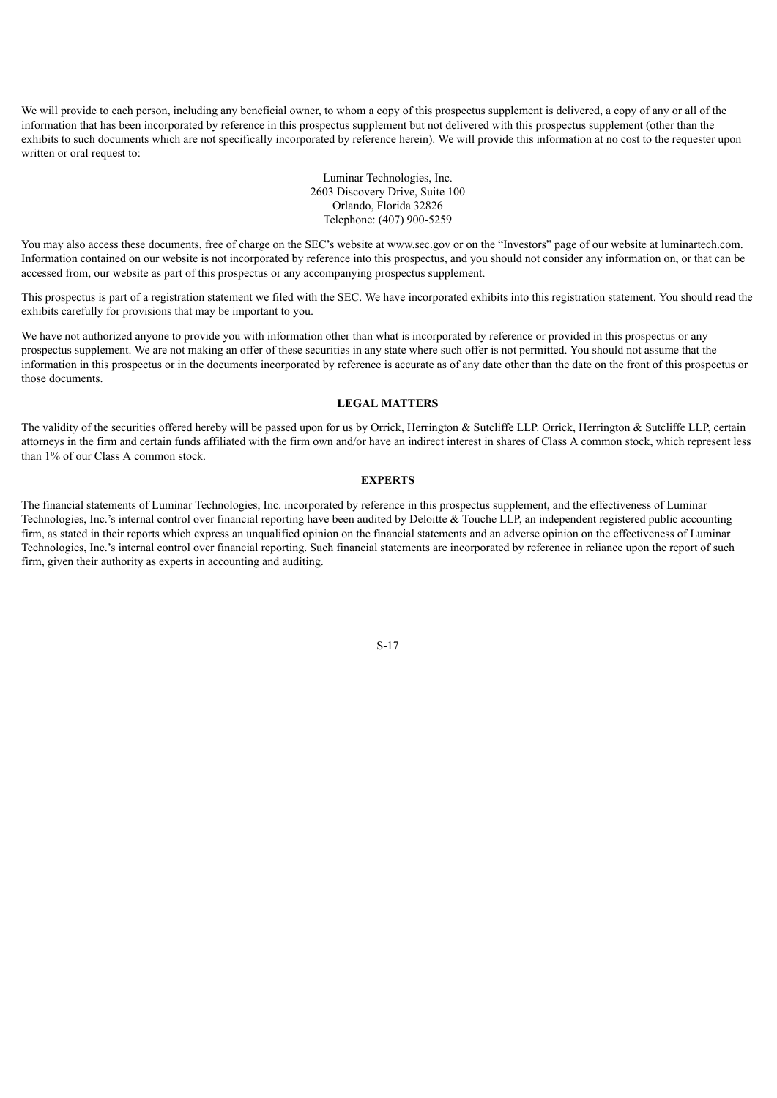We will provide to each person, including any beneficial owner, to whom a copy of this prospectus supplement is delivered, a copy of any or all of the information that has been incorporated by reference in this prospectus supplement but not delivered with this prospectus supplement (other than the exhibits to such documents which are not specifically incorporated by reference herein). We will provide this information at no cost to the requester upon written or oral request to:

> Luminar Technologies, Inc. 2603 Discovery Drive, Suite 100 Orlando, Florida 32826 Telephone: (407) 900-5259

You may also access these documents, free of charge on the SEC's website at www.sec.gov or on the "Investors" page of our website at luminartech.com. Information contained on our website is not incorporated by reference into this prospectus, and you should not consider any information on, or that can be accessed from, our website as part of this prospectus or any accompanying prospectus supplement.

This prospectus is part of a registration statement we filed with the SEC. We have incorporated exhibits into this registration statement. You should read the exhibits carefully for provisions that may be important to you.

We have not authorized anyone to provide you with information other than what is incorporated by reference or provided in this prospectus or any prospectus supplement. We are not making an offer of these securities in any state where such offer is not permitted. You should not assume that the information in this prospectus or in the documents incorporated by reference is accurate as of any date other than the date on the front of this prospectus or those documents.

## **LEGAL MATTERS**

<span id="page-19-0"></span>The validity of the securities offered hereby will be passed upon for us by Orrick, Herrington & Sutcliffe LLP, Orrick, Herrington & Sutcliffe LLP, certain attorneys in the firm and certain funds affiliated with the firm own and/or have an indirect interest in shares of Class A common stock, which represent less than 1% of our Class A common stock.

## **EXPERTS**

<span id="page-19-1"></span>The financial statements of Luminar Technologies, Inc. incorporated by reference in this prospectus supplement, and the effectiveness of Luminar Technologies, Inc.'s internal control over financial reporting have been audited by Deloitte & Touche LLP, an independent registered public accounting firm, as stated in their reports which express an unqualified opinion on the financial statements and an adverse opinion on the effectiveness of Luminar Technologies, Inc.'s internal control over financial reporting. Such financial statements are incorporated by reference in reliance upon the report of such firm, given their authority as experts in accounting and auditing.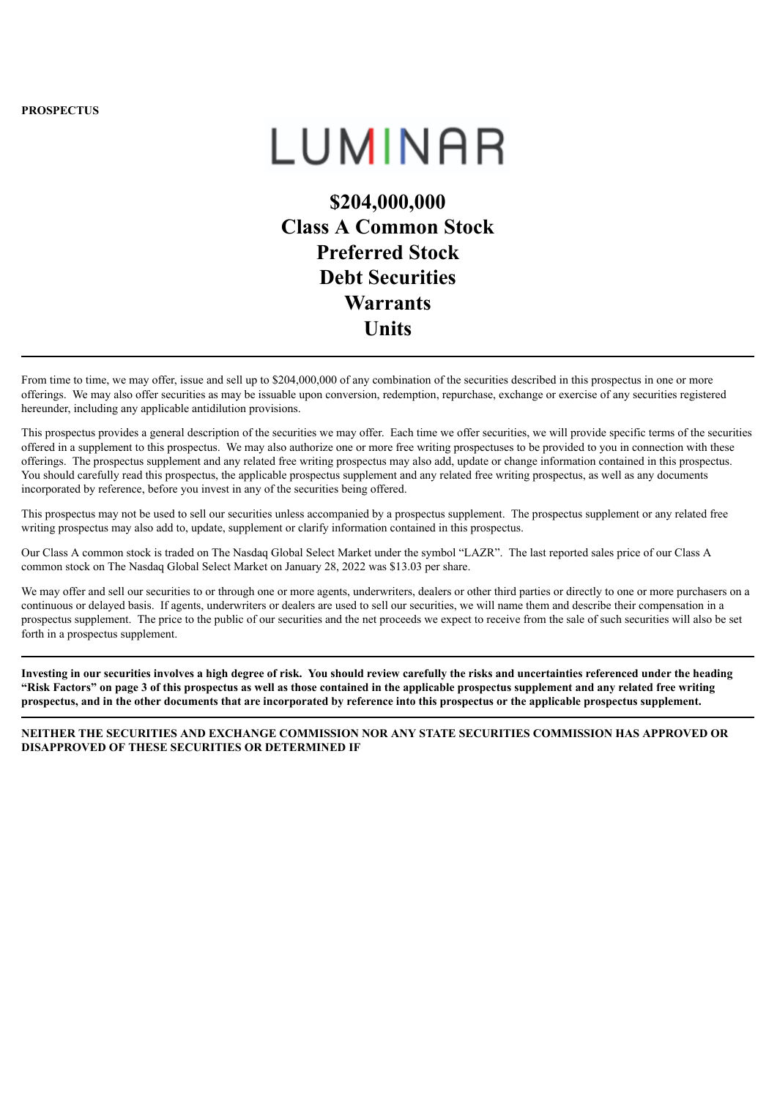**PROSPECTUS**

# LUMINAR

**\$204,000,000 Class A Common Stock Preferred Stock Debt Securities Warrants Units**

From time to time, we may offer, issue and sell up to \$204,000,000 of any combination of the securities described in this prospectus in one or more offerings. We may also offer securities as may be issuable upon conversion, redemption, repurchase, exchange or exercise of any securities registered hereunder, including any applicable antidilution provisions.

This prospectus provides a general description of the securities we may offer. Each time we offer securities, we will provide specific terms of the securities offered in a supplement to this prospectus. We may also authorize one or more free writing prospectuses to be provided to you in connection with these offerings. The prospectus supplement and any related free writing prospectus may also add, update or change information contained in this prospectus. You should carefully read this prospectus, the applicable prospectus supplement and any related free writing prospectus, as well as any documents incorporated by reference, before you invest in any of the securities being offered.

This prospectus may not be used to sell our securities unless accompanied by a prospectus supplement. The prospectus supplement or any related free writing prospectus may also add to, update, supplement or clarify information contained in this prospectus.

Our Class A common stock is traded on The Nasdaq Global Select Market under the symbol "LAZR". The last reported sales price of our Class A common stock on The Nasdaq Global Select Market on January 28, 2022 was \$13.03 per share.

We may offer and sell our securities to or through one or more agents, underwriters, dealers or other third parties or directly to one or more purchasers on a continuous or delayed basis. If agents, underwriters or dealers are used to sell our securities, we will name them and describe their compensation in a prospectus supplement. The price to the public of our securities and the net proceeds we expect to receive from the sale of such securities will also be set forth in a prospectus supplement.

Investing in our securities involves a high degree of risk. You should review carefully the risks and uncertainties referenced under the heading "Risk Factors" on page 3 of this prospectus as well as those contained in the applicable prospectus supplement and any related free writing prospectus, and in the other documents that are incorporated by reference into this prospectus or the applicable prospectus supplement.

**NEITHER THE SECURITIES AND EXCHANGE COMMISSION NOR ANY STATE SECURITIES COMMISSION HAS APPROVED OR DISAPPROVED OF THESE SECURITIES OR DETERMINED IF**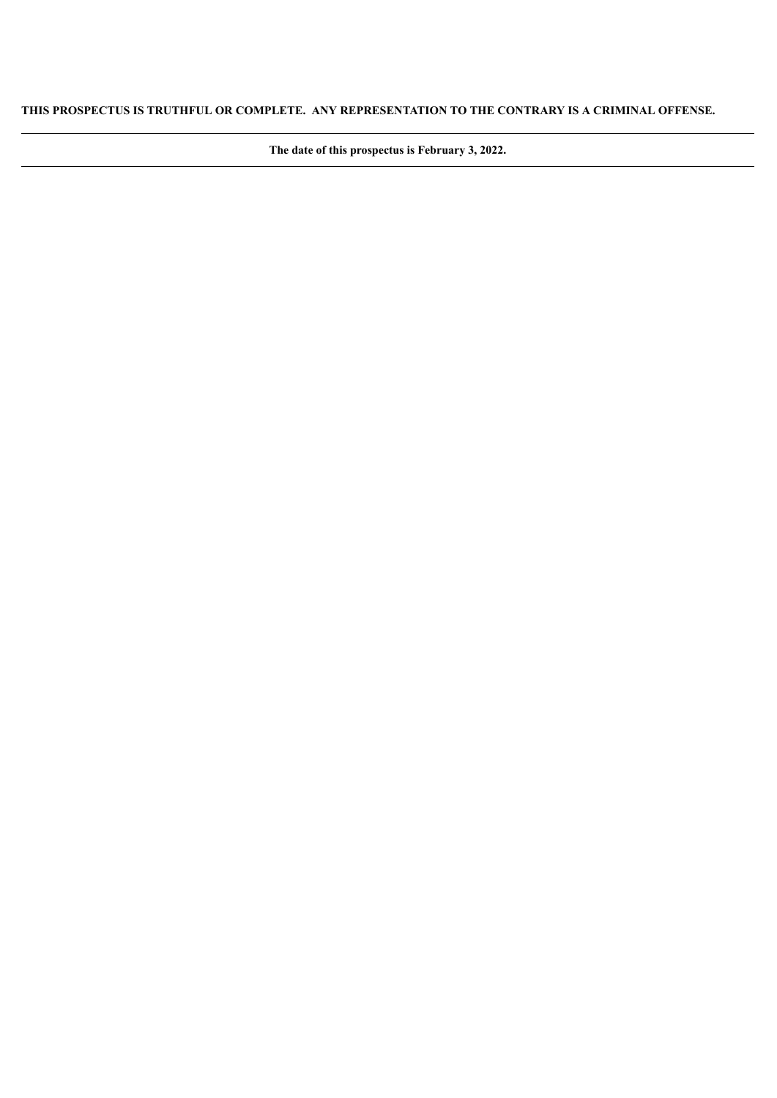## **THIS PROSPECTUS IS TRUTHFUL OR COMPLETE. ANY REPRESENTATION TO THE CONTRARY IS A CRIMINAL OFFENSE.**

**The date of this prospectus is February 3, 2022.**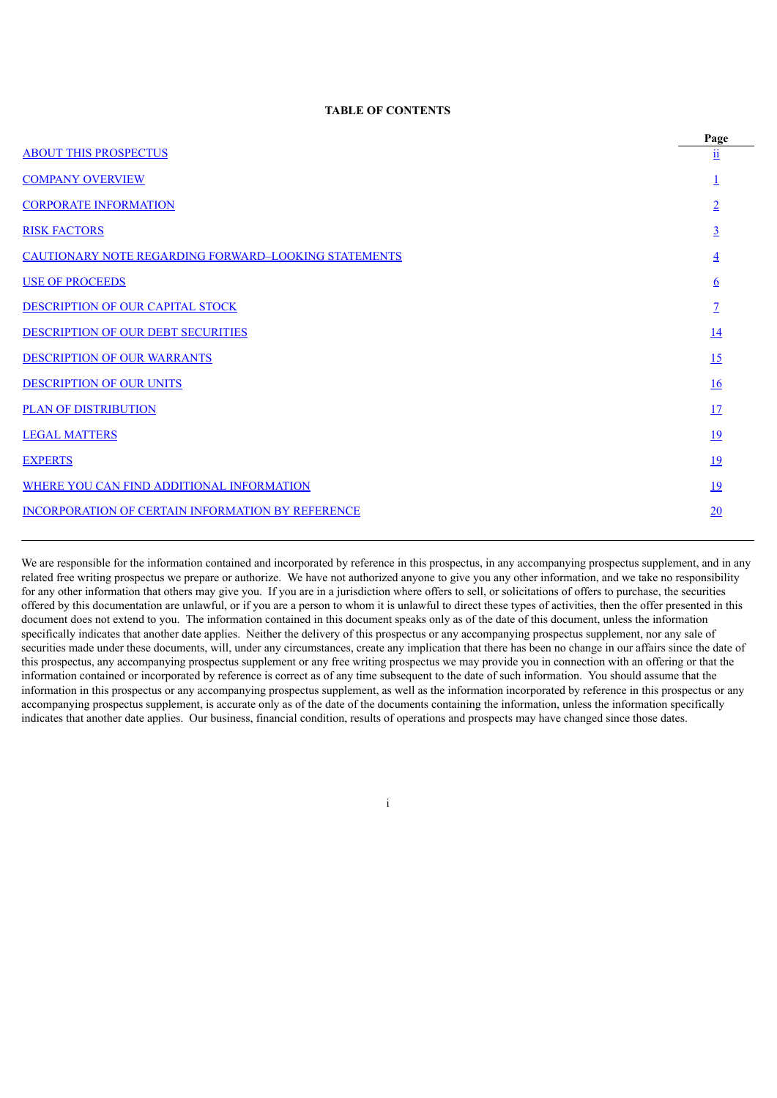## **TABLE OF CONTENTS**

|                                                             | Page                    |
|-------------------------------------------------------------|-------------------------|
| <b>ABOUT THIS PROSPECTUS</b>                                | $\overline{\mathbf{u}}$ |
| <b>COMPANY OVERVIEW</b>                                     |                         |
| <b>CORPORATE INFORMATION</b>                                |                         |
| <b>RISK FACTORS</b>                                         | 3                       |
| <b>CAUTIONARY NOTE REGARDING FORWARD-LOOKING STATEMENTS</b> | 4                       |
| <b>USE OF PROCEEDS</b>                                      | 6                       |
| DESCRIPTION OF OUR CAPITAL STOCK                            | 7                       |
| DESCRIPTION OF OUR DEBT SECURITIES                          | <u>14</u>               |
| <b>DESCRIPTION OF OUR WARRANTS</b>                          | 15                      |
| <b>DESCRIPTION OF OUR UNITS</b>                             | 16                      |
| <b>PLAN OF DISTRIBUTION</b>                                 | 17                      |
| <b>LEGAL MATTERS</b>                                        | <u>19</u>               |
| <b>EXPERTS</b>                                              | 19                      |
| WHERE YOU CAN FIND ADDITIONAL INFORMATION                   | <u>19</u>               |
| INCORPORATION OF CERTAIN INFORMATION BY REFERENCE           | 20                      |
|                                                             |                         |

<span id="page-22-0"></span>We are responsible for the information contained and incorporated by reference in this prospectus, in any accompanying prospectus supplement, and in any related free writing prospectus we prepare or authorize. We have not authorized anyone to give you any other information, and we take no responsibility for any other information that others may give you. If you are in a jurisdiction where offers to sell, or solicitations of offers to purchase, the securities offered by this documentation are unlawful, or if you are a person to whom it is unlawful to direct these types of activities, then the offer presented in this document does not extend to you. The information contained in this document speaks only as of the date of this document, unless the information specifically indicates that another date applies. Neither the delivery of this prospectus or any accompanying prospectus supplement, nor any sale of securities made under these documents, will, under any circumstances, create any implication that there has been no change in our affairs since the date of this prospectus, any accompanying prospectus supplement or any free writing prospectus we may provide you in connection with an offering or that the information contained or incorporated by reference is correct as of any time subsequent to the date of such information. You should assume that the information in this prospectus or any accompanying prospectus supplement, as well as the information incorporated by reference in this prospectus or any accompanying prospectus supplement, is accurate only as of the date of the documents containing the information, unless the information specifically indicates that another date applies. Our business, financial condition, results of operations and prospects may have changed since those dates.

i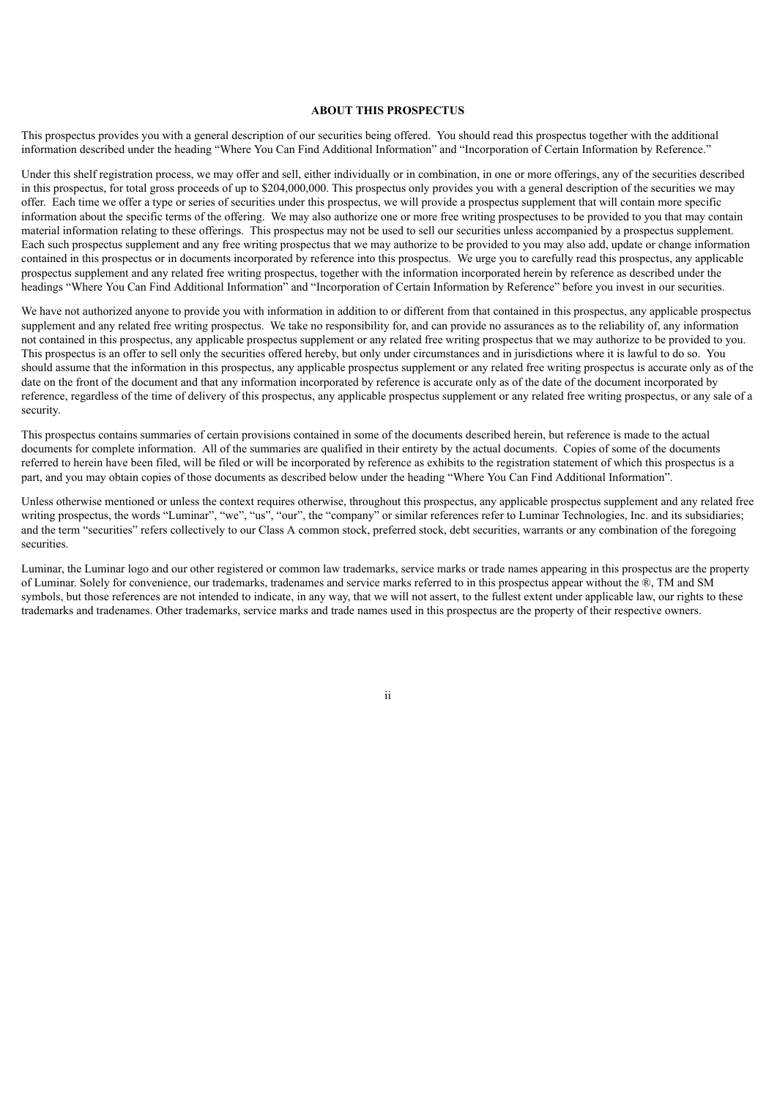## **ABOUT THIS PROSPECTUS**

This prospectus provides you with a general description of our securities being offered. You should read this prospectus together with the additional information described under the heading "Where You Can Find Additional Information" and "Incorporation of Certain Information by Reference."

Under this shelf registration process, we may offer and sell, either individually or in combination, in one or more offerings, any of the securities described in this prospectus, for total gross proceeds of up to \$204,000,000. This prospectus only provides you with a general description of the securities we may offer. Each time we offer a type or series of securities under this prospectus, we will provide a prospectus supplement that will contain more specific information about the specific terms of the offering. We may also authorize one or more free writing prospectuses to be provided to you that may contain material information relating to these offerings. This prospectus may not be used to sell our securities unless accompanied by a prospectus supplement. Each such prospectus supplement and any free writing prospectus that we may authorize to be provided to you may also add, update or change information contained in this prospectus or in documents incorporated by reference into this prospectus. We urge you to carefully read this prospectus, any applicable prospectus supplement and any related free writing prospectus, together with the information incorporated herein by reference as described under the headings "Where You Can Find Additional Information" and "Incorporation of Certain Information by Reference" before you invest in our securities.

We have not authorized anyone to provide you with information in addition to or different from that contained in this prospectus, any applicable prospectus supplement and any related free writing prospectus. We take no responsibility for, and can provide no assurances as to the reliability of, any information not contained in this prospectus, any applicable prospectus supplement or any related free writing prospectus that we may authorize to be provided to you. This prospectus is an offer to sell only the securities offered hereby, but only under circumstances and in jurisdictions where it is lawful to do so. You should assume that the information in this prospectus, any applicable prospectus supplement or any related free writing prospectus is accurate only as of the date on the front of the document and that any information incorporated by reference is accurate only as of the date of the document incorporated by reference, regardless of the time of delivery of this prospectus, any applicable prospectus supplement or any related free writing prospectus, or any sale of a security.

This prospectus contains summaries of certain provisions contained in some of the documents described herein, but reference is made to the actual documents for complete information. All of the summaries are qualified in their entirety by the actual documents. Copies of some of the documents referred to herein have been filed, will be filed or will be incorporated by reference as exhibits to the registration statement of which this prospectus is a part, and you may obtain copies of those documents as described below under the heading "Where You Can Find Additional Information".

Unless otherwise mentioned or unless the context requires otherwise, throughout this prospectus, any applicable prospectus supplement and any related free writing prospectus, the words "Luminar", "we", "us", "our", the "company" or similar references refer to Luminar Technologies, Inc. and its subsidiaries; and the term "securities" refers collectively to our Class A common stock, preferred stock, debt securities, warrants or any combination of the foregoing securities.

<span id="page-23-0"></span>Luminar, the Luminar logo and our other registered or common law trademarks, service marks or trade names appearing in this prospectus are the property of Luminar. Solely for convenience, our trademarks, tradenames and service marks referred to in this prospectus appear without the ®, TM and SM symbols, but those references are not intended to indicate, in any way, that we will not assert, to the fullest extent under applicable law, our rights to these trademarks and tradenames. Other trademarks, service marks and trade names used in this prospectus are the property of their respective owners.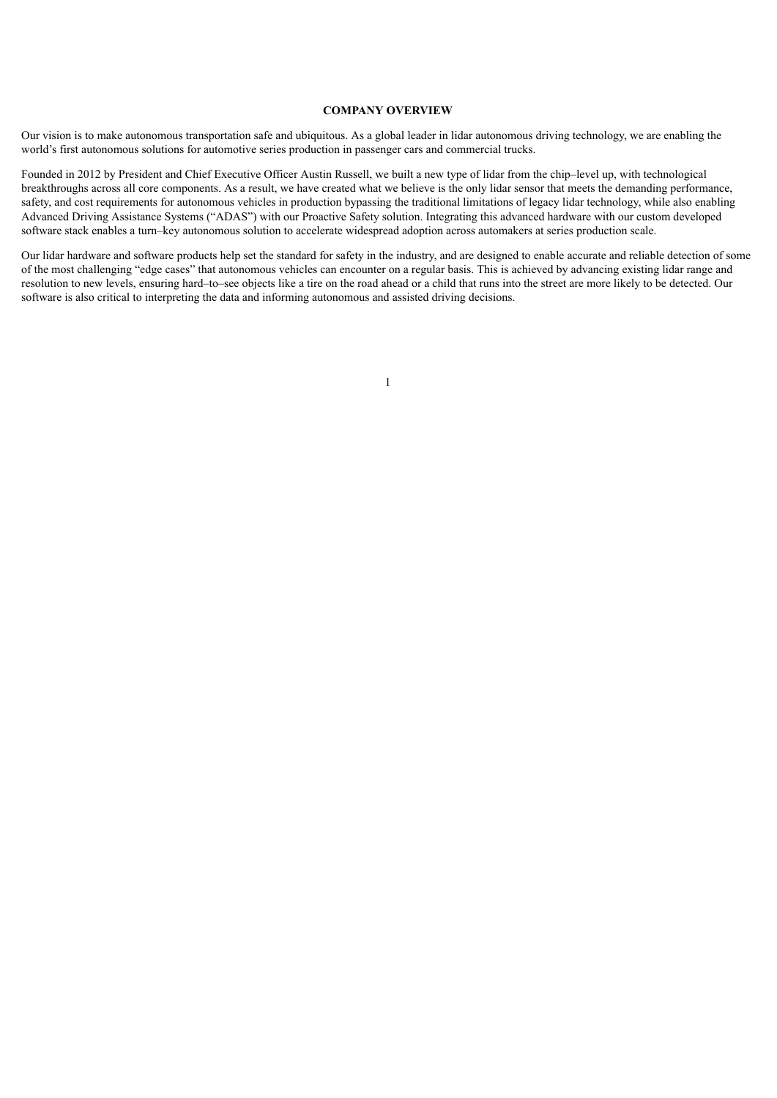## **COMPANY OVERVIEW**

Our vision is to make autonomous transportation safe and ubiquitous. As a global leader in lidar autonomous driving technology, we are enabling the world's first autonomous solutions for automotive series production in passenger cars and commercial trucks.

Founded in 2012 by President and Chief Executive Officer Austin Russell, we built a new type of lidar from the chip–level up, with technological breakthroughs across all core components. As a result, we have created what we believe is the only lidar sensor that meets the demanding performance, safety, and cost requirements for autonomous vehicles in production bypassing the traditional limitations of legacy lidar technology, while also enabling Advanced Driving Assistance Systems ("ADAS") with our Proactive Safety solution. Integrating this advanced hardware with our custom developed software stack enables a turn–key autonomous solution to accelerate widespread adoption across automakers at series production scale.

<span id="page-24-0"></span>Our lidar hardware and software products help set the standard for safety in the industry, and are designed to enable accurate and reliable detection of some of the most challenging "edge cases" that autonomous vehicles can encounter on a regular basis. This is achieved by advancing existing lidar range and resolution to new levels, ensuring hard–to–see objects like a tire on the road ahead or a child that runs into the street are more likely to be detected. Our software is also critical to interpreting the data and informing autonomous and assisted driving decisions.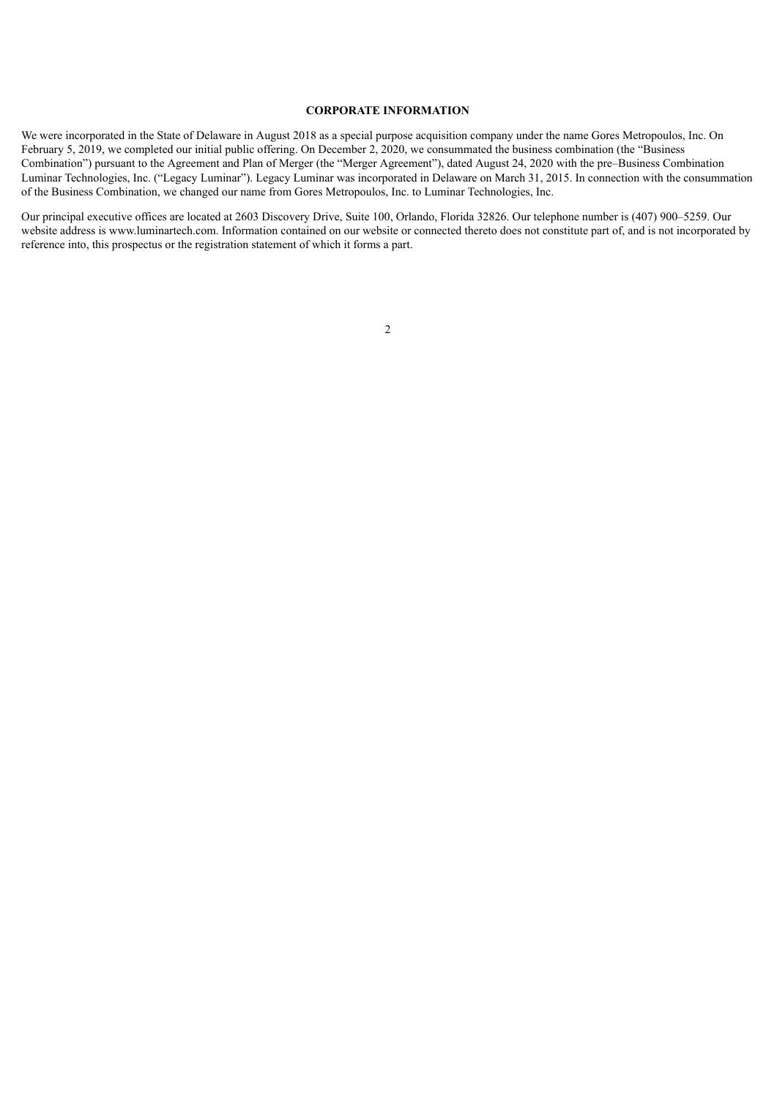## **CORPORATE INFORMATION**

We were incorporated in the State of Delaware in August 2018 as a special purpose acquisition company under the name Gores Metropoulos, Inc. On February 5, 2019, we completed our initial public offering. On December 2, 2020, we consummated the business combination (the "Business Combination") pursuant to the Agreement and Plan of Merger (the "Merger Agreement"), dated August 24, 2020 with the pre–Business Combination Luminar Technologies, Inc. ("Legacy Luminar"). Legacy Luminar was incorporated in Delaware on March 31, 2015. In connection with the consummation of the Business Combination, we changed our name from Gores Metropoulos, Inc. to Luminar Technologies, Inc.

<span id="page-25-0"></span>Our principal executive offices are located at 2603 Discovery Drive, Suite 100, Orlando, Florida 32826. Our telephone number is (407) 900–5259. Our website address is www.luminartech.com. Information contained on our website or connected thereto does not constitute part of, and is not incorporated by reference into, this prospectus or the registration statement of which it forms a part.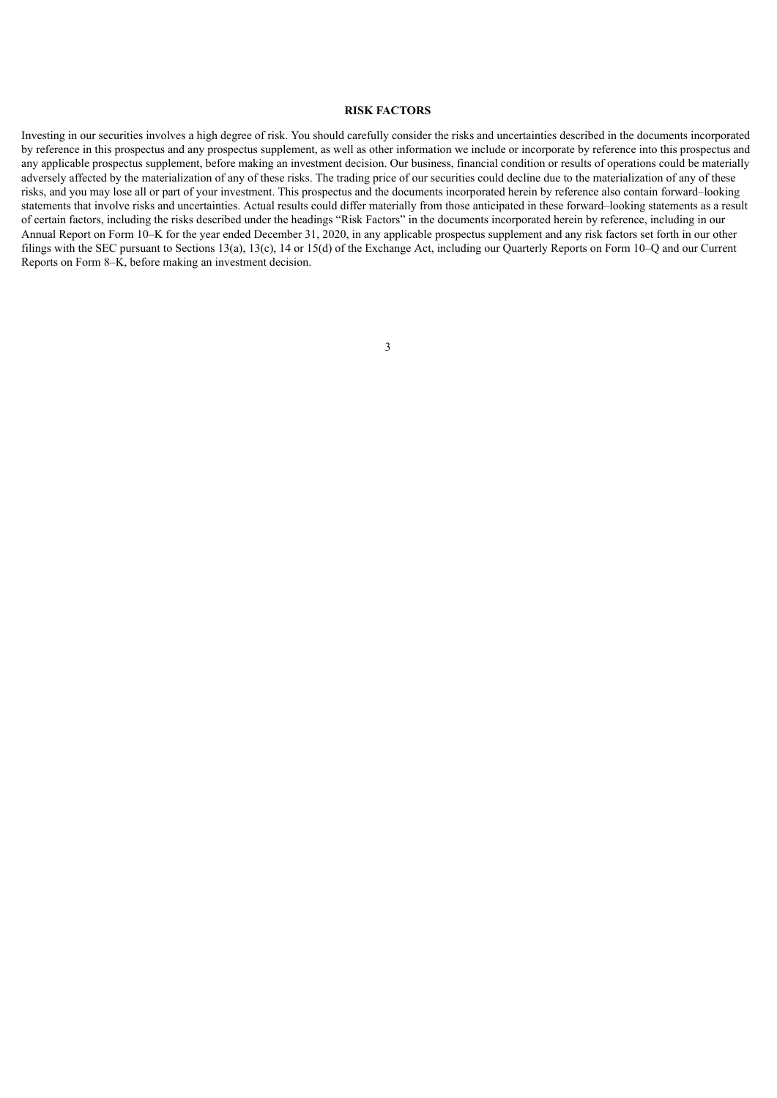## **RISK FACTORS**

<span id="page-26-0"></span>Investing in our securities involves a high degree of risk. You should carefully consider the risks and uncertainties described in the documents incorporated by reference in this prospectus and any prospectus supplement, as well as other information we include or incorporate by reference into this prospectus and any applicable prospectus supplement, before making an investment decision. Our business, financial condition or results of operations could be materially adversely affected by the materialization of any of these risks. The trading price of our securities could decline due to the materialization of any of these risks, and you may lose all or part of your investment. This prospectus and the documents incorporated herein by reference also contain forward–looking statements that involve risks and uncertainties. Actual results could differ materially from those anticipated in these forward–looking statements as a result of certain factors, including the risks described under the headings "Risk Factors" in the documents incorporated herein by reference, including in our Annual Report on Form 10–K for the year ended December 31, 2020, in any applicable prospectus supplement and any risk factors set forth in our other filings with the SEC pursuant to Sections 13(a), 13(c), 14 or 15(d) of the Exchange Act, including our Quarterly Reports on Form 10–Q and our Current Reports on Form 8–K, before making an investment decision.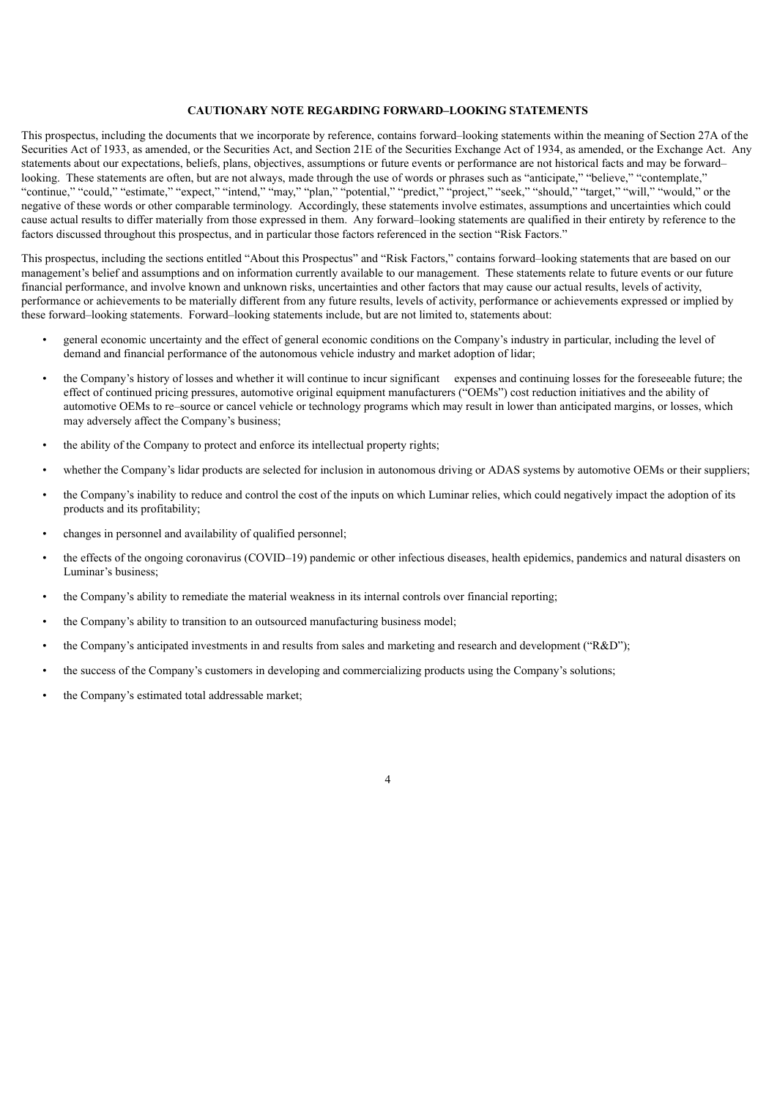## **CAUTIONARY NOTE REGARDING FORWARD–LOOKING STATEMENTS**

This prospectus, including the documents that we incorporate by reference, contains forward–looking statements within the meaning of Section 27A of the Securities Act of 1933, as amended, or the Securities Act, and Section 21E of the Securities Exchange Act of 1934, as amended, or the Exchange Act. Any statements about our expectations, beliefs, plans, objectives, assumptions or future events or performance are not historical facts and may be forward– looking. These statements are often, but are not always, made through the use of words or phrases such as "anticipate," "believe," "contemplate," "continue," "could," "estimate," "expect," "intend," "may," "plan," "potential," "predict," "project," "seek," "should," "target," "will," "would," or the negative of these words or other comparable terminology. Accordingly, these statements involve estimates, assumptions and uncertainties which could cause actual results to differ materially from those expressed in them. Any forward–looking statements are qualified in their entirety by reference to the factors discussed throughout this prospectus, and in particular those factors referenced in the section "Risk Factors."

This prospectus, including the sections entitled "About this Prospectus" and "Risk Factors," contains forward–looking statements that are based on our management's belief and assumptions and on information currently available to our management. These statements relate to future events or our future financial performance, and involve known and unknown risks, uncertainties and other factors that may cause our actual results, levels of activity, performance or achievements to be materially different from any future results, levels of activity, performance or achievements expressed or implied by these forward–looking statements. Forward–looking statements include, but are not limited to, statements about:

- general economic uncertainty and the effect of general economic conditions on the Company's industry in particular, including the level of demand and financial performance of the autonomous vehicle industry and market adoption of lidar;
- the Company's history of losses and whether it will continue to incur significant expenses and continuing losses for the foreseeable future; the effect of continued pricing pressures, automotive original equipment manufacturers ("OEMs") cost reduction initiatives and the ability of automotive OEMs to re–source or cancel vehicle or technology programs which may result in lower than anticipated margins, or losses, which may adversely affect the Company's business;
- the ability of the Company to protect and enforce its intellectual property rights;
- whether the Company's lidar products are selected for inclusion in autonomous driving or ADAS systems by automotive OEMs or their suppliers;
- the Company's inability to reduce and control the cost of the inputs on which Luminar relies, which could negatively impact the adoption of its products and its profitability;
- changes in personnel and availability of qualified personnel;
- the effects of the ongoing coronavirus (COVID–19) pandemic or other infectious diseases, health epidemics, pandemics and natural disasters on Luminar's business;

- the Company's ability to remediate the material weakness in its internal controls over financial reporting;
- the Company's ability to transition to an outsourced manufacturing business model;
- the Company's anticipated investments in and results from sales and marketing and research and development ("R&D");
- the success of the Company's customers in developing and commercializing products using the Company's solutions;
- the Company's estimated total addressable market;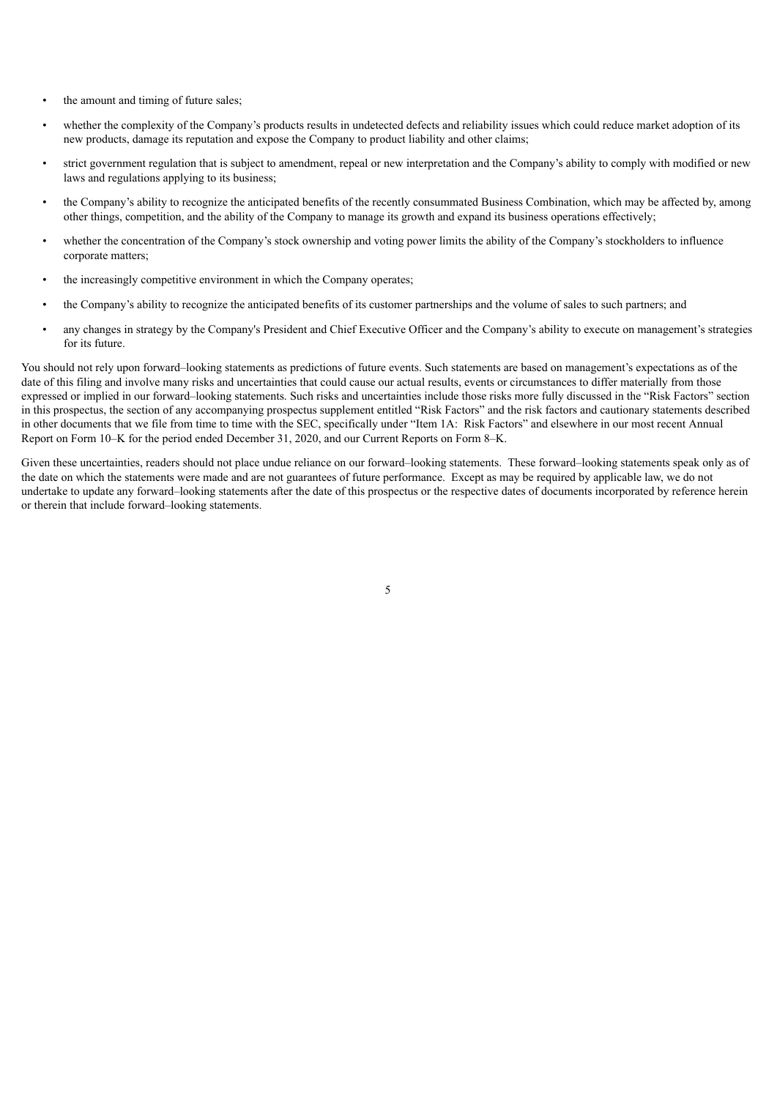- the amount and timing of future sales;
- whether the complexity of the Company's products results in undetected defects and reliability issues which could reduce market adoption of its new products, damage its reputation and expose the Company to product liability and other claims;
- strict government regulation that is subject to amendment, repeal or new interpretation and the Company's ability to comply with modified or new laws and regulations applying to its business;
- the Company's ability to recognize the anticipated benefits of the recently consummated Business Combination, which may be affected by, among other things, competition, and the ability of the Company to manage its growth and expand its business operations effectively;
- whether the concentration of the Company's stock ownership and voting power limits the ability of the Company's stockholders to influence corporate matters;
- the increasingly competitive environment in which the Company operates;
- the Company's ability to recognize the anticipated benefits of its customer partnerships and the volume of sales to such partners; and
- any changes in strategy by the Company's President and Chief Executive Officer and the Company's ability to execute on management's strategies for its future.

You should not rely upon forward–looking statements as predictions of future events. Such statements are based on management's expectations as of the date of this filing and involve many risks and uncertainties that could cause our actual results, events or circumstances to differ materially from those expressed or implied in our forward–looking statements. Such risks and uncertainties include those risks more fully discussed in the "Risk Factors" section in this prospectus, the section of any accompanying prospectus supplement entitled "Risk Factors" and the risk factors and cautionary statements described in other documents that we file from time to time with the SEC, specifically under "Item 1A: Risk Factors" and elsewhere in our most recent Annual Report on Form 10–K for the period ended December 31, 2020, and our Current Reports on Form 8–K.

<span id="page-28-0"></span>Given these uncertainties, readers should not place undue reliance on our forward–looking statements. These forward–looking statements speak only as of the date on which the statements were made and are not guarantees of future performance. Except as may be required by applicable law, we do not undertake to update any forward–looking statements after the date of this prospectus or the respective dates of documents incorporated by reference herein or therein that include forward–looking statements.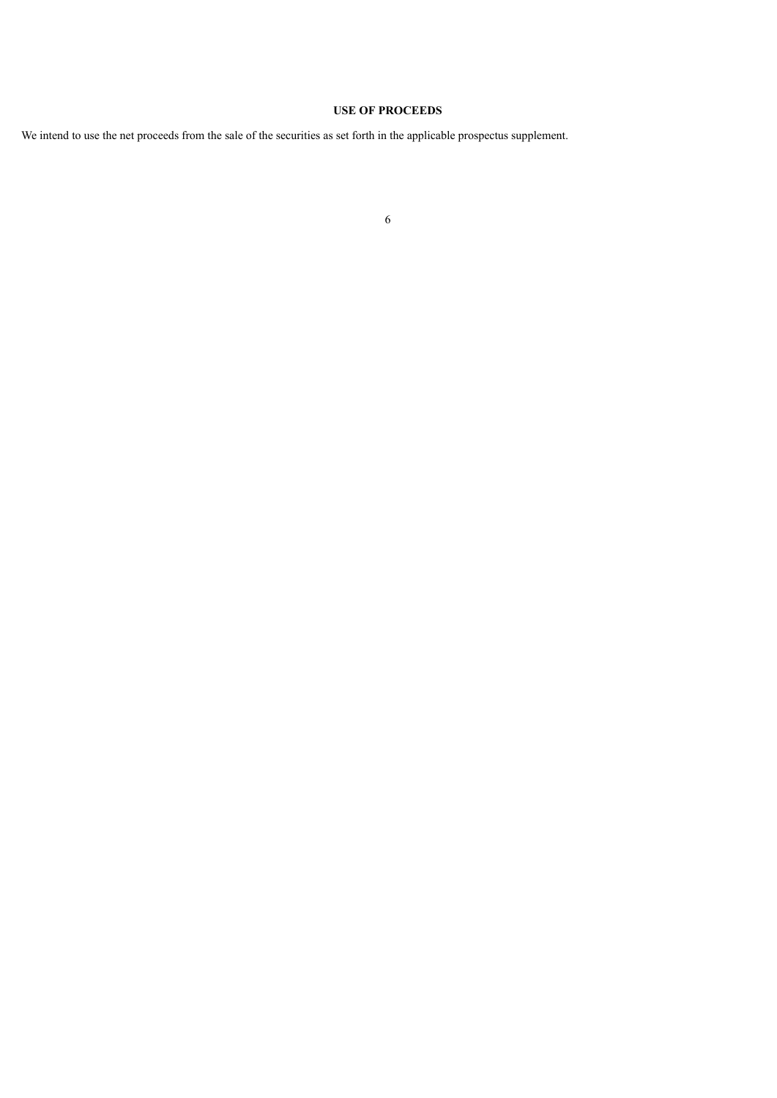## **USE OF PROCEEDS**

<span id="page-29-0"></span>We intend to use the net proceeds from the sale of the securities as set forth in the applicable prospectus supplement.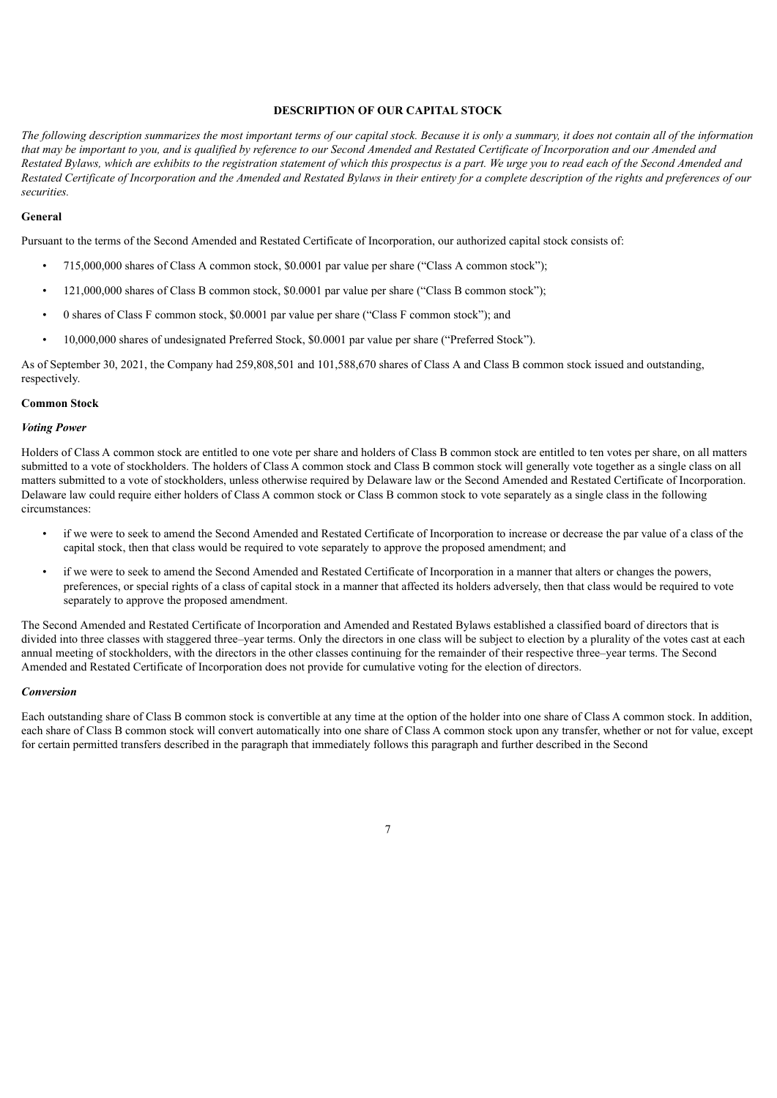## **DESCRIPTION OF OUR CAPITAL STOCK**

The following description summarizes the most important terms of our capital stock. Because it is only a summary, it does not contain all of the information that may be important to you, and is qualified by reference to our Second Amended and Restated Certificate of Incorporation and our Amended and Restated Bylaws, which are exhibits to the registration statement of which this prospectus is a part. We urge you to read each of the Second Amended and Restated Certificate of Incorporation and the Amended and Restated Bylaws in their entirety for a complete description of the rights and preferences of our *securities.*

#### **General**

Pursuant to the terms of the Second Amended and Restated Certificate of Incorporation, our authorized capital stock consists of:

- 715,000,000 shares of Class A common stock, \$0.0001 par value per share ("Class A common stock");
- 121,000,000 shares of Class B common stock, \$0.0001 par value per share ("Class B common stock");
- 0 shares of Class F common stock, \$0.0001 par value per share ("Class F common stock"); and
- 10,000,000 shares of undesignated Preferred Stock, \$0.0001 par value per share ("Preferred Stock").

As of September 30, 2021, the Company had 259,808,501 and 101,588,670 shares of Class A and Class B common stock issued and outstanding, respectively.

#### **Common Stock**

## *Voting Power*

Holders of Class A common stock are entitled to one vote per share and holders of Class B common stock are entitled to ten votes per share, on all matters submitted to a vote of stockholders. The holders of Class A common stock and Class B common stock will generally vote together as a single class on all matters submitted to a vote of stockholders, unless otherwise required by Delaware law or the Second Amended and Restated Certificate of Incorporation. Delaware law could require either holders of Class A common stock or Class B common stock to vote separately as a single class in the following circumstances:

- if we were to seek to amend the Second Amended and Restated Certificate of Incorporation to increase or decrease the par value of a class of the capital stock, then that class would be required to vote separately to approve the proposed amendment; and
- if we were to seek to amend the Second Amended and Restated Certificate of Incorporation in a manner that alters or changes the powers, preferences, or special rights of a class of capital stock in a manner that affected its holders adversely, then that class would be required to vote separately to approve the proposed amendment.

The Second Amended and Restated Certificate of Incorporation and Amended and Restated Bylaws established a classified board of directors that is divided into three classes with staggered three–year terms. Only the directors in one class will be subject to election by a plurality of the votes cast at each annual meeting of stockholders, with the directors in the other classes continuing for the remainder of their respective three–year terms. The Second Amended and Restated Certificate of Incorporation does not provide for cumulative voting for the election of directors.

## *Conversion*

Each outstanding share of Class B common stock is convertible at any time at the option of the holder into one share of Class A common stock. In addition, each share of Class B common stock will convert automatically into one share of Class A common stock upon any transfer, whether or not for value, except for certain permitted transfers described in the paragraph that immediately follows this paragraph and further described in the Second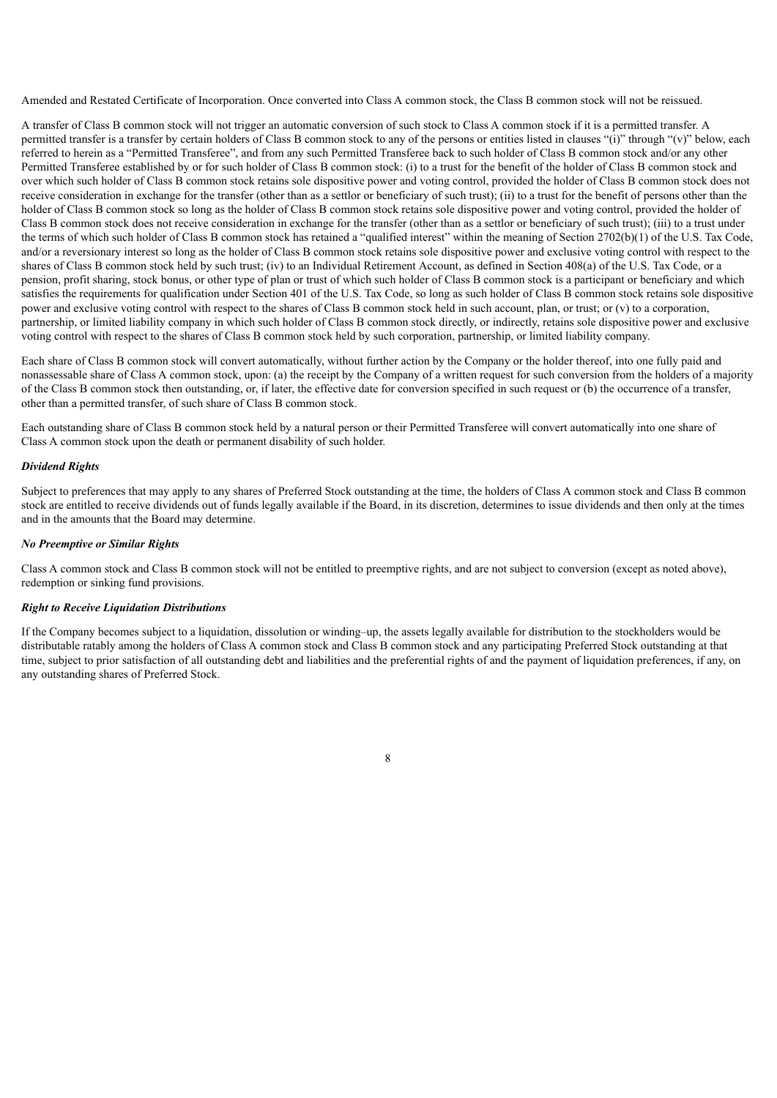Amended and Restated Certificate of Incorporation. Once converted into Class A common stock, the Class B common stock will not be reissued.

A transfer of Class B common stock will not trigger an automatic conversion of such stock to Class A common stock if it is a permitted transfer. A permitted transfer is a transfer by certain holders of Class B common stock to any of the persons or entities listed in clauses "(i)" through "(v)" below, each referred to herein as a "Permitted Transferee", and from any such Permitted Transferee back to such holder of Class B common stock and/or any other Permitted Transferee established by or for such holder of Class B common stock: (i) to a trust for the benefit of the holder of Class B common stock and over which such holder of Class B common stock retains sole dispositive power and voting control, provided the holder of Class B common stock does not receive consideration in exchange for the transfer (other than as a settlor or beneficiary of such trust); (ii) to a trust for the benefit of persons other than the holder of Class B common stock so long as the holder of Class B common stock retains sole dispositive power and voting control, provided the holder of Class B common stock does not receive consideration in exchange for the transfer (other than as a settlor or beneficiary of such trust); (iii) to a trust under the terms of which such holder of Class B common stock has retained a "qualified interest" within the meaning of Section 2702(b)(1) of the U.S. Tax Code, and/or a reversionary interest so long as the holder of Class B common stock retains sole dispositive power and exclusive voting control with respect to the shares of Class B common stock held by such trust; (iv) to an Individual Retirement Account, as defined in Section 408(a) of the U.S. Tax Code, or a pension, profit sharing, stock bonus, or other type of plan or trust of which such holder of Class B common stock is a participant or beneficiary and which satisfies the requirements for qualification under Section 401 of the U.S. Tax Code, so long as such holder of Class B common stock retains sole dispositive power and exclusive voting control with respect to the shares of Class B common stock held in such account, plan, or trust; or (v) to a corporation, partnership, or limited liability company in which such holder of Class B common stock directly, or indirectly, retains sole dispositive power and exclusive voting control with respect to the shares of Class B common stock held by such corporation, partnership, or limited liability company.

Each share of Class B common stock will convert automatically, without further action by the Company or the holder thereof, into one fully paid and nonassessable share of Class A common stock, upon: (a) the receipt by the Company of a written request for such conversion from the holders of a majority of the Class B common stock then outstanding, or, if later, the effective date for conversion specified in such request or (b) the occurrence of a transfer, other than a permitted transfer, of such share of Class B common stock.

Each outstanding share of Class B common stock held by a natural person or their Permitted Transferee will convert automatically into one share of Class A common stock upon the death or permanent disability of such holder.

## *Dividend Rights*

Subject to preferences that may apply to any shares of Preferred Stock outstanding at the time, the holders of Class A common stock and Class B common stock are entitled to receive dividends out of funds legally available if the Board, in its discretion, determines to issue dividends and then only at the times and in the amounts that the Board may determine.

## *No Preemptive or Similar Rights*

Class A common stock and Class B common stock will not be entitled to preemptive rights, and are not subject to conversion (except as noted above), redemption or sinking fund provisions.

## *Right to Receive Liquidation Distributions*

If the Company becomes subject to a liquidation, dissolution or winding–up, the assets legally available for distribution to the stockholders would be distributable ratably among the holders of Class A common stock and Class B common stock and any participating Preferred Stock outstanding at that time, subject to prior satisfaction of all outstanding debt and liabilities and the preferential rights of and the payment of liquidation preferences, if any, on any outstanding shares of Preferred Stock.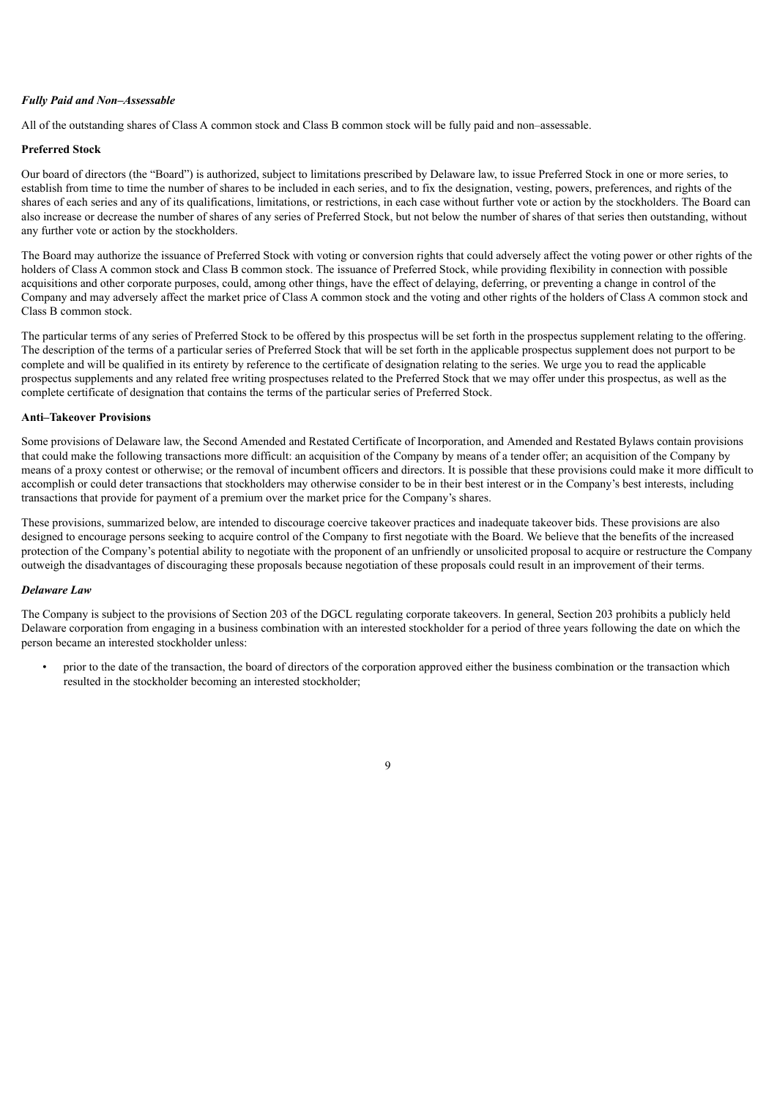## *Fully Paid and Non–Assessable*

All of the outstanding shares of Class A common stock and Class B common stock will be fully paid and non–assessable.

## **Preferred Stock**

Our board of directors (the "Board") is authorized, subject to limitations prescribed by Delaware law, to issue Preferred Stock in one or more series, to establish from time to time the number of shares to be included in each series, and to fix the designation, vesting, powers, preferences, and rights of the shares of each series and any of its qualifications, limitations, or restrictions, in each case without further vote or action by the stockholders. The Board can also increase or decrease the number of shares of any series of Preferred Stock, but not below the number of shares of that series then outstanding, without any further vote or action by the stockholders.

The Board may authorize the issuance of Preferred Stock with voting or conversion rights that could adversely affect the voting power or other rights of the holders of Class A common stock and Class B common stock. The issuance of Preferred Stock, while providing flexibility in connection with possible acquisitions and other corporate purposes, could, among other things, have the effect of delaying, deferring, or preventing a change in control of the Company and may adversely affect the market price of Class A common stock and the voting and other rights of the holders of Class A common stock and Class B common stock.

The particular terms of any series of Preferred Stock to be offered by this prospectus will be set forth in the prospectus supplement relating to the offering. The description of the terms of a particular series of Preferred Stock that will be set forth in the applicable prospectus supplement does not purport to be complete and will be qualified in its entirety by reference to the certificate of designation relating to the series. We urge you to read the applicable prospectus supplements and any related free writing prospectuses related to the Preferred Stock that we may offer under this prospectus, as well as the complete certificate of designation that contains the terms of the particular series of Preferred Stock.

## **Anti–Takeover Provisions**

Some provisions of Delaware law, the Second Amended and Restated Certificate of Incorporation, and Amended and Restated Bylaws contain provisions that could make the following transactions more difficult: an acquisition of the Company by means of a tender offer; an acquisition of the Company by means of a proxy contest or otherwise; or the removal of incumbent officers and directors. It is possible that these provisions could make it more difficult to accomplish or could deter transactions that stockholders may otherwise consider to be in their best interest or in the Company's best interests, including transactions that provide for payment of a premium over the market price for the Company's shares.

These provisions, summarized below, are intended to discourage coercive takeover practices and inadequate takeover bids. These provisions are also designed to encourage persons seeking to acquire control of the Company to first negotiate with the Board. We believe that the benefits of the increased protection of the Company's potential ability to negotiate with the proponent of an unfriendly or unsolicited proposal to acquire or restructure the Company outweigh the disadvantages of discouraging these proposals because negotiation of these proposals could result in an improvement of their terms.

## *Delaware Law*

The Company is subject to the provisions of Section 203 of the DGCL regulating corporate takeovers. In general, Section 203 prohibits a publicly held Delaware corporation from engaging in a business combination with an interested stockholder for a period of three years following the date on which the person became an interested stockholder unless:

• prior to the date of the transaction, the board of directors of the corporation approved either the business combination or the transaction which resulted in the stockholder becoming an interested stockholder;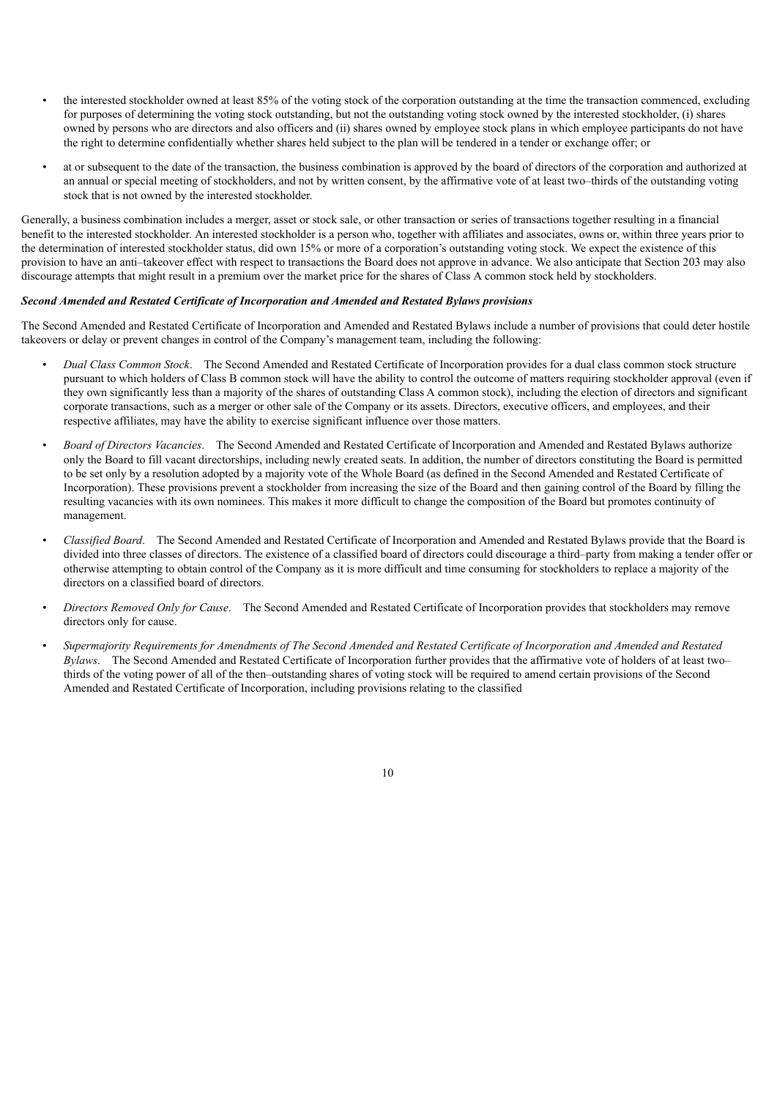- the interested stockholder owned at least 85% of the voting stock of the corporation outstanding at the time the transaction commenced, excluding for purposes of determining the voting stock outstanding, but not the outstanding voting stock owned by the interested stockholder, (i) shares owned by persons who are directors and also officers and (ii) shares owned by employee stock plans in which employee participants do not have the right to determine confidentially whether shares held subject to the plan will be tendered in a tender or exchange offer; or
- at or subsequent to the date of the transaction, the business combination is approved by the board of directors of the corporation and authorized at an annual or special meeting of stockholders, and not by written consent, by the affirmative vote of at least two–thirds of the outstanding voting stock that is not owned by the interested stockholder.

Generally, a business combination includes a merger, asset or stock sale, or other transaction or series of transactions together resulting in a financial benefit to the interested stockholder. An interested stockholder is a person who, together with affiliates and associates, owns or, within three years prior to the determination of interested stockholder status, did own 15% or more of a corporation's outstanding voting stock. We expect the existence of this provision to have an anti–takeover effect with respect to transactions the Board does not approve in advance. We also anticipate that Section 203 may also discourage attempts that might result in a premium over the market price for the shares of Class A common stock held by stockholders.

## *Second Amended and Restated Certificate of Incorporation and Amended and Restated Bylaws provisions*

The Second Amended and Restated Certificate of Incorporation and Amended and Restated Bylaws include a number of provisions that could deter hostile takeovers or delay or prevent changes in control of the Company's management team, including the following:

- *Dual Class Common Stock*. The Second Amended and Restated Certificate of Incorporation provides for a dual class common stock structure pursuant to which holders of Class B common stock will have the ability to control the outcome of matters requiring stockholder approval (even if they own significantly less than a majority of the shares of outstanding Class A common stock), including the election of directors and significant corporate transactions, such as a merger or other sale of the Company or its assets. Directors, executive officers, and employees, and their respective affiliates, may have the ability to exercise significant influence over those matters.
- *Board of Directors Vacancies*. The Second Amended and Restated Certificate of Incorporation and Amended and Restated Bylaws authorize only the Board to fill vacant directorships, including newly created seats. In addition, the number of directors constituting the Board is permitted to be set only by a resolution adopted by a majority vote of the Whole Board (as defined in the Second Amended and Restated Certificate of Incorporation). These provisions prevent a stockholder from increasing the size of the Board and then gaining control of the Board by filling the resulting vacancies with its own nominees. This makes it more difficult to change the composition of the Board but promotes continuity of management.
- *Classified Board*. The Second Amended and Restated Certificate of Incorporation and Amended and Restated Bylaws provide that the Board is divided into three classes of directors. The existence of a classified board of directors could discourage a third–party from making a tender offer or otherwise attempting to obtain control of the Company as it is more difficult and time consuming for stockholders to replace a majority of the directors on a classified board of directors.
- *Directors Removed Only for Cause*. The Second Amended and Restated Certificate of Incorporation provides that stockholders may remove directors only for cause.
- Supermajority Requirements for Amendments of The Second Amended and Restated Certificate of Incorporation and Amended and Restated *Bylaws*. The Second Amended and Restated Certificate of Incorporation further provides that the affirmative vote of holders of at least two– thirds of the voting power of all of the then–outstanding shares of voting stock will be required to amend certain provisions of the Second Amended and Restated Certificate of Incorporation, including provisions relating to the classified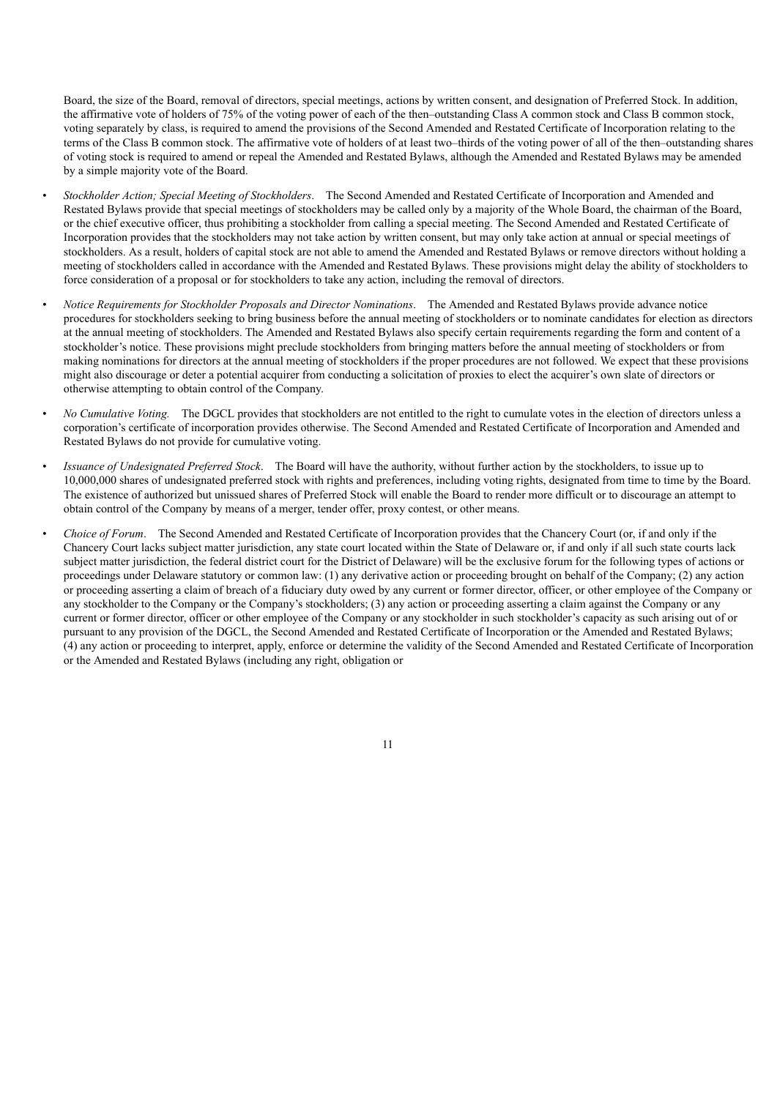Board, the size of the Board, removal of directors, special meetings, actions by written consent, and designation of Preferred Stock. In addition, the affirmative vote of holders of 75% of the voting power of each of the then–outstanding Class A common stock and Class B common stock, voting separately by class, is required to amend the provisions of the Second Amended and Restated Certificate of Incorporation relating to the terms of the Class B common stock. The affirmative vote of holders of at least two–thirds of the voting power of all of the then–outstanding shares of voting stock is required to amend or repeal the Amended and Restated Bylaws, although the Amended and Restated Bylaws may be amended by a simple majority vote of the Board.

- *Stockholder Action; Special Meeting of Stockholders*. The Second Amended and Restated Certificate of Incorporation and Amended and Restated Bylaws provide that special meetings of stockholders may be called only by a majority of the Whole Board, the chairman of the Board, or the chief executive officer, thus prohibiting a stockholder from calling a special meeting. The Second Amended and Restated Certificate of Incorporation provides that the stockholders may not take action by written consent, but may only take action at annual or special meetings of stockholders. As a result, holders of capital stock are not able to amend the Amended and Restated Bylaws or remove directors without holding a meeting of stockholders called in accordance with the Amended and Restated Bylaws. These provisions might delay the ability of stockholders to force consideration of a proposal or for stockholders to take any action, including the removal of directors.
- *Notice Requirements for Stockholder Proposals and Director Nominations*. The Amended and Restated Bylaws provide advance notice procedures for stockholders seeking to bring business before the annual meeting of stockholders or to nominate candidates for election as directors at the annual meeting of stockholders. The Amended and Restated Bylaws also specify certain requirements regarding the form and content of a stockholder's notice. These provisions might preclude stockholders from bringing matters before the annual meeting of stockholders or from making nominations for directors at the annual meeting of stockholders if the proper procedures are not followed. We expect that these provisions might also discourage or deter a potential acquirer from conducting a solicitation of proxies to elect the acquirer's own slate of directors or otherwise attempting to obtain control of the Company.
- *No Cumulative Voting.* The DGCL provides that stockholders are not entitled to the right to cumulate votes in the election of directors unless a corporation's certificate of incorporation provides otherwise. The Second Amended and Restated Certificate of Incorporation and Amended and Restated Bylaws do not provide for cumulative voting.
- *Issuance of Undesignated Preferred Stock*. The Board will have the authority, without further action by the stockholders, to issue up to 10,000,000 shares of undesignated preferred stock with rights and preferences, including voting rights, designated from time to time by the Board. The existence of authorized but unissued shares of Preferred Stock will enable the Board to render more difficult or to discourage an attempt to obtain control of the Company by means of a merger, tender offer, proxy contest, or other means.
- *Choice of Forum*. The Second Amended and Restated Certificate of Incorporation provides that the Chancery Court (or, if and only if the Chancery Court lacks subject matter jurisdiction, any state court located within the State of Delaware or, if and only if all such state courts lack subject matter jurisdiction, the federal district court for the District of Delaware) will be the exclusive forum for the following types of actions or proceedings under Delaware statutory or common law: (1) any derivative action or proceeding brought on behalf of the Company; (2) any action or proceeding asserting a claim of breach of a fiduciary duty owed by any current or former director, officer, or other employee of the Company or any stockholder to the Company or the Company's stockholders; (3) any action or proceeding asserting a claim against the Company or any current or former director, officer or other employee of the Company or any stockholder in such stockholder's capacity as such arising out of or pursuant to any provision of the DGCL, the Second Amended and Restated Certificate of Incorporation or the Amended and Restated Bylaws; (4) any action or proceeding to interpret, apply, enforce or determine the validity of the Second Amended and Restated Certificate of Incorporation or the Amended and Restated Bylaws (including any right, obligation or

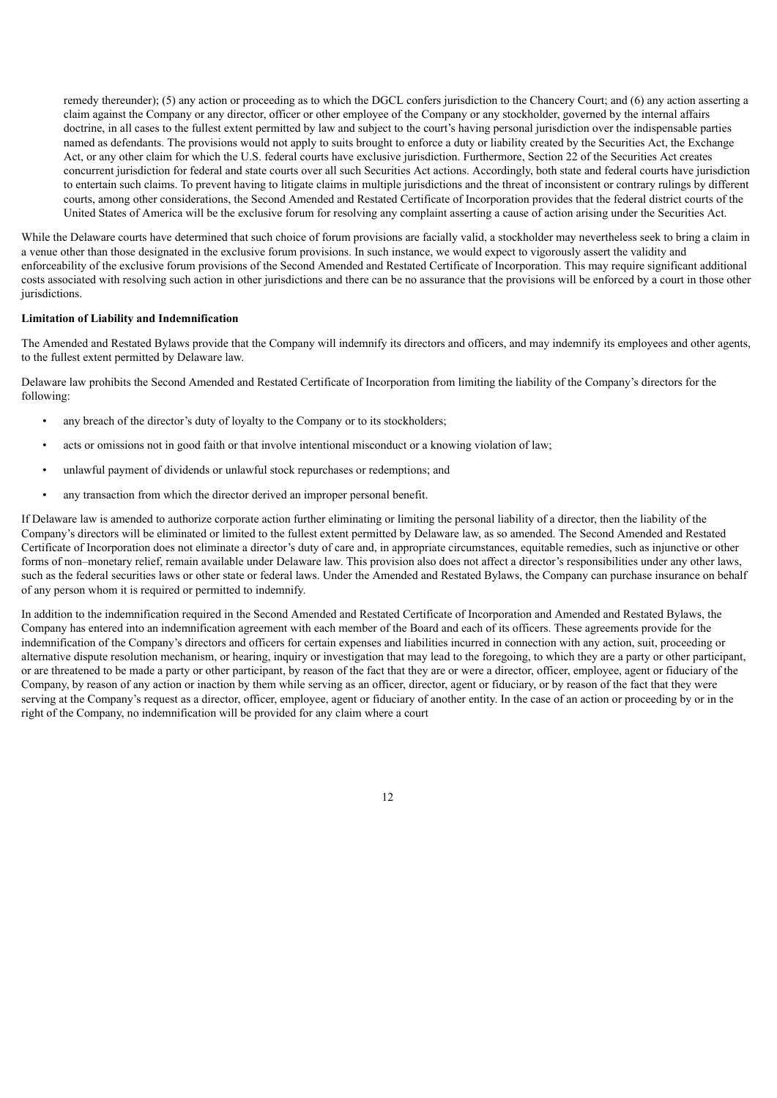remedy thereunder); (5) any action or proceeding as to which the DGCL confers jurisdiction to the Chancery Court; and (6) any action asserting a claim against the Company or any director, officer or other employee of the Company or any stockholder, governed by the internal affairs doctrine, in all cases to the fullest extent permitted by law and subject to the court's having personal jurisdiction over the indispensable parties named as defendants. The provisions would not apply to suits brought to enforce a duty or liability created by the Securities Act, the Exchange Act, or any other claim for which the U.S. federal courts have exclusive jurisdiction. Furthermore, Section 22 of the Securities Act creates concurrent jurisdiction for federal and state courts over all such Securities Act actions. Accordingly, both state and federal courts have jurisdiction to entertain such claims. To prevent having to litigate claims in multiple jurisdictions and the threat of inconsistent or contrary rulings by different courts, among other considerations, the Second Amended and Restated Certificate of Incorporation provides that the federal district courts of the United States of America will be the exclusive forum for resolving any complaint asserting a cause of action arising under the Securities Act.

While the Delaware courts have determined that such choice of forum provisions are facially valid, a stockholder may nevertheless seek to bring a claim in a venue other than those designated in the exclusive forum provisions. In such instance, we would expect to vigorously assert the validity and enforceability of the exclusive forum provisions of the Second Amended and Restated Certificate of Incorporation. This may require significant additional costs associated with resolving such action in other jurisdictions and there can be no assurance that the provisions will be enforced by a court in those other jurisdictions.

## **Limitation of Liability and Indemnification**

The Amended and Restated Bylaws provide that the Company will indemnify its directors and officers, and may indemnify its employees and other agents, to the fullest extent permitted by Delaware law.

Delaware law prohibits the Second Amended and Restated Certificate of Incorporation from limiting the liability of the Company's directors for the following:

- any breach of the director's duty of loyalty to the Company or to its stockholders;
- acts or omissions not in good faith or that involve intentional misconduct or a knowing violation of law;
- unlawful payment of dividends or unlawful stock repurchases or redemptions; and
- any transaction from which the director derived an improper personal benefit.

If Delaware law is amended to authorize corporate action further eliminating or limiting the personal liability of a director, then the liability of the Company's directors will be eliminated or limited to the fullest extent permitted by Delaware law, as so amended. The Second Amended and Restated Certificate of Incorporation does not eliminate a director's duty of care and, in appropriate circumstances, equitable remedies, such as injunctive or other forms of non–monetary relief, remain available under Delaware law. This provision also does not affect a director's responsibilities under any other laws, such as the federal securities laws or other state or federal laws. Under the Amended and Restated Bylaws, the Company can purchase insurance on behalf of any person whom it is required or permitted to indemnify.

In addition to the indemnification required in the Second Amended and Restated Certificate of Incorporation and Amended and Restated Bylaws, the Company has entered into an indemnification agreement with each member of the Board and each of its officers. These agreements provide for the indemnification of the Company's directors and officers for certain expenses and liabilities incurred in connection with any action, suit, proceeding or alternative dispute resolution mechanism, or hearing, inquiry or investigation that may lead to the foregoing, to which they are a party or other participant, or are threatened to be made a party or other participant, by reason of the fact that they are or were a director, officer, employee, agent or fiduciary of the Company, by reason of any action or inaction by them while serving as an officer, director, agent or fiduciary, or by reason of the fact that they were serving at the Company's request as a director, officer, employee, agent or fiduciary of another entity. In the case of an action or proceeding by or in the right of the Company, no indemnification will be provided for any claim where a court

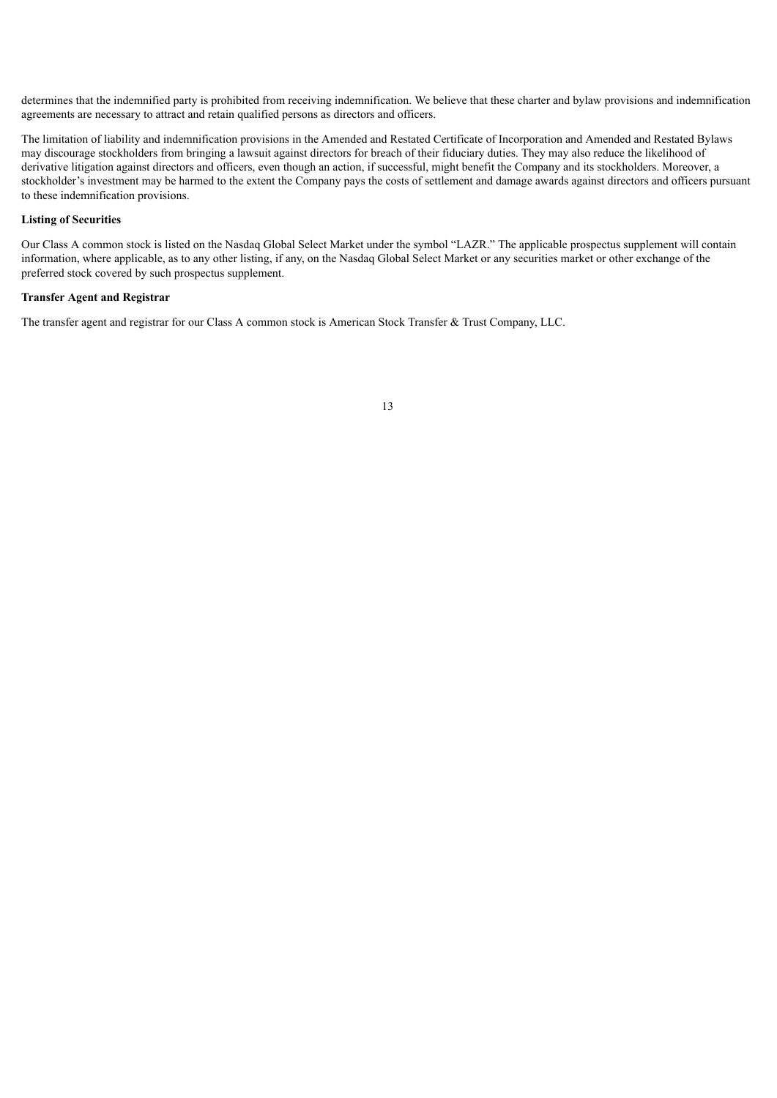determines that the indemnified party is prohibited from receiving indemnification. We believe that these charter and bylaw provisions and indemnification agreements are necessary to attract and retain qualified persons as directors and officers.

The limitation of liability and indemnification provisions in the Amended and Restated Certificate of Incorporation and Amended and Restated Bylaws may discourage stockholders from bringing a lawsuit against directors for breach of their fiduciary duties. They may also reduce the likelihood of derivative litigation against directors and officers, even though an action, if successful, might benefit the Company and its stockholders. Moreover, a stockholder's investment may be harmed to the extent the Company pays the costs of settlement and damage awards against directors and officers pursuant to these indemnification provisions.

## **Listing of Securities**

Our Class A common stock is listed on the Nasdaq Global Select Market under the symbol "LAZR." The applicable prospectus supplement will contain information, where applicable, as to any other listing, if any, on the Nasdaq Global Select Market or any securities market or other exchange of the preferred stock covered by such prospectus supplement.

## **Transfer Agent and Registrar**

<span id="page-36-0"></span>The transfer agent and registrar for our Class A common stock is American Stock Transfer & Trust Company, LLC.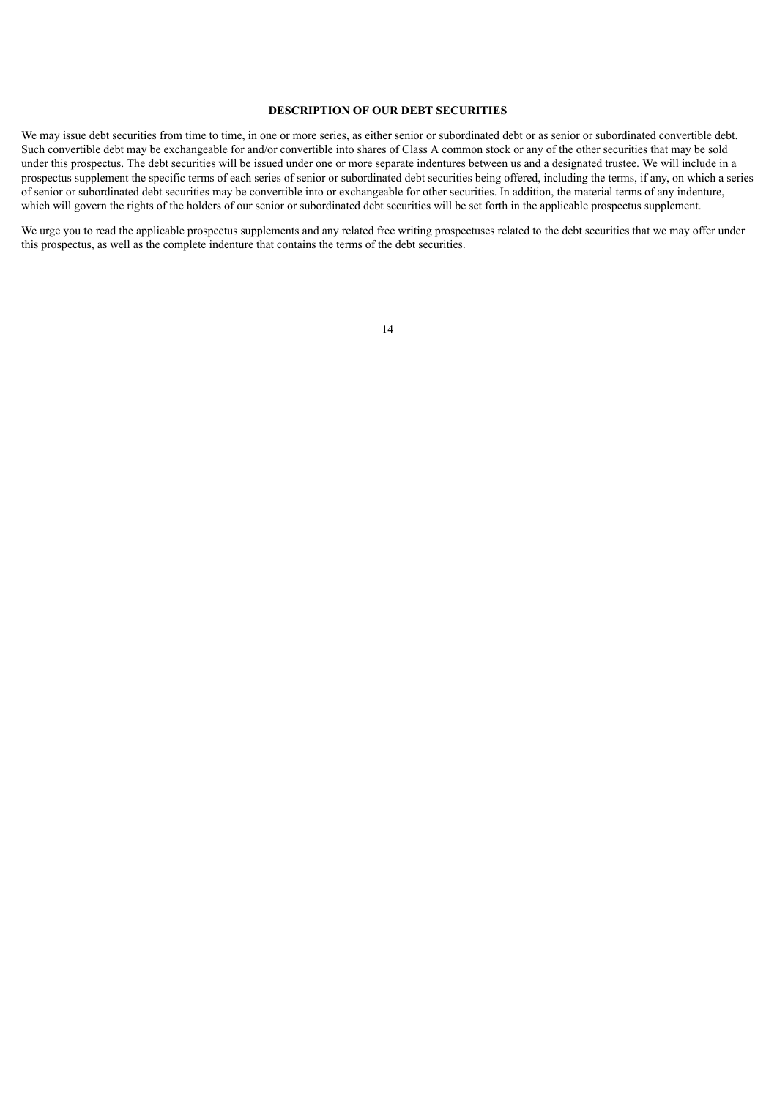## **DESCRIPTION OF OUR DEBT SECURITIES**

We may issue debt securities from time to time, in one or more series, as either senior or subordinated debt or as senior or subordinated convertible debt. Such convertible debt may be exchangeable for and/or convertible into shares of Class A common stock or any of the other securities that may be sold under this prospectus. The debt securities will be issued under one or more separate indentures between us and a designated trustee. We will include in a prospectus supplement the specific terms of each series of senior or subordinated debt securities being offered, including the terms, if any, on which a series of senior or subordinated debt securities may be convertible into or exchangeable for other securities. In addition, the material terms of any indenture, which will govern the rights of the holders of our senior or subordinated debt securities will be set forth in the applicable prospectus supplement.

<span id="page-37-0"></span>We urge you to read the applicable prospectus supplements and any related free writing prospectuses related to the debt securities that we may offer under this prospectus, as well as the complete indenture that contains the terms of the debt securities.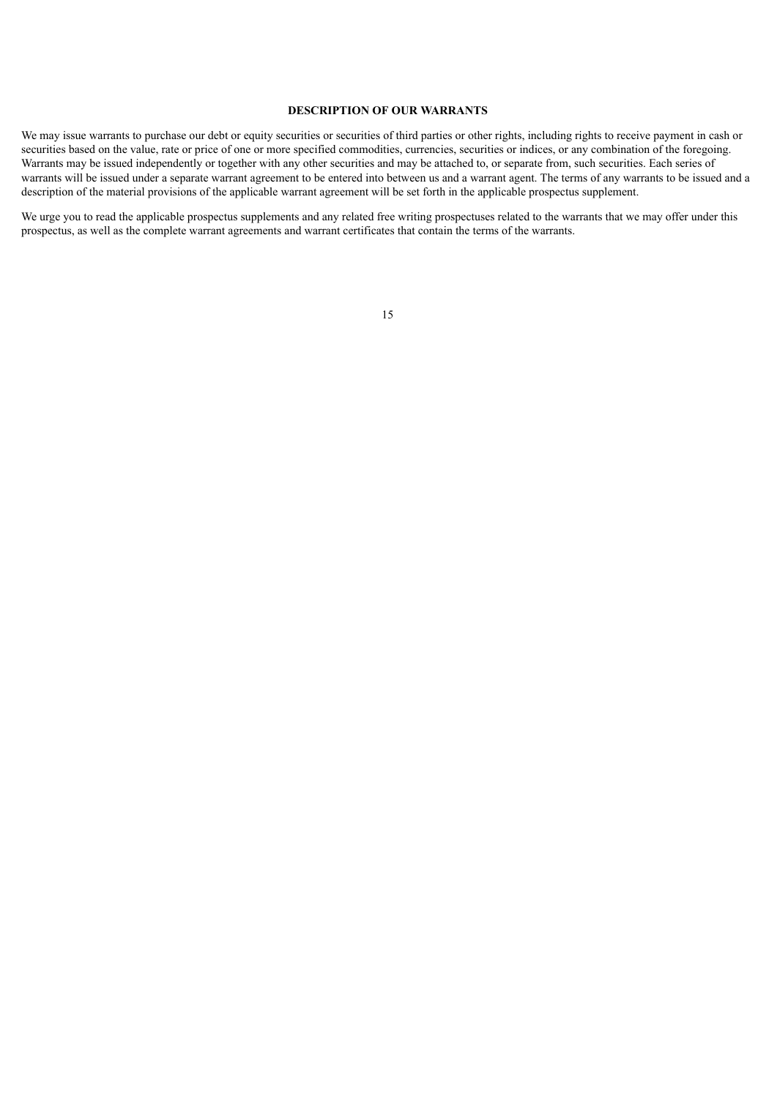## **DESCRIPTION OF OUR WARRANTS**

We may issue warrants to purchase our debt or equity securities or securities of third parties or other rights, including rights to receive payment in cash or securities based on the value, rate or price of one or more specified commodities, currencies, securities or indices, or any combination of the foregoing. Warrants may be issued independently or together with any other securities and may be attached to, or separate from, such securities. Each series of warrants will be issued under a separate warrant agreement to be entered into between us and a warrant agent. The terms of any warrants to be issued and a description of the material provisions of the applicable warrant agreement will be set forth in the applicable prospectus supplement.

<span id="page-38-0"></span>We urge you to read the applicable prospectus supplements and any related free writing prospectuses related to the warrants that we may offer under this prospectus, as well as the complete warrant agreements and warrant certificates that contain the terms of the warrants.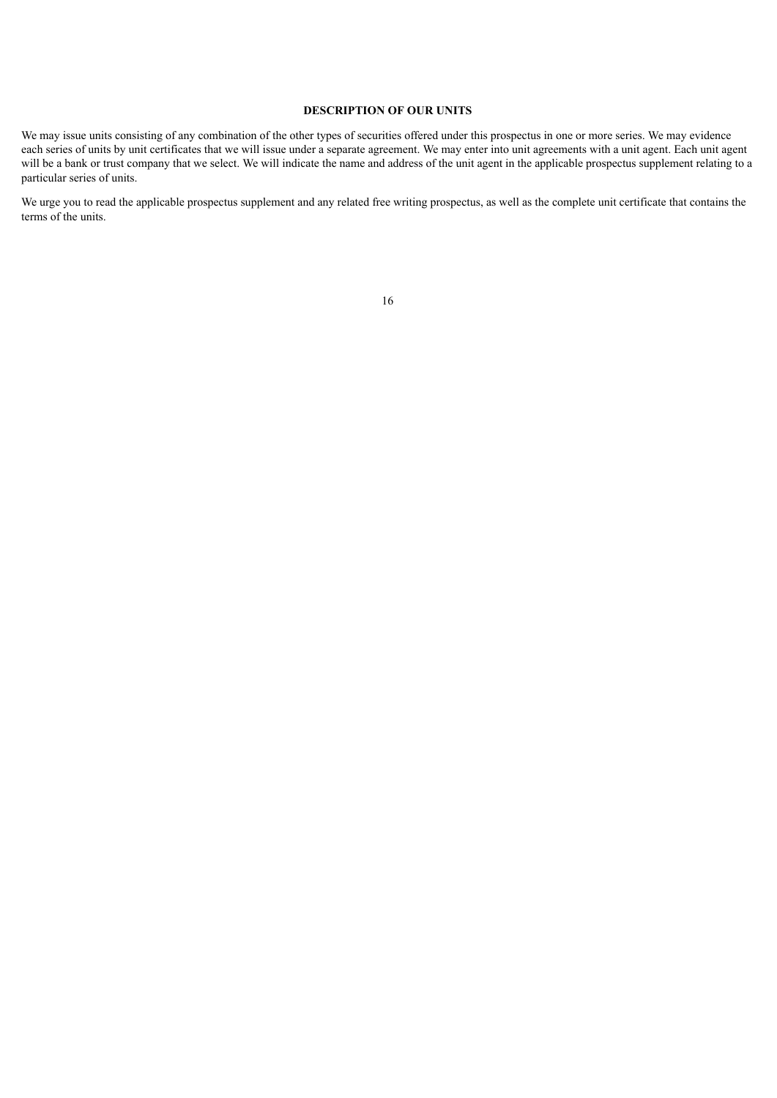## **DESCRIPTION OF OUR UNITS**

We may issue units consisting of any combination of the other types of securities offered under this prospectus in one or more series. We may evidence each series of units by unit certificates that we will issue under a separate agreement. We may enter into unit agreements with a unit agent. Each unit agent will be a bank or trust company that we select. We will indicate the name and address of the unit agent in the applicable prospectus supplement relating to a particular series of units.

<span id="page-39-0"></span>We urge you to read the applicable prospectus supplement and any related free writing prospectus, as well as the complete unit certificate that contains the terms of the units.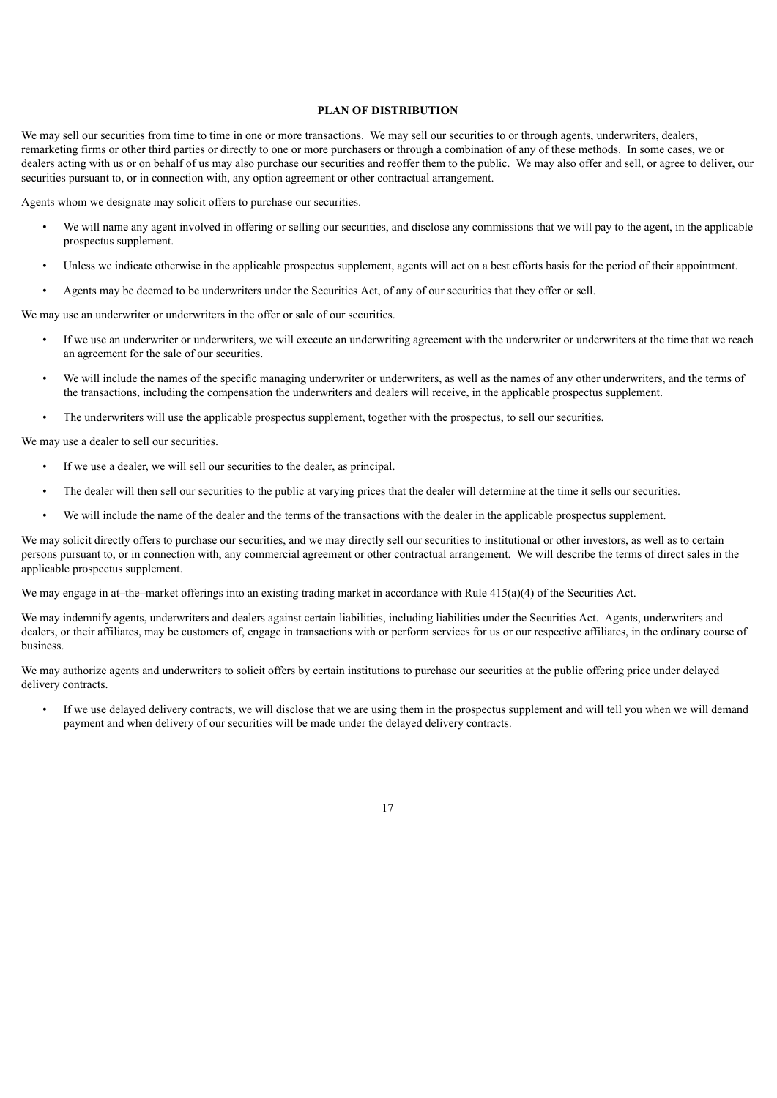## **PLAN OF DISTRIBUTION**

We may sell our securities from time to time in one or more transactions. We may sell our securities to or through agents, underwriters, dealers, remarketing firms or other third parties or directly to one or more purchasers or through a combination of any of these methods. In some cases, we or dealers acting with us or on behalf of us may also purchase our securities and reoffer them to the public. We may also offer and sell, or agree to deliver, our securities pursuant to, or in connection with, any option agreement or other contractual arrangement.

Agents whom we designate may solicit offers to purchase our securities.

- We will name any agent involved in offering or selling our securities, and disclose any commissions that we will pay to the agent, in the applicable prospectus supplement.
- Unless we indicate otherwise in the applicable prospectus supplement, agents will act on a best efforts basis for the period of their appointment.
- Agents may be deemed to be underwriters under the Securities Act, of any of our securities that they offer or sell.

We may use an underwriter or underwriters in the offer or sale of our securities.

- If we use an underwriter or underwriters, we will execute an underwriting agreement with the underwriter or underwriters at the time that we reach an agreement for the sale of our securities.
- We will include the names of the specific managing underwriter or underwriters, as well as the names of any other underwriters, and the terms of the transactions, including the compensation the underwriters and dealers will receive, in the applicable prospectus supplement.
- The underwriters will use the applicable prospectus supplement, together with the prospectus, to sell our securities.

We may use a dealer to sell our securities.

- If we use a dealer, we will sell our securities to the dealer, as principal.
- The dealer will then sell our securities to the public at varying prices that the dealer will determine at the time it sells our securities.
- We will include the name of the dealer and the terms of the transactions with the dealer in the applicable prospectus supplement.

We may solicit directly offers to purchase our securities, and we may directly sell our securities to institutional or other investors, as well as to certain persons pursuant to, or in connection with, any commercial agreement or other contractual arrangement. We will describe the terms of direct sales in the applicable prospectus supplement.

We may engage in at–the–market offerings into an existing trading market in accordance with Rule  $415(a)(4)$  of the Securities Act.

We may indemnify agents, underwriters and dealers against certain liabilities, including liabilities under the Securities Act. Agents, underwriters and dealers, or their affiliates, may be customers of, engage in transactions with or perform services for us or our respective affiliates, in the ordinary course of business.

We may authorize agents and underwriters to solicit offers by certain institutions to purchase our securities at the public offering price under delayed delivery contracts.

If we use delayed delivery contracts, we will disclose that we are using them in the prospectus supplement and will tell you when we will demand payment and when delivery of our securities will be made under the delayed delivery contracts.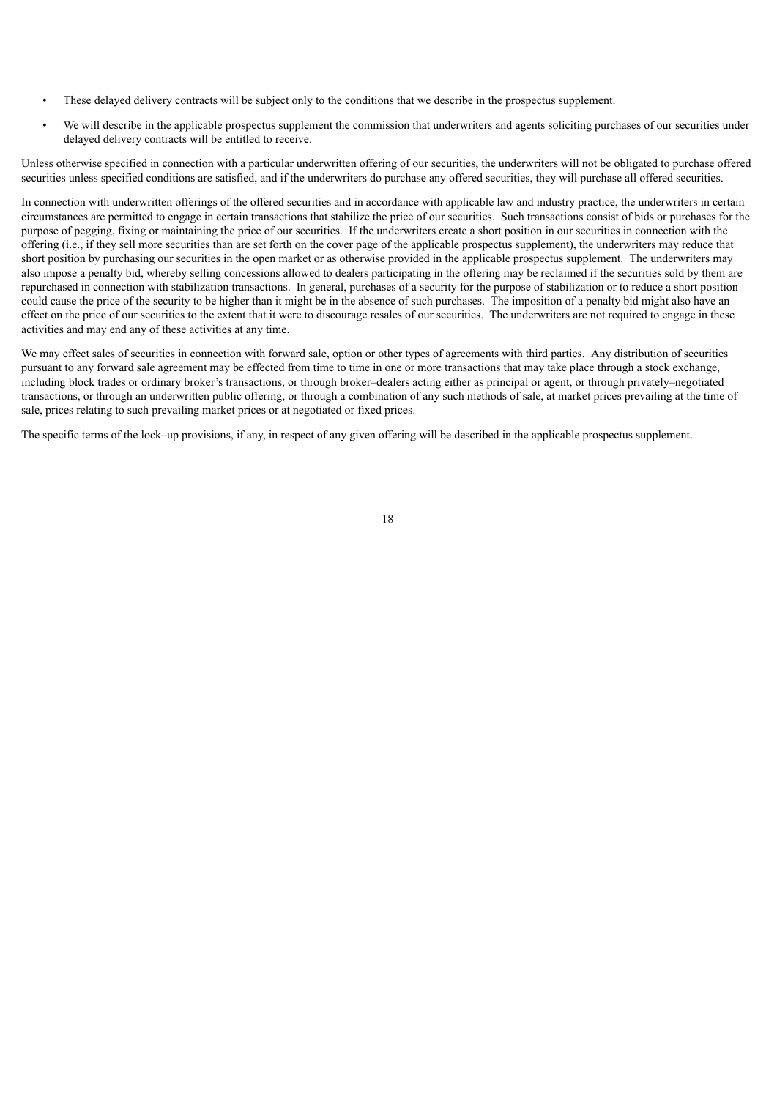- These delayed delivery contracts will be subject only to the conditions that we describe in the prospectus supplement.
- We will describe in the applicable prospectus supplement the commission that underwriters and agents soliciting purchases of our securities under delayed delivery contracts will be entitled to receive.

Unless otherwise specified in connection with a particular underwritten offering of our securities, the underwriters will not be obligated to purchase offered securities unless specified conditions are satisfied, and if the underwriters do purchase any offered securities, they will purchase all offered securities.

In connection with underwritten offerings of the offered securities and in accordance with applicable law and industry practice, the underwriters in certain circumstances are permitted to engage in certain transactions that stabilize the price of our securities. Such transactions consist of bids or purchases for the purpose of pegging, fixing or maintaining the price of our securities. If the underwriters create a short position in our securities in connection with the offering (i.e., if they sell more securities than are set forth on the cover page of the applicable prospectus supplement), the underwriters may reduce that short position by purchasing our securities in the open market or as otherwise provided in the applicable prospectus supplement. The underwriters may also impose a penalty bid, whereby selling concessions allowed to dealers participating in the offering may be reclaimed if the securities sold by them are repurchased in connection with stabilization transactions. In general, purchases of a security for the purpose of stabilization or to reduce a short position could cause the price of the security to be higher than it might be in the absence of such purchases. The imposition of a penalty bid might also have an effect on the price of our securities to the extent that it were to discourage resales of our securities. The underwriters are not required to engage in these activities and may end any of these activities at any time.

We may effect sales of securities in connection with forward sale, option or other types of agreements with third parties. Any distribution of securities pursuant to any forward sale agreement may be effected from time to time in one or more transactions that may take place through a stock exchange, including block trades or ordinary broker's transactions, or through broker–dealers acting either as principal or agent, or through privately–negotiated transactions, or through an underwritten public offering, or through a combination of any such methods of sale, at market prices prevailing at the time of sale, prices relating to such prevailing market prices or at negotiated or fixed prices.

<span id="page-41-0"></span>The specific terms of the lock–up provisions, if any, in respect of any given offering will be described in the applicable prospectus supplement.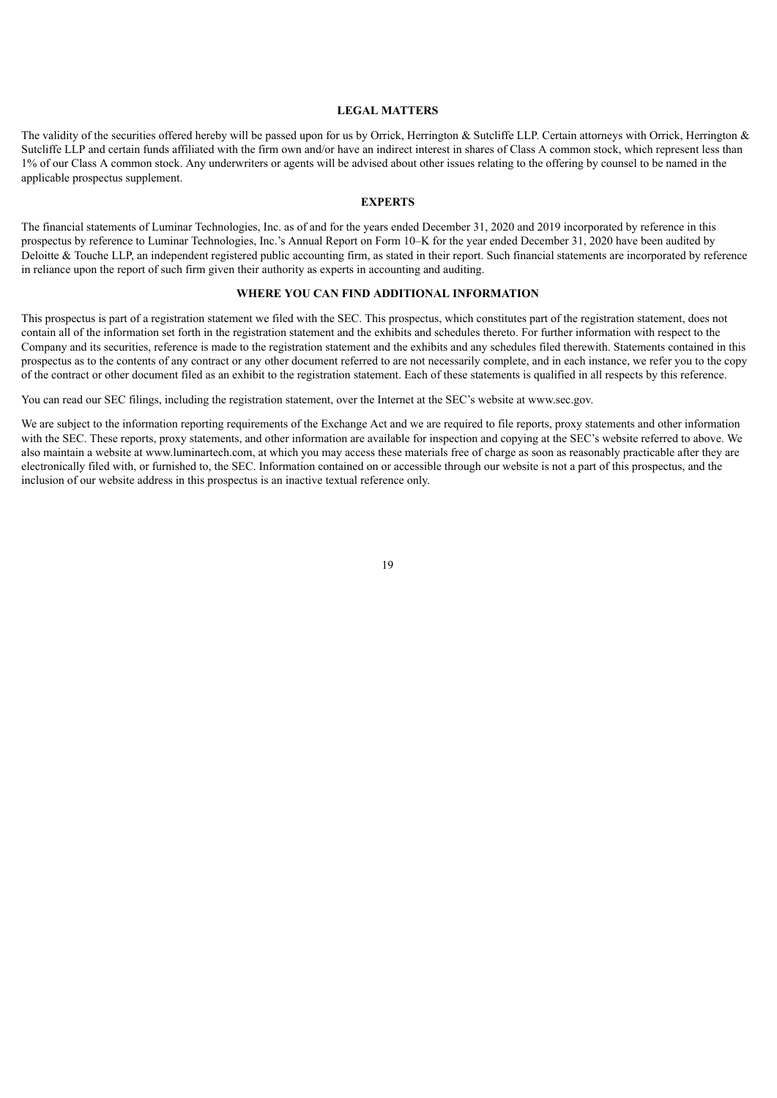## **LEGAL MATTERS**

The validity of the securities offered hereby will be passed upon for us by Orrick, Herrington & Sutcliffe LLP. Certain attorneys with Orrick, Herrington & Sutcliffe LLP and certain funds affiliated with the firm own and/or have an indirect interest in shares of Class A common stock, which represent less than 1% of our Class A common stock. Any underwriters or agents will be advised about other issues relating to the offering by counsel to be named in the applicable prospectus supplement.

## **EXPERTS**

<span id="page-42-0"></span>The financial statements of Luminar Technologies, Inc. as of and for the years ended December 31, 2020 and 2019 incorporated by reference in this prospectus by reference to Luminar Technologies, Inc.'s Annual Report on Form 10–K for the year ended December 31, 2020 have been audited by Deloitte & Touche LLP, an independent registered public accounting firm, as stated in their report. Such financial statements are incorporated by reference in reliance upon the report of such firm given their authority as experts in accounting and auditing.

## **WHERE YOU CAN FIND ADDITIONAL INFORMATION**

<span id="page-42-1"></span>This prospectus is part of a registration statement we filed with the SEC. This prospectus, which constitutes part of the registration statement, does not contain all of the information set forth in the registration statement and the exhibits and schedules thereto. For further information with respect to the Company and its securities, reference is made to the registration statement and the exhibits and any schedules filed therewith. Statements contained in this prospectus as to the contents of any contract or any other document referred to are not necessarily complete, and in each instance, we refer you to the copy of the contract or other document filed as an exhibit to the registration statement. Each of these statements is qualified in all respects by this reference.

You can read our SEC filings, including the registration statement, over the Internet at the SEC's website at www.sec.gov.

<span id="page-42-2"></span>We are subject to the information reporting requirements of the Exchange Act and we are required to file reports, proxy statements and other information with the SEC. These reports, proxy statements, and other information are available for inspection and copying at the SEC's website referred to above. We also maintain a website at www.luminartech.com, at which you may access these materials free of charge as soon as reasonably practicable after they are electronically filed with, or furnished to, the SEC. Information contained on or accessible through our website is not a part of this prospectus, and the inclusion of our website address in this prospectus is an inactive textual reference only.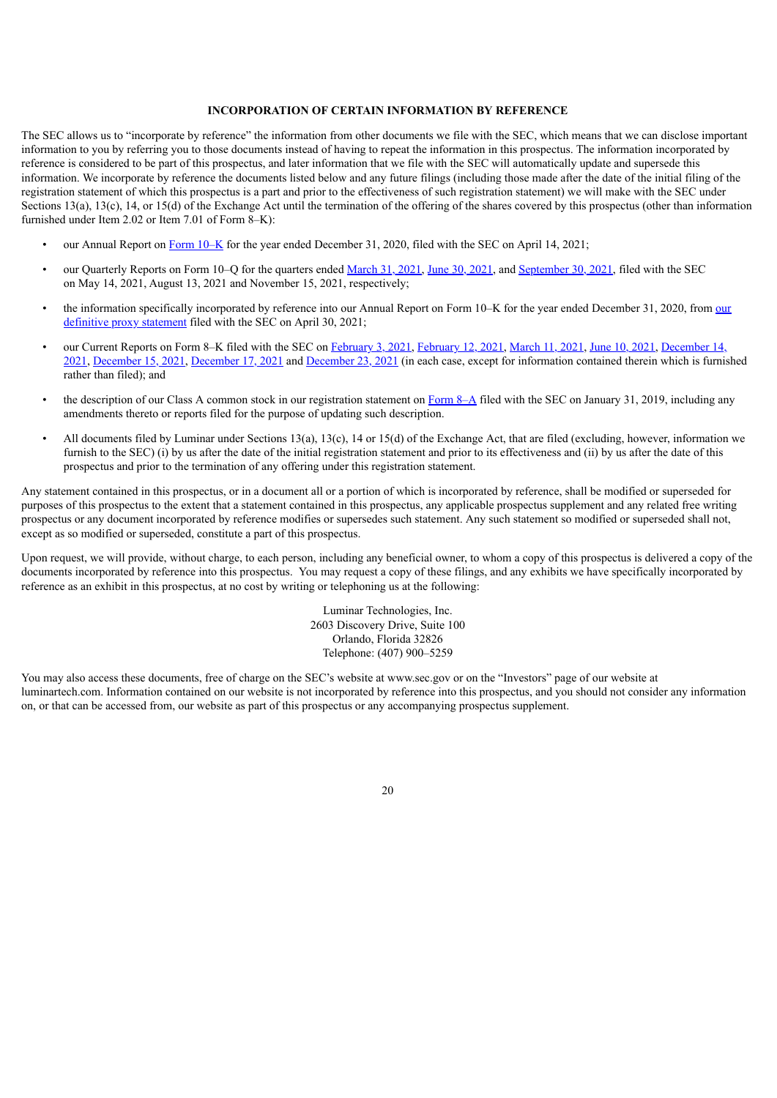## **INCORPORATION OF CERTAIN INFORMATION BY REFERENCE**

The SEC allows us to "incorporate by reference" the information from other documents we file with the SEC, which means that we can disclose important information to you by referring you to those documents instead of having to repeat the information in this prospectus. The information incorporated by reference is considered to be part of this prospectus, and later information that we file with the SEC will automatically update and supersede this information. We incorporate by reference the documents listed below and any future filings (including those made after the date of the initial filing of the registration statement of which this prospectus is a part and prior to the effectiveness of such registration statement) we will make with the SEC under Sections 13(a), 13(c), 14, or 15(d) of the Exchange Act until the termination of the offering of the shares covered by this prospectus (other than information furnished under Item 2.02 or Item 7.01 of Form 8–K):

- our Annual Report on Form [10–K](https://www.sec.gov/ix?doc=/Archives/edgar/data/0001758057/000162828021006908/lazr-20201231.htm) for the year ended December 31, 2020, filed with the SEC on April 14, 2021;
- our Quarterly Reports on Form 10–Q for the quarters ended [March](https://www.sec.gov/ix?doc=/Archives/edgar/data/0001758057/000162828021010327/lazr-20210331.htm) 31, 2021, June 30, [2021,](https://www.sec.gov/ix?doc=/Archives/edgar/data/0001758057/000162828021017019/lazr-20210630.htm) and [September](https://www.sec.gov/ix?doc=/Archives/edgar/data/0001758057/000162828021023285/lazr-20210930.htm) 30, 2021, filed with the SEC on May 14, 2021, August 13, 2021 and November 15, 2021, respectively;
- the information specifically [incorporated](http://www.sec.gov/Archives/edgar/data/0001758057/000162828021008446/luminar-2021proxystatement.htm) by reference into our Annual Report on Form 10–K for the year ended December 31, 2020, from our definitive proxy statement filed with the SEC on April 30, 2021;
- our Current Reports on Form 8–K filed with the SEC on [February](https://www.sec.gov/ix?doc=/Archives/edgar/data/0001758057/000162828021002003/lazr-20210208.htm) 3, 2021, February 12, 2021, [March](https://www.sec.gov/ix?doc=/Archives/edgar/data/0001758057/000162828021004572/lazr-20210311.htm) 11, [2021](https://www.sec.gov/ix?doc=/Archives/edgar/data/0001758057/000162828021012020/lazr-20210609.htm), June 10, 2021, December 14, 2021, [December](https://www.sec.gov/ix?doc=/Archives/edgar/data/0001758057/000162828021025078/lazr-20211214.htm) 15, 2021, [December](https://www.sec.gov/ix?doc=/Archives/edgar/data/0001758057/000162828021025326/lazr-20211214.htm) 17, 2021 and [December](https://www.sec.gov/ix?doc=/Archives/edgar/data/0001758057/000162828021025548/lazr-20211221.htm) 23, 2021 (in each case, except for [information](https://www.sec.gov/ix?doc=/Archives/edgar/data/0001758057/000162828021024988/lazr-20211212.htm) contained therein which is furnished rather than filed); and
- the description of our Class A common stock in our registration statement on [Form](http://www.sec.gov/Archives/edgar/data/0001758057/000119312519023624/d670884d8a12b.htm) 8–A filed with the SEC on January 31, 2019, including any amendments thereto or reports filed for the purpose of updating such description.
- All documents filed by Luminar under Sections 13(a), 13(c), 14 or 15(d) of the Exchange Act, that are filed (excluding, however, information we furnish to the SEC) (i) by us after the date of the initial registration statement and prior to its effectiveness and (ii) by us after the date of this prospectus and prior to the termination of any offering under this registration statement.

Any statement contained in this prospectus, or in a document all or a portion of which is incorporated by reference, shall be modified or superseded for purposes of this prospectus to the extent that a statement contained in this prospectus, any applicable prospectus supplement and any related free writing prospectus or any document incorporated by reference modifies or supersedes such statement. Any such statement so modified or superseded shall not, except as so modified or superseded, constitute a part of this prospectus.

Upon request, we will provide, without charge, to each person, including any beneficial owner, to whom a copy of this prospectus is delivered a copy of the documents incorporated by reference into this prospectus. You may request a copy of these filings, and any exhibits we have specifically incorporated by reference as an exhibit in this prospectus, at no cost by writing or telephoning us at the following:

> Luminar Technologies, Inc. 2603 Discovery Drive, Suite 100 Orlando, Florida 32826 Telephone: (407) 900–5259

You may also access these documents, free of charge on the SEC's website at www.sec.gov or on the "Investors" page of our website at luminartech.com. Information contained on our website is not incorporated by reference into this prospectus, and you should not consider any information on, or that can be accessed from, our website as part of this prospectus or any accompanying prospectus supplement.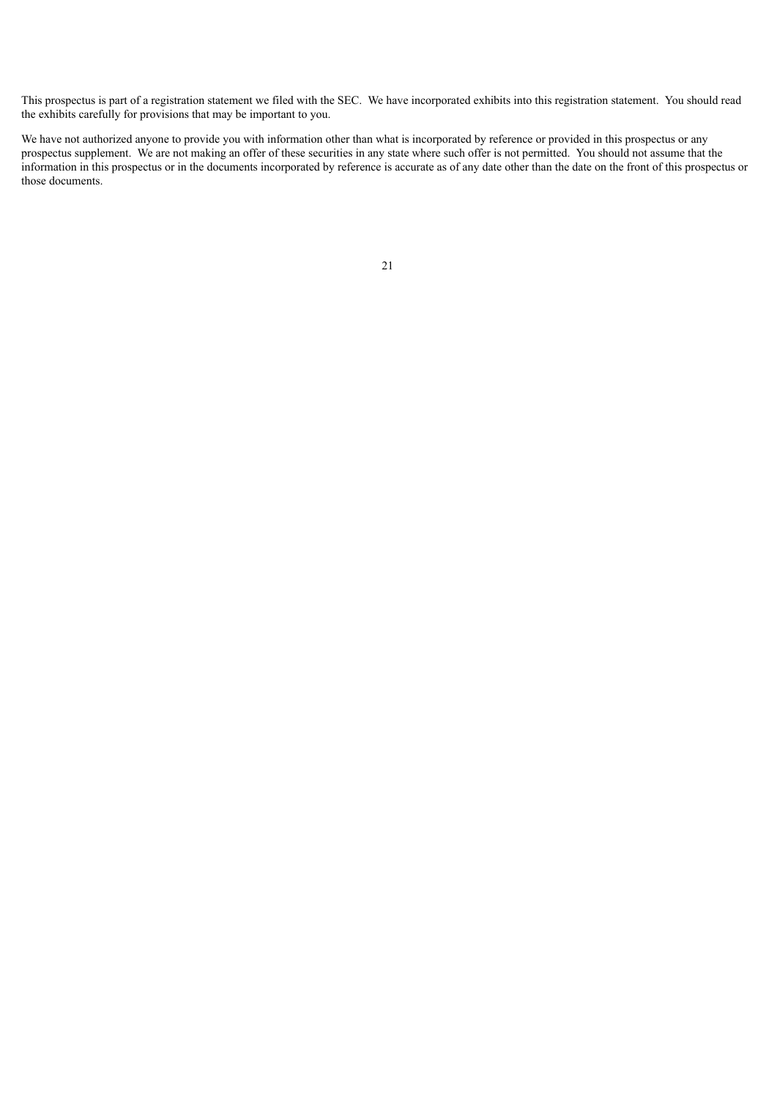This prospectus is part of a registration statement we filed with the SEC. We have incorporated exhibits into this registration statement. You should read the exhibits carefully for provisions that may be important to you.

We have not authorized anyone to provide you with information other than what is incorporated by reference or provided in this prospectus or any prospectus supplement. We are not making an offer of these securities in any state where such offer is not permitted. You should not assume that the information in this prospectus or in the documents incorporated by reference is accurate as of any date other than the date on the front of this prospectus or in the documents incorporated by reference is accurate as of an those documents.